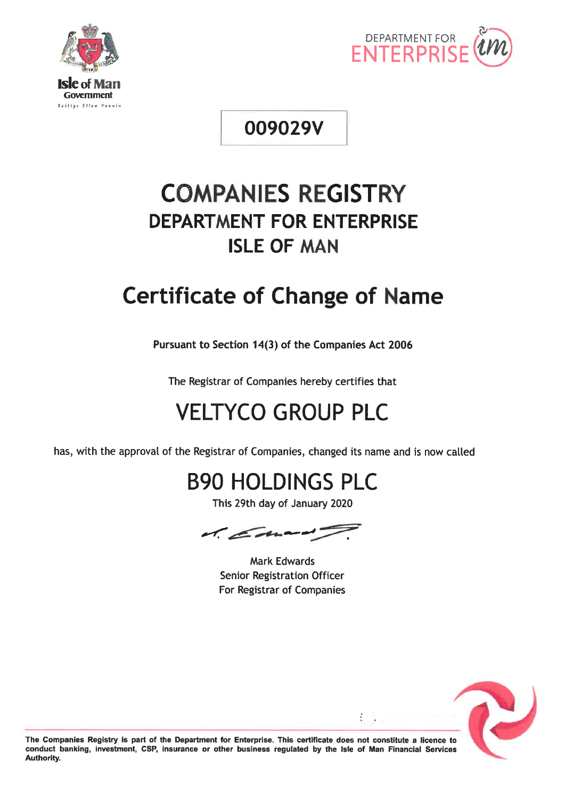



# 009029V

# **COMPANIES REGISTRY DEPARTMENT FOR ENTERPRISE ISLE OF MAN**

# **Certificate of Change of Name**

Pursuant to Section 14(3) of the Companies Act 2006

The Registrar of Companies hereby certifies that

# **VELTYCO GROUP PLC**

has, with the approval of the Registrar of Companies, changed its name and is now called

# **B90 HOLDINGS PLC**

This 29th day of January 2020



**Mark Edwards Senior Registration Officer** For Registrar of Companies



The Companies Registry is part of the Department for Enterprise. This certificate does not constitute a licence to conduct banking, investment, CSP, insurance or other business regulated by the Isle of Man Financial Services Authority.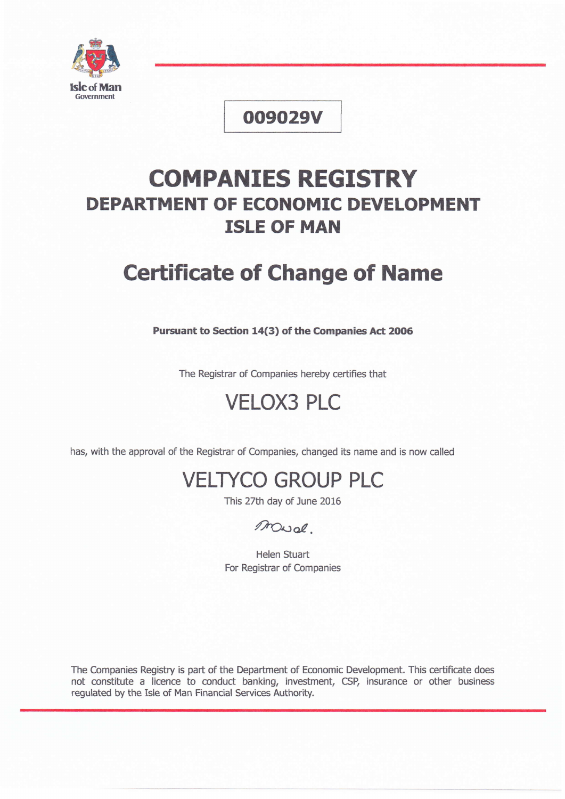

# oo9029v

# COMPANIES REGISTRY DEPARTMENT OF ECONOMIC DEVELOPMENT ISLE OF MAN

# **Certificate of Change of Name**

Pursuant to Section 14(3) of the Companies Act 2006

The Registrar of Companies hereby certifies that

# VELOX3 PLC

has, with the approval of the Registrar of Companies, changed its name and is now called

# VELryCO GROUP PLC

This 27th day of June 2016

# /7ooa?.

Helen Stuart For Registrar of Companies

The Companies Registry is part of the Department of Economic Development. This certificate does not constitute a licence to conduct banking, investment, CSP, insurance or other business regulated by the Isle of Man Financial Services Authority.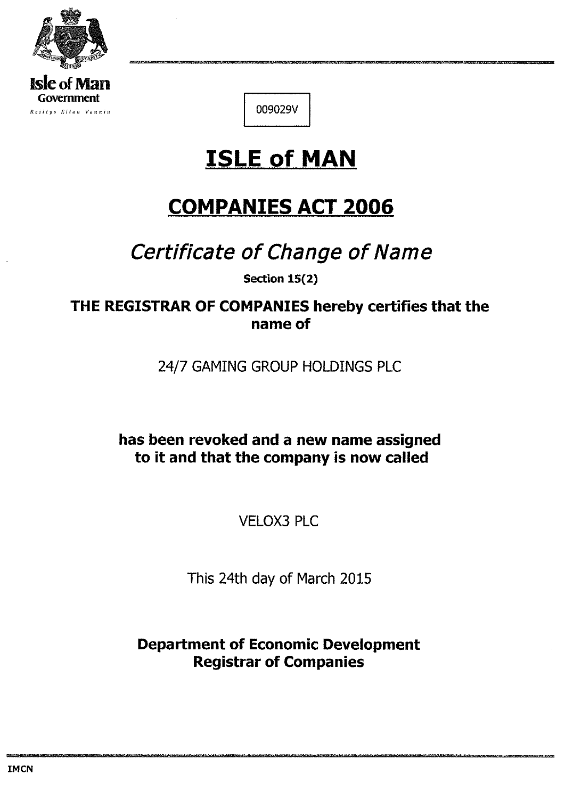

**Reiltys Ellan Vannin** 

009029V

# **ISLE of MAN**

# **COMPANIES ACT 2006**

# Certificate of Change of Name

Section 15(2)

THE REGISTRAR OF COMPANIES hereby certifies that the name of

24/7 GAMING GROUP HOLDINGS PLC

has been revoked and a new name assigned to it and that the company is now called

**VELOX3 PLC** 

This 24th day of March 2015

**Department of Economic Development Registrar of Companies**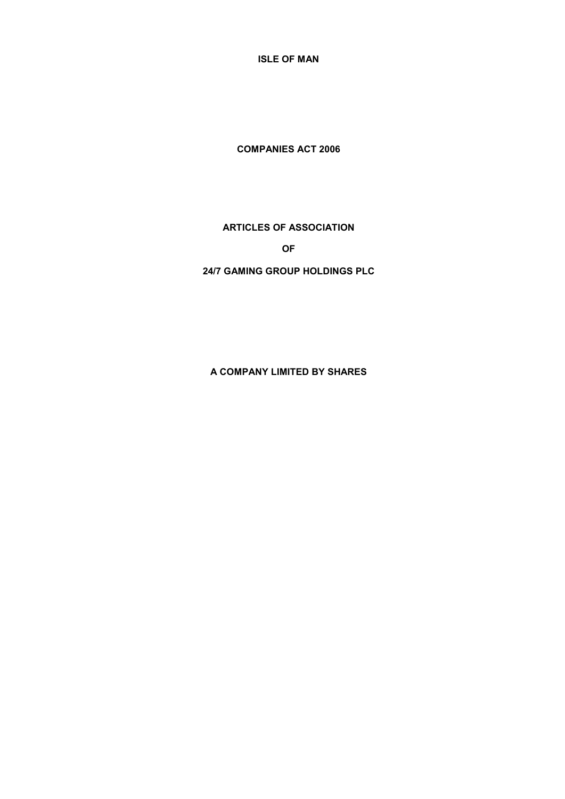**ISLE OF MAN**

**COMPANIES ACT 2006**

# **ARTICLES OF ASSOCIATION**

**OF**

# **24/7 GAMING GROUP HOLDINGS PLC**

**A COMPANY LIMITED BY SHARES**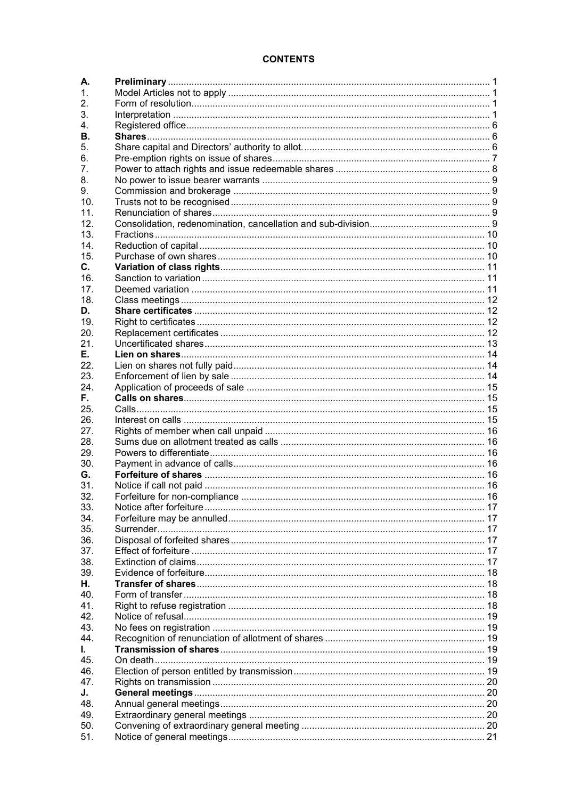# **CONTENTS**

| А.              |  |
|-----------------|--|
| 1.              |  |
| 2.              |  |
| 3.              |  |
| 4.              |  |
| В.              |  |
| 5.              |  |
| 6.              |  |
| 7.              |  |
| 8.              |  |
| 9.              |  |
| 10 <sub>1</sub> |  |
| 11.             |  |
| 12.             |  |
| 13.             |  |
| 14.             |  |
| 15.             |  |
| $\mathbf{C}$ .  |  |
| 16.             |  |
| 17 <sub>1</sub> |  |
| 18.             |  |
| D.              |  |
| 19.             |  |
| 20.             |  |
|                 |  |
| 21.             |  |
| Е.              |  |
| 22.             |  |
| 23.             |  |
| 24.             |  |
| F.,             |  |
| 25.             |  |
| 26.             |  |
| 27.             |  |
| 28.             |  |
| 29.             |  |
| 30.             |  |
| G.              |  |
| 31.             |  |
| 32.             |  |
| 33.             |  |
| 34.             |  |
| 35.             |  |
| 36.             |  |
| 37.             |  |
| 38.             |  |
| 39.             |  |
| Н.              |  |
| 40.             |  |
| 41.             |  |
| 42.             |  |
| 43.             |  |
| 44.             |  |
| L.              |  |
| 45.             |  |
| 46.             |  |
| 47.             |  |
| J.              |  |
| 48.             |  |
| 49.             |  |
| 50.             |  |
| 51.             |  |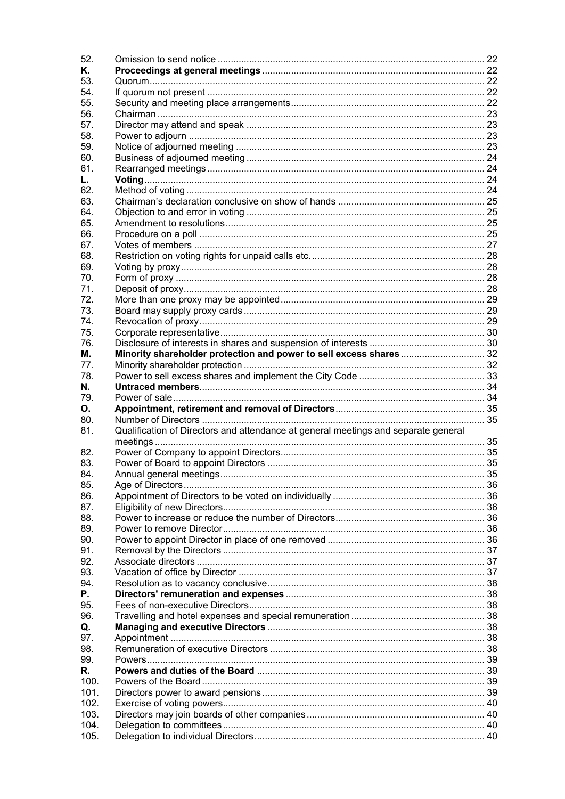| 52.          |                                                                                    |  |
|--------------|------------------------------------------------------------------------------------|--|
| Κ.           |                                                                                    |  |
| 53.          |                                                                                    |  |
| 54.          |                                                                                    |  |
| 55.          |                                                                                    |  |
| 56.          |                                                                                    |  |
| 57.          |                                                                                    |  |
| 58.          |                                                                                    |  |
| 59.          |                                                                                    |  |
| 60.          |                                                                                    |  |
| 61.          |                                                                                    |  |
| L.           |                                                                                    |  |
| 62.          |                                                                                    |  |
| 63.          |                                                                                    |  |
| 64.          |                                                                                    |  |
| 65.          |                                                                                    |  |
| 66.          |                                                                                    |  |
| 67.          |                                                                                    |  |
|              |                                                                                    |  |
| 68.          |                                                                                    |  |
| 69.          |                                                                                    |  |
| 70.          |                                                                                    |  |
| 71.          |                                                                                    |  |
| 72.          |                                                                                    |  |
| 73.          |                                                                                    |  |
| 74.          |                                                                                    |  |
| 75.          |                                                                                    |  |
| 76.          |                                                                                    |  |
| М.           | Minority shareholder protection and power to sell excess shares32                  |  |
| 77.          |                                                                                    |  |
| 78.          |                                                                                    |  |
| N.           |                                                                                    |  |
|              |                                                                                    |  |
| 79.          |                                                                                    |  |
| О.           |                                                                                    |  |
| 80.          |                                                                                    |  |
| 81.          | Qualification of Directors and attendance at general meetings and separate general |  |
|              |                                                                                    |  |
| 82.          |                                                                                    |  |
| 83.          |                                                                                    |  |
| 84.          |                                                                                    |  |
| 85.          |                                                                                    |  |
| 86.          |                                                                                    |  |
| 87.          |                                                                                    |  |
| 88.          |                                                                                    |  |
| 89.          |                                                                                    |  |
| 90.          |                                                                                    |  |
| 91.          |                                                                                    |  |
| 92.          |                                                                                    |  |
| 93.          |                                                                                    |  |
| 94.          |                                                                                    |  |
| Р.           |                                                                                    |  |
| 95.          |                                                                                    |  |
| 96.          |                                                                                    |  |
| Q.           |                                                                                    |  |
| 97.          |                                                                                    |  |
| 98.          |                                                                                    |  |
| 99.          |                                                                                    |  |
| R.           |                                                                                    |  |
| 100.         |                                                                                    |  |
|              |                                                                                    |  |
| 101.         |                                                                                    |  |
| 102.         |                                                                                    |  |
| 103.         |                                                                                    |  |
| 104.<br>105. |                                                                                    |  |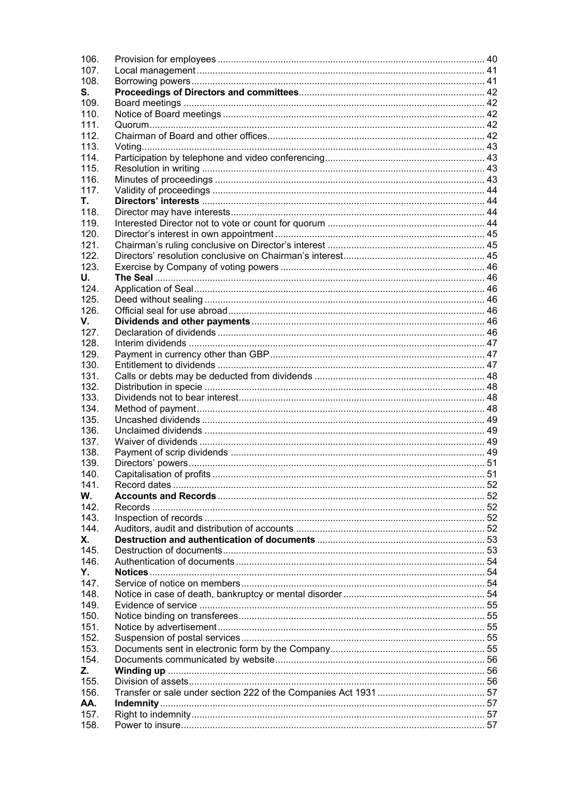| 106. |  |
|------|--|
| 107. |  |
| 108. |  |
| S.   |  |
| 109. |  |
| 110. |  |
| 111. |  |
| 112. |  |
| 113. |  |
| 114. |  |
| 115. |  |
| 116. |  |
| 117. |  |
| Τ.   |  |
| 118. |  |
| 119. |  |
| 120. |  |
| 121. |  |
| 122. |  |
| 123. |  |
| U.   |  |
| 124. |  |
| 125. |  |
| 126. |  |
| V.   |  |
| 127. |  |
| 128. |  |
| 129. |  |
| 130. |  |
| 131. |  |
| 132. |  |
| 133. |  |
| 134. |  |
| 135. |  |
| 136. |  |
| 137. |  |
| 138. |  |
| 139. |  |
| 140. |  |
| 141  |  |
| W.   |  |
| 142. |  |
| 143. |  |
| 144. |  |
| Х.   |  |
| 145  |  |
| 146. |  |
| Y.   |  |
| 147. |  |
| 148. |  |
| 149. |  |
| 150. |  |
| 151. |  |
| 152. |  |
| 153. |  |
| 154. |  |
| Z.   |  |
| 155. |  |
| 156. |  |
| AA.  |  |
| 157. |  |
| 158. |  |
|      |  |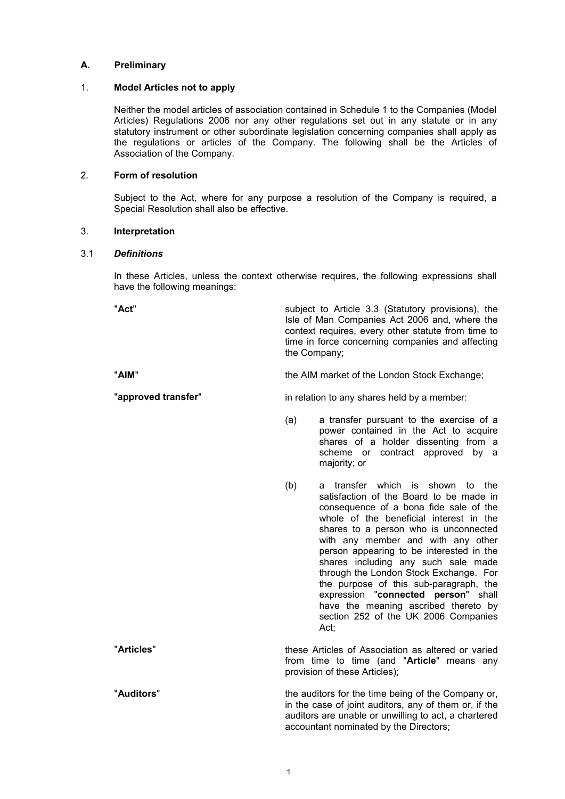# **A. Preliminary**

# 1. **Model Articles not to apply**

Neither the model articles of association contained in Schedule 1 to the Companies (Model Articles) Regulations 2006 nor any other regulations set out in any statute or in any statutory instrument or other subordinate legislation concerning companies shall apply as the regulations or articles of the Company. The following shall be the Articles of Association of the Company.

# 2. **Form of resolution**

Subject to the Act, where for any purpose a resolution of the Company is required, a Special Resolution shall also be effective.

### 3. **Interpretation**

### 3.1 *Definitions*

In these Articles, unless the context otherwise requires, the following expressions shall have the following meanings:

"**Act**" subject to Article 3.3 (Statutory provisions), the Isle of Man Companies Act 2006 and, where the context requires, every other statute from time to time in force concerning companies and affecting the Company;

"**AIM**" the AIM market of the London Stock Exchange;

**"approved transfer"** in relation to any shares held by a member:

- (a) a transfer pursuant to the exercise of a power contained in the Act to acquire shares of a holder dissenting from a scheme or contract approved by a majority; or
- (b) a transfer which is shown to the satisfaction of the Board to be made in consequence of a bona fide sale of the whole of the beneficial interest in the shares to a person who is unconnected with any member and with any other person appearing to be interested in the shares including any such sale made through the London Stock Exchange. For the purpose of this sub-paragraph, the expression "**connected person**" shall have the meaning ascribed thereto by section 252 of the UK 2006 Companies Act;

"**Articles**" these Articles of Association as altered or varied from time to time (and "**Article**" means any provision of these Articles);

"**Auditors**" the auditors for the time being of the Company or, in the case of joint auditors, any of them or, if the auditors are unable or unwilling to act, a chartered accountant nominated by the Directors;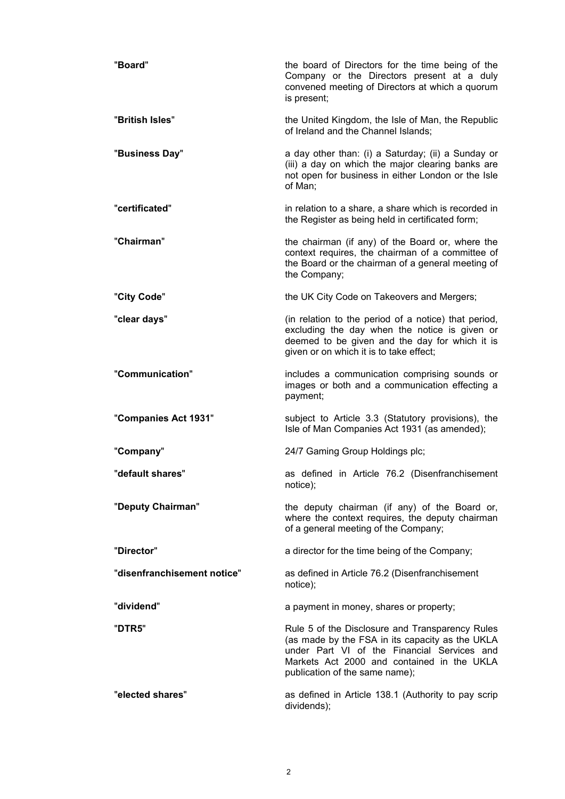| "Board"                     | the board of Directors for the time being of the<br>Company or the Directors present at a duly<br>convened meeting of Directors at which a quorum<br>is present;                                                                  |
|-----------------------------|-----------------------------------------------------------------------------------------------------------------------------------------------------------------------------------------------------------------------------------|
| "British Isles"             | the United Kingdom, the Isle of Man, the Republic<br>of Ireland and the Channel Islands;                                                                                                                                          |
| "Business Day"              | a day other than: (i) a Saturday; (ii) a Sunday or<br>(iii) a day on which the major clearing banks are<br>not open for business in either London or the Isle<br>of Man;                                                          |
| "certificated"              | in relation to a share, a share which is recorded in<br>the Register as being held in certificated form;                                                                                                                          |
| "Chairman"                  | the chairman (if any) of the Board or, where the<br>context requires, the chairman of a committee of<br>the Board or the chairman of a general meeting of<br>the Company;                                                         |
| "City Code"                 | the UK City Code on Takeovers and Mergers;                                                                                                                                                                                        |
| "clear days"                | (in relation to the period of a notice) that period,<br>excluding the day when the notice is given or<br>deemed to be given and the day for which it is<br>given or on which it is to take effect;                                |
| "Communication"             | includes a communication comprising sounds or<br>images or both and a communication effecting a<br>payment;                                                                                                                       |
| "Companies Act 1931"        | subject to Article 3.3 (Statutory provisions), the<br>Isle of Man Companies Act 1931 (as amended);                                                                                                                                |
| "Company"                   | 24/7 Gaming Group Holdings plc;                                                                                                                                                                                                   |
| "default shares"            | as defined in Article 76.2 (Disenfranchisement<br>notice);                                                                                                                                                                        |
| "Deputy Chairman"           | the deputy chairman (if any) of the Board or,<br>where the context requires, the deputy chairman<br>of a general meeting of the Company;                                                                                          |
| "Director"                  | a director for the time being of the Company;                                                                                                                                                                                     |
| "disenfranchisement notice" | as defined in Article 76.2 (Disenfranchisement<br>notice);                                                                                                                                                                        |
| "dividend"                  | a payment in money, shares or property;                                                                                                                                                                                           |
| "DTR5"                      | Rule 5 of the Disclosure and Transparency Rules<br>(as made by the FSA in its capacity as the UKLA<br>under Part VI of the Financial Services and<br>Markets Act 2000 and contained in the UKLA<br>publication of the same name); |
| "elected shares"            | as defined in Article 138.1 (Authority to pay scrip<br>dividends);                                                                                                                                                                |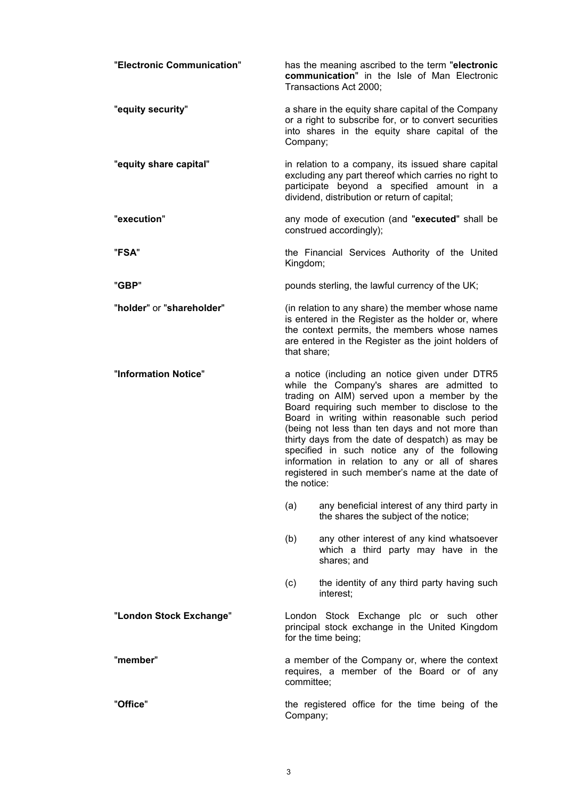| "Electronic Communication" |             | has the meaning ascribed to the term "electronic<br>communication" in the Isle of Man Electronic<br>Transactions Act 2000;                                                                                                                                                                                                                                                                                                                                                                                    |
|----------------------------|-------------|---------------------------------------------------------------------------------------------------------------------------------------------------------------------------------------------------------------------------------------------------------------------------------------------------------------------------------------------------------------------------------------------------------------------------------------------------------------------------------------------------------------|
| "equity security"          | Company;    | a share in the equity share capital of the Company<br>or a right to subscribe for, or to convert securities<br>into shares in the equity share capital of the                                                                                                                                                                                                                                                                                                                                                 |
| "equity share capital"     |             | in relation to a company, its issued share capital<br>excluding any part thereof which carries no right to<br>participate beyond a specified amount in a<br>dividend, distribution or return of capital;                                                                                                                                                                                                                                                                                                      |
| "execution"                |             | any mode of execution (and "executed" shall be<br>construed accordingly);                                                                                                                                                                                                                                                                                                                                                                                                                                     |
| "FSA"                      | Kingdom;    | the Financial Services Authority of the United                                                                                                                                                                                                                                                                                                                                                                                                                                                                |
| "GBP"                      |             | pounds sterling, the lawful currency of the UK;                                                                                                                                                                                                                                                                                                                                                                                                                                                               |
| "holder" or "shareholder"  | that share; | (in relation to any share) the member whose name<br>is entered in the Register as the holder or, where<br>the context permits, the members whose names<br>are entered in the Register as the joint holders of                                                                                                                                                                                                                                                                                                 |
| "Information Notice"       | the notice: | a notice (including an notice given under DTR5<br>while the Company's shares are admitted to<br>trading on AIM) served upon a member by the<br>Board requiring such member to disclose to the<br>Board in writing within reasonable such period<br>(being not less than ten days and not more than<br>thirty days from the date of despatch) as may be<br>specified in such notice any of the following<br>information in relation to any or all of shares<br>registered in such member's name at the date of |
|                            | (a)         | any beneficial interest of any third party in<br>the shares the subject of the notice;                                                                                                                                                                                                                                                                                                                                                                                                                        |
|                            | (b)         | any other interest of any kind whatsoever<br>which a third party may have in the<br>shares; and                                                                                                                                                                                                                                                                                                                                                                                                               |
|                            | (c)         | the identity of any third party having such<br>interest:                                                                                                                                                                                                                                                                                                                                                                                                                                                      |
| "London Stock Exchange"    |             | London Stock Exchange plc or such other<br>principal stock exchange in the United Kingdom<br>for the time being;                                                                                                                                                                                                                                                                                                                                                                                              |
| "member"                   | committee;  | a member of the Company or, where the context<br>requires, a member of the Board or of any                                                                                                                                                                                                                                                                                                                                                                                                                    |
| "Office"                   | Company;    | the registered office for the time being of the                                                                                                                                                                                                                                                                                                                                                                                                                                                               |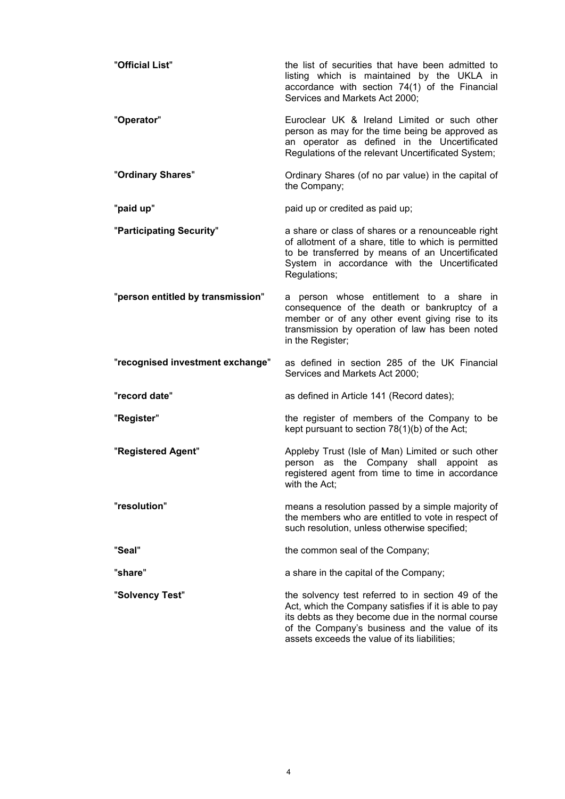| "Official List"                   | the list of securities that have been admitted to<br>listing which is maintained by the UKLA in<br>accordance with section 74(1) of the Financial<br>Services and Markets Act 2000;                                                                                |
|-----------------------------------|--------------------------------------------------------------------------------------------------------------------------------------------------------------------------------------------------------------------------------------------------------------------|
| "Operator"                        | Euroclear UK & Ireland Limited or such other<br>person as may for the time being be approved as<br>an operator as defined in the Uncertificated<br>Regulations of the relevant Uncertificated System;                                                              |
| "Ordinary Shares"                 | Ordinary Shares (of no par value) in the capital of<br>the Company;                                                                                                                                                                                                |
| "paid up"                         | paid up or credited as paid up;                                                                                                                                                                                                                                    |
| "Participating Security"          | a share or class of shares or a renounceable right<br>of allotment of a share, title to which is permitted<br>to be transferred by means of an Uncertificated<br>System in accordance with the Uncertificated<br>Regulations;                                      |
| "person entitled by transmission" | a person whose entitlement to a share in<br>consequence of the death or bankruptcy of a<br>member or of any other event giving rise to its<br>transmission by operation of law has been noted<br>in the Register;                                                  |
| "recognised investment exchange"  | as defined in section 285 of the UK Financial<br>Services and Markets Act 2000;                                                                                                                                                                                    |
| "record date"                     | as defined in Article 141 (Record dates);                                                                                                                                                                                                                          |
| "Register"                        | the register of members of the Company to be<br>kept pursuant to section 78(1)(b) of the Act;                                                                                                                                                                      |
| "Registered Agent"                | Appleby Trust (Isle of Man) Limited or such other<br>person as the Company shall appoint as<br>registered agent from time to time in accordance<br>with the Act;                                                                                                   |
| "resolution"                      | means a resolution passed by a simple majority of<br>the members who are entitled to vote in respect of<br>such resolution, unless otherwise specified;                                                                                                            |
| "Seal"                            | the common seal of the Company;                                                                                                                                                                                                                                    |
| "share"                           | a share in the capital of the Company;                                                                                                                                                                                                                             |
| "Solvency Test"                   | the solvency test referred to in section 49 of the<br>Act, which the Company satisfies if it is able to pay<br>its debts as they become due in the normal course<br>of the Company's business and the value of its<br>assets exceeds the value of its liabilities; |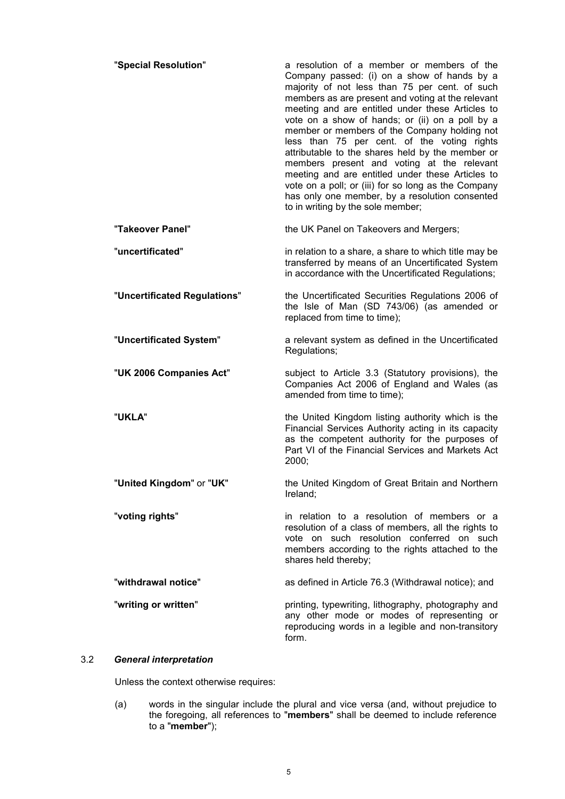| "Special Resolution"         | a resolution of a member or members of the<br>Company passed: (i) on a show of hands by a<br>majority of not less than 75 per cent. of such<br>members as are present and voting at the relevant<br>meeting and are entitled under these Articles to<br>vote on a show of hands; or (ii) on a poll by a<br>member or members of the Company holding not<br>less than 75 per cent. of the voting rights<br>attributable to the shares held by the member or<br>members present and voting at the relevant<br>meeting and are entitled under these Articles to<br>vote on a poll; or (iii) for so long as the Company<br>has only one member, by a resolution consented<br>to in writing by the sole member; |
|------------------------------|------------------------------------------------------------------------------------------------------------------------------------------------------------------------------------------------------------------------------------------------------------------------------------------------------------------------------------------------------------------------------------------------------------------------------------------------------------------------------------------------------------------------------------------------------------------------------------------------------------------------------------------------------------------------------------------------------------|
| "Takeover Panel"             | the UK Panel on Takeovers and Mergers;                                                                                                                                                                                                                                                                                                                                                                                                                                                                                                                                                                                                                                                                     |
| "uncertificated"             | in relation to a share, a share to which title may be<br>transferred by means of an Uncertificated System<br>in accordance with the Uncertificated Regulations;                                                                                                                                                                                                                                                                                                                                                                                                                                                                                                                                            |
| "Uncertificated Regulations" | the Uncertificated Securities Regulations 2006 of<br>the Isle of Man (SD 743/06) (as amended or<br>replaced from time to time);                                                                                                                                                                                                                                                                                                                                                                                                                                                                                                                                                                            |
| "Uncertificated System"      | a relevant system as defined in the Uncertificated<br>Regulations;                                                                                                                                                                                                                                                                                                                                                                                                                                                                                                                                                                                                                                         |
| "UK 2006 Companies Act"      | subject to Article 3.3 (Statutory provisions), the<br>Companies Act 2006 of England and Wales (as<br>amended from time to time);                                                                                                                                                                                                                                                                                                                                                                                                                                                                                                                                                                           |
| "UKLA"                       | the United Kingdom listing authority which is the<br>Financial Services Authority acting in its capacity<br>as the competent authority for the purposes of<br>Part VI of the Financial Services and Markets Act<br>2000;                                                                                                                                                                                                                                                                                                                                                                                                                                                                                   |
| "United Kingdom" or "UK"     | the United Kingdom of Great Britain and Northern<br>Ireland;                                                                                                                                                                                                                                                                                                                                                                                                                                                                                                                                                                                                                                               |
| "voting rights"              | in relation to a resolution of members or a<br>resolution of a class of members, all the rights to<br>vote on such resolution conferred on such<br>members according to the rights attached to the<br>shares held thereby;                                                                                                                                                                                                                                                                                                                                                                                                                                                                                 |
| "withdrawal notice"          | as defined in Article 76.3 (Withdrawal notice); and                                                                                                                                                                                                                                                                                                                                                                                                                                                                                                                                                                                                                                                        |
| "writing or written"         | printing, typewriting, lithography, photography and<br>any other mode or modes of representing or<br>reproducing words in a legible and non-transitory<br>form.                                                                                                                                                                                                                                                                                                                                                                                                                                                                                                                                            |

# 3.2 *General interpretation*

Unless the context otherwise requires:

(a) words in the singular include the plural and vice versa (and, without prejudice to the foregoing, all references to "**members**" shall be deemed to include reference to a "**member**");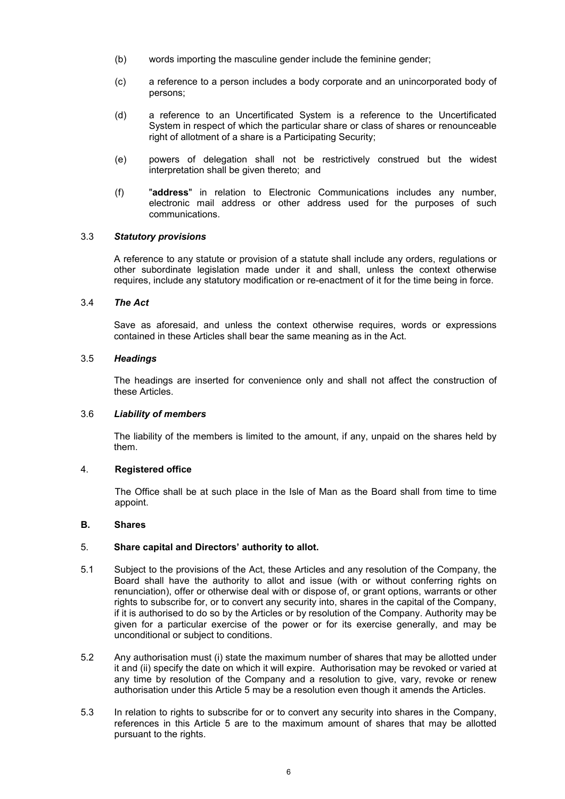- (b) words importing the masculine gender include the feminine gender;
- (c) a reference to a person includes a body corporate and an unincorporated body of persons;
- (d) a reference to an Uncertificated System is a reference to the Uncertificated System in respect of which the particular share or class of shares or renounceable right of allotment of a share is a Participating Security;
- (e) powers of delegation shall not be restrictively construed but the widest interpretation shall be given thereto; and
- (f) "**address**" in relation to Electronic Communications includes any number, electronic mail address or other address used for the purposes of such communications.

# 3.3 *Statutory provisions*

A reference to any statute or provision of a statute shall include any orders, regulations or other subordinate legislation made under it and shall, unless the context otherwise requires, include any statutory modification or re-enactment of it for the time being in force.

### 3.4 *The Act*

Save as aforesaid, and unless the context otherwise requires, words or expressions contained in these Articles shall bear the same meaning as in the Act.

# 3.5 *Headings*

The headings are inserted for convenience only and shall not affect the construction of these Articles.

### 3.6 *Liability of members*

The liability of the members is limited to the amount, if any, unpaid on the shares held by them.

### 4. **Registered office**

The Office shall be at such place in the Isle of Man as the Board shall from time to time appoint.

### **B. Shares**

# 5. **Share capital and Directors' authority to allot.**

- 5.1 Subject to the provisions of the Act, these Articles and any resolution of the Company, the Board shall have the authority to allot and issue (with or without conferring rights on renunciation), offer or otherwise deal with or dispose of, or grant options, warrants or other rights to subscribe for, or to convert any security into, shares in the capital of the Company, if it is authorised to do so by the Articles or by resolution of the Company. Authority may be given for a particular exercise of the power or for its exercise generally, and may be unconditional or subject to conditions.
- 5.2 Any authorisation must (i) state the maximum number of shares that may be allotted under it and (ii) specify the date on which it will expire. Authorisation may be revoked or varied at any time by resolution of the Company and a resolution to give, vary, revoke or renew authorisation under this Article 5 may be a resolution even though it amends the Articles.
- 5.3 In relation to rights to subscribe for or to convert any security into shares in the Company, references in this Article 5 are to the maximum amount of shares that may be allotted pursuant to the rights.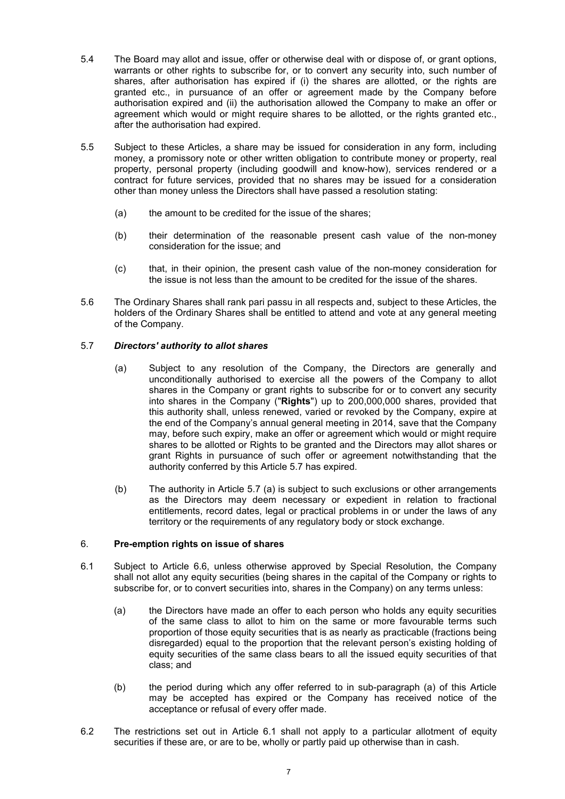- 5.4 The Board may allot and issue, offer or otherwise deal with or dispose of, or grant options, warrants or other rights to subscribe for, or to convert any security into, such number of shares, after authorisation has expired if (i) the shares are allotted, or the rights are granted etc., in pursuance of an offer or agreement made by the Company before authorisation expired and (ii) the authorisation allowed the Company to make an offer or agreement which would or might require shares to be allotted, or the rights granted etc., after the authorisation had expired.
- 5.5 Subject to these Articles, a share may be issued for consideration in any form, including money, a promissory note or other written obligation to contribute money or property, real property, personal property (including goodwill and know-how), services rendered or a contract for future services, provided that no shares may be issued for a consideration other than money unless the Directors shall have passed a resolution stating:
	- (a) the amount to be credited for the issue of the shares;
	- (b) their determination of the reasonable present cash value of the non-money consideration for the issue; and
	- (c) that, in their opinion, the present cash value of the non-money consideration for the issue is not less than the amount to be credited for the issue of the shares.
- 5.6 The Ordinary Shares shall rank pari passu in all respects and, subject to these Articles, the holders of the Ordinary Shares shall be entitled to attend and vote at any general meeting of the Company.

# 5.7 *Directors' authority to allot shares*

- (a) Subject to any resolution of the Company, the Directors are generally and unconditionally authorised to exercise all the powers of the Company to allot shares in the Company or grant rights to subscribe for or to convert any security into shares in the Company ("**Rights**") up to 200,000,000 shares, provided that this authority shall, unless renewed, varied or revoked by the Company, expire at the end of the Company's annual general meeting in 2014, save that the Company may, before such expiry, make an offer or agreement which would or might require shares to be allotted or Rights to be granted and the Directors may allot shares or grant Rights in pursuance of such offer or agreement notwithstanding that the authority conferred by this Article 5.7 has expired.
- (b) The authority in Article 5.7 (a) is subject to such exclusions or other arrangements as the Directors may deem necessary or expedient in relation to fractional entitlements, record dates, legal or practical problems in or under the laws of any territory or the requirements of any regulatory body or stock exchange.

# 6. **Pre-emption rights on issue of shares**

- 6.1 Subject to Article 6.6, unless otherwise approved by Special Resolution, the Company shall not allot any equity securities (being shares in the capital of the Company or rights to subscribe for, or to convert securities into, shares in the Company) on any terms unless:
	- (a) the Directors have made an offer to each person who holds any equity securities of the same class to allot to him on the same or more favourable terms such proportion of those equity securities that is as nearly as practicable (fractions being disregarded) equal to the proportion that the relevant person's existing holding of equity securities of the same class bears to all the issued equity securities of that class; and
	- (b) the period during which any offer referred to in sub-paragraph (a) of this Article may be accepted has expired or the Company has received notice of the acceptance or refusal of every offer made.
- 6.2 The restrictions set out in Article 6.1 shall not apply to a particular allotment of equity securities if these are, or are to be, wholly or partly paid up otherwise than in cash.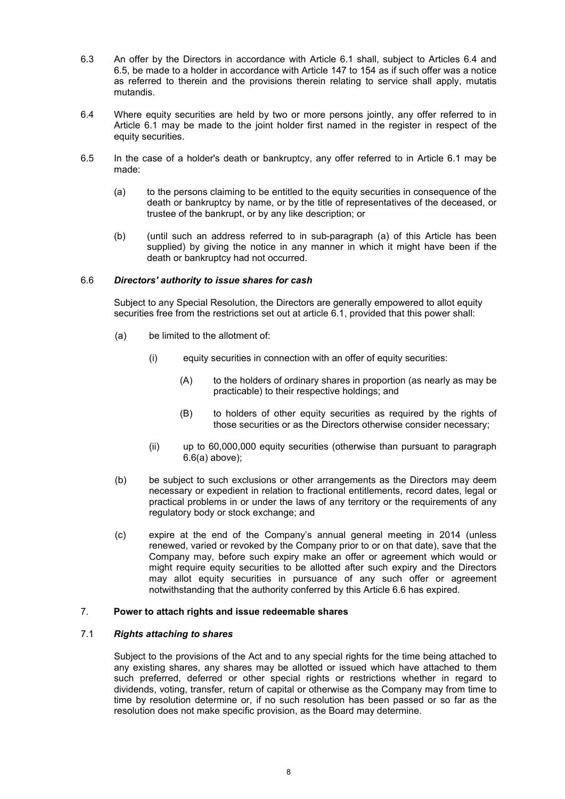- 6.3 An offer by the Directors in accordance with Article 6.1 shall, subject to Articles 6.4 and 6.5, be made to a holder in accordance with Article 147 to 154 as if such offer was a notice as referred to therein and the provisions therein relating to service shall apply, mutatis mutandis.
- 6.4 Where equity securities are held by two or more persons jointly, any offer referred to in Article 6.1 may be made to the joint holder first named in the register in respect of the equity securities.
- 6.5 In the case of a holder's death or bankruptcy, any offer referred to in Article 6.1 may be made:
	- (a) to the persons claiming to be entitled to the equity securities in consequence of the death or bankruptcy by name, or by the title of representatives of the deceased, or trustee of the bankrupt, or by any like description; or
	- (b) (until such an address referred to in sub-paragraph (a) of this Article has been supplied) by giving the notice in any manner in which it might have been if the death or bankruptcy had not occurred.

# 6.6 *Directors' authority to issue shares for cash*

Subject to any Special Resolution, the Directors are generally empowered to allot equity securities free from the restrictions set out at article 6.1, provided that this power shall:

- (a) be limited to the allotment of:
	- (i) equity securities in connection with an offer of equity securities:
		- (A) to the holders of ordinary shares in proportion (as nearly as may be practicable) to their respective holdings; and
		- (B) to holders of other equity securities as required by the rights of those securities or as the Directors otherwise consider necessary;
	- (ii) up to 60,000,000 equity securities (otherwise than pursuant to paragraph 6.6(a) above);
- (b) be subject to such exclusions or other arrangements as the Directors may deem necessary or expedient in relation to fractional entitlements, record dates, legal or practical problems in or under the laws of any territory or the requirements of any regulatory body or stock exchange; and
- (c) expire at the end of the Company's annual general meeting in 2014 (unless renewed, varied or revoked by the Company prior to or on that date), save that the Company may, before such expiry make an offer or agreement which would or might require equity securities to be allotted after such expiry and the Directors may allot equity securities in pursuance of any such offer or agreement notwithstanding that the authority conferred by this Article 6.6 has expired.

# 7. **Power to attach rights and issue redeemable shares**

### 7.1 *Rights attaching to shares*

Subject to the provisions of the Act and to any special rights for the time being attached to any existing shares, any shares may be allotted or issued which have attached to them such preferred, deferred or other special rights or restrictions whether in regard to dividends, voting, transfer, return of capital or otherwise as the Company may from time to time by resolution determine or, if no such resolution has been passed or so far as the resolution does not make specific provision, as the Board may determine.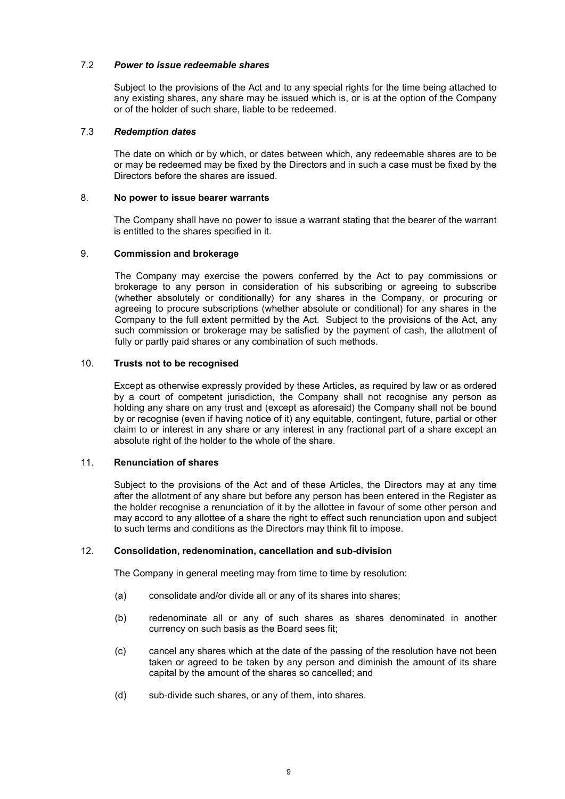# 7.2 *Power to issue redeemable shares*

Subject to the provisions of the Act and to any special rights for the time being attached to any existing shares, any share may be issued which is, or is at the option of the Company or of the holder of such share, liable to be redeemed.

# 7.3 *Redemption dates*

The date on which or by which, or dates between which, any redeemable shares are to be or may be redeemed may be fixed by the Directors and in such a case must be fixed by the Directors before the shares are issued.

# 8. **No power to issue bearer warrants**

The Company shall have no power to issue a warrant stating that the bearer of the warrant is entitled to the shares specified in it.

# 9. **Commission and brokerage**

The Company may exercise the powers conferred by the Act to pay commissions or brokerage to any person in consideration of his subscribing or agreeing to subscribe (whether absolutely or conditionally) for any shares in the Company, or procuring or agreeing to procure subscriptions (whether absolute or conditional) for any shares in the Company to the full extent permitted by the Act. Subject to the provisions of the Act, any such commission or brokerage may be satisfied by the payment of cash, the allotment of fully or partly paid shares or any combination of such methods.

# 10. **Trusts not to be recognised**

Except as otherwise expressly provided by these Articles, as required by law or as ordered by a court of competent jurisdiction, the Company shall not recognise any person as holding any share on any trust and (except as aforesaid) the Company shall not be bound by or recognise (even if having notice of it) any equitable, contingent, future, partial or other claim to or interest in any share or any interest in any fractional part of a share except an absolute right of the holder to the whole of the share.

# 11. **Renunciation of shares**

Subject to the provisions of the Act and of these Articles, the Directors may at any time after the allotment of any share but before any person has been entered in the Register as the holder recognise a renunciation of it by the allottee in favour of some other person and may accord to any allottee of a share the right to effect such renunciation upon and subject to such terms and conditions as the Directors may think fit to impose.

### 12. **Consolidation, redenomination, cancellation and sub-division**

The Company in general meeting may from time to time by resolution:

- (a) consolidate and/or divide all or any of its shares into shares;
- (b) redenominate all or any of such shares as shares denominated in another currency on such basis as the Board sees fit;
- (c) cancel any shares which at the date of the passing of the resolution have not been taken or agreed to be taken by any person and diminish the amount of its share capital by the amount of the shares so cancelled; and
- (d) sub-divide such shares, or any of them, into shares.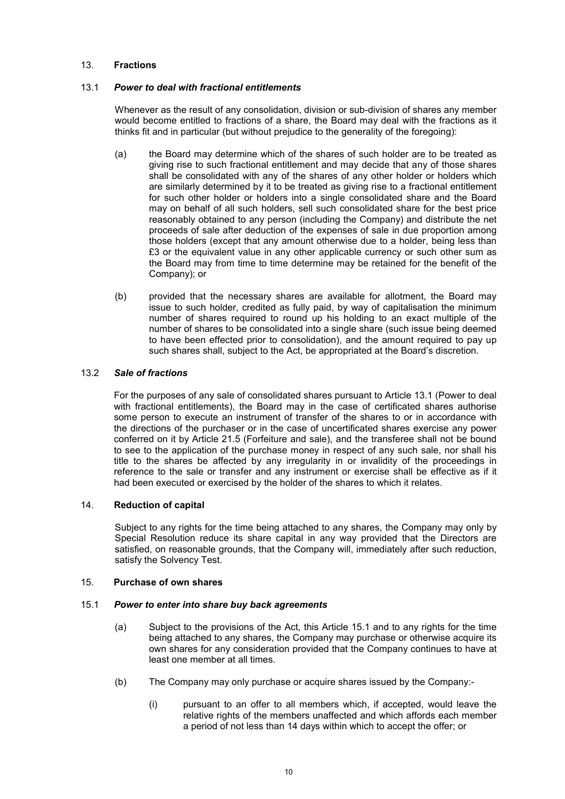# 13. **Fractions**

# 13.1 *Power to deal with fractional entitlements*

Whenever as the result of any consolidation, division or sub-division of shares any member would become entitled to fractions of a share, the Board may deal with the fractions as it thinks fit and in particular (but without prejudice to the generality of the foregoing):

- (a) the Board may determine which of the shares of such holder are to be treated as giving rise to such fractional entitlement and may decide that any of those shares shall be consolidated with any of the shares of any other holder or holders which are similarly determined by it to be treated as giving rise to a fractional entitlement for such other holder or holders into a single consolidated share and the Board may on behalf of all such holders, sell such consolidated share for the best price reasonably obtained to any person (including the Company) and distribute the net proceeds of sale after deduction of the expenses of sale in due proportion among those holders (except that any amount otherwise due to a holder, being less than £3 or the equivalent value in any other applicable currency or such other sum as the Board may from time to time determine may be retained for the benefit of the Company); or
- (b) provided that the necessary shares are available for allotment, the Board may issue to such holder, credited as fully paid, by way of capitalisation the minimum number of shares required to round up his holding to an exact multiple of the number of shares to be consolidated into a single share (such issue being deemed to have been effected prior to consolidation), and the amount required to pay up such shares shall, subject to the Act, be appropriated at the Board's discretion.

# 13.2 *Sale of fractions*

For the purposes of any sale of consolidated shares pursuant to Article 13.1 (Power to deal with fractional entitlements), the Board may in the case of certificated shares authorise some person to execute an instrument of transfer of the shares to or in accordance with the directions of the purchaser or in the case of uncertificated shares exercise any power conferred on it by Article 21.5 (Forfeiture and sale), and the transferee shall not be bound to see to the application of the purchase money in respect of any such sale, nor shall his title to the shares be affected by any irregularity in or invalidity of the proceedings in reference to the sale or transfer and any instrument or exercise shall be effective as if it had been executed or exercised by the holder of the shares to which it relates.

# 14. **Reduction of capital**

Subject to any rights for the time being attached to any shares, the Company may only by Special Resolution reduce its share capital in any way provided that the Directors are satisfied, on reasonable grounds, that the Company will, immediately after such reduction, satisfy the Solvency Test.

### 15. **Purchase of own shares**

### 15.1 *Power to enter into share buy back agreements*

- (a) Subject to the provisions of the Act, this Article 15.1 and to any rights for the time being attached to any shares, the Company may purchase or otherwise acquire its own shares for any consideration provided that the Company continues to have at least one member at all times.
- (b) The Company may only purchase or acquire shares issued by the Company:-
	- (i) pursuant to an offer to all members which, if accepted, would leave the relative rights of the members unaffected and which affords each member a period of not less than 14 days within which to accept the offer; or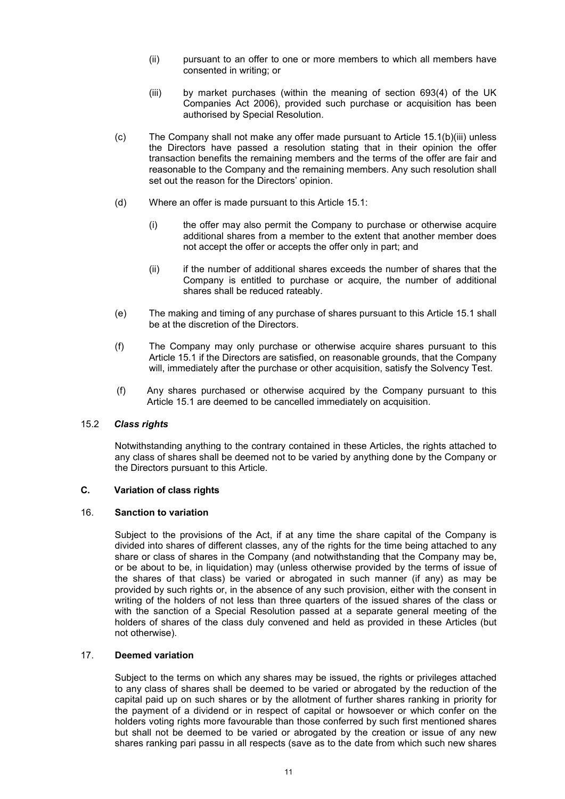- (ii) pursuant to an offer to one or more members to which all members have consented in writing; or
- (iii) by market purchases (within the meaning of section 693(4) of the UK Companies Act 2006), provided such purchase or acquisition has been authorised by Special Resolution.
- (c) The Company shall not make any offer made pursuant to Article 15.1(b)(iii) unless the Directors have passed a resolution stating that in their opinion the offer transaction benefits the remaining members and the terms of the offer are fair and reasonable to the Company and the remaining members. Any such resolution shall set out the reason for the Directors' opinion.
- (d) Where an offer is made pursuant to this Article 15.1:
	- (i) the offer may also permit the Company to purchase or otherwise acquire additional shares from a member to the extent that another member does not accept the offer or accepts the offer only in part; and
	- (ii) if the number of additional shares exceeds the number of shares that the Company is entitled to purchase or acquire, the number of additional shares shall be reduced rateably.
- (e) The making and timing of any purchase of shares pursuant to this Article 15.1 shall be at the discretion of the Directors.
- (f) The Company may only purchase or otherwise acquire shares pursuant to this Article 15.1 if the Directors are satisfied, on reasonable grounds, that the Company will, immediately after the purchase or other acquisition, satisfy the Solvency Test.
- (f) Any shares purchased or otherwise acquired by the Company pursuant to this Article 15.1 are deemed to be cancelled immediately on acquisition.

# 15.2 *Class rights*

Notwithstanding anything to the contrary contained in these Articles, the rights attached to any class of shares shall be deemed not to be varied by anything done by the Company or the Directors pursuant to this Article.

# **C. Variation of class rights**

### 16. **Sanction to variation**

Subject to the provisions of the Act, if at any time the share capital of the Company is divided into shares of different classes, any of the rights for the time being attached to any share or class of shares in the Company (and notwithstanding that the Company may be, or be about to be, in liquidation) may (unless otherwise provided by the terms of issue of the shares of that class) be varied or abrogated in such manner (if any) as may be provided by such rights or, in the absence of any such provision, either with the consent in writing of the holders of not less than three quarters of the issued shares of the class or with the sanction of a Special Resolution passed at a separate general meeting of the holders of shares of the class duly convened and held as provided in these Articles (but not otherwise).

# 17. **Deemed variation**

Subject to the terms on which any shares may be issued, the rights or privileges attached to any class of shares shall be deemed to be varied or abrogated by the reduction of the capital paid up on such shares or by the allotment of further shares ranking in priority for the payment of a dividend or in respect of capital or howsoever or which confer on the holders voting rights more favourable than those conferred by such first mentioned shares but shall not be deemed to be varied or abrogated by the creation or issue of any new shares ranking pari passu in all respects (save as to the date from which such new shares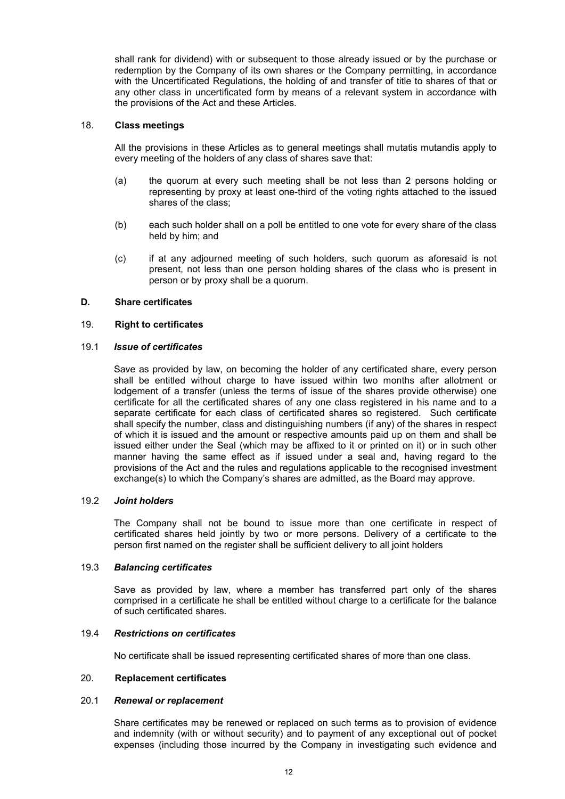shall rank for dividend) with or subsequent to those already issued or by the purchase or redemption by the Company of its own shares or the Company permitting, in accordance with the Uncertificated Regulations, the holding of and transfer of title to shares of that or any other class in uncertificated form by means of a relevant system in accordance with the provisions of the Act and these Articles.

### 18. **Class meetings**

All the provisions in these Articles as to general meetings shall mutatis mutandis apply to every meeting of the holders of any class of shares save that:

- (a) the quorum at every such meeting shall be not less than 2 persons holding or representing by proxy at least one-third of the voting rights attached to the issued shares of the class;
- (b) each such holder shall on a poll be entitled to one vote for every share of the class held by him; and
- (c) if at any adjourned meeting of such holders, such quorum as aforesaid is not present, not less than one person holding shares of the class who is present in person or by proxy shall be a quorum.

# **D. Share certificates**

### 19. **Right to certificates**

### 19.1 *Issue of certificates*

Save as provided by law, on becoming the holder of any certificated share, every person shall be entitled without charge to have issued within two months after allotment or lodgement of a transfer (unless the terms of issue of the shares provide otherwise) one certificate for all the certificated shares of any one class registered in his name and to a separate certificate for each class of certificated shares so registered. Such certificate shall specify the number, class and distinguishing numbers (if any) of the shares in respect of which it is issued and the amount or respective amounts paid up on them and shall be issued either under the Seal (which may be affixed to it or printed on it) or in such other manner having the same effect as if issued under a seal and, having regard to the provisions of the Act and the rules and regulations applicable to the recognised investment exchange(s) to which the Company's shares are admitted, as the Board may approve.

### 19.2 *Joint holders*

The Company shall not be bound to issue more than one certificate in respect of certificated shares held jointly by two or more persons. Delivery of a certificate to the person first named on the register shall be sufficient delivery to all joint holders

# 19.3 *Balancing certificates*

Save as provided by law, where a member has transferred part only of the shares comprised in a certificate he shall be entitled without charge to a certificate for the balance of such certificated shares.

### 19.4 *Restrictions on certificates*

No certificate shall be issued representing certificated shares of more than one class.

### 20. **Replacement certificates**

### 20.1 *Renewal or replacement*

Share certificates may be renewed or replaced on such terms as to provision of evidence and indemnity (with or without security) and to payment of any exceptional out of pocket expenses (including those incurred by the Company in investigating such evidence and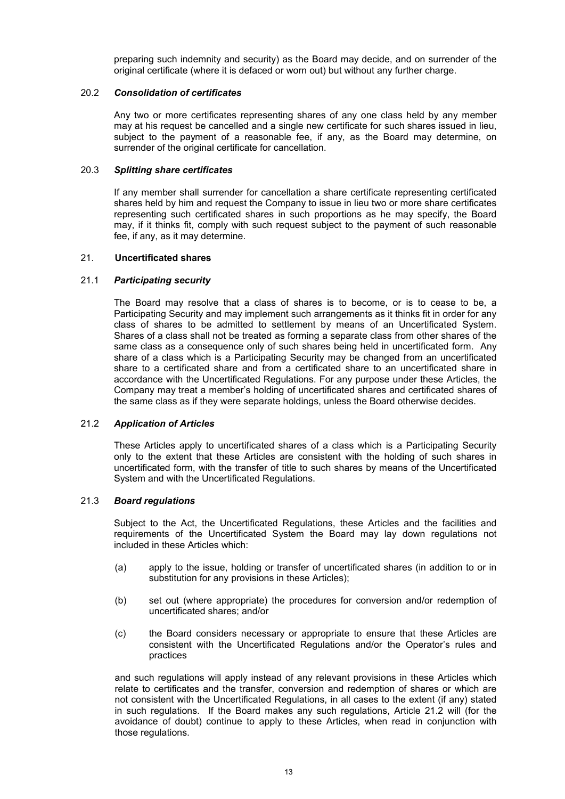preparing such indemnity and security) as the Board may decide, and on surrender of the original certificate (where it is defaced or worn out) but without any further charge.

# 20.2 *Consolidation of certificates*

Any two or more certificates representing shares of any one class held by any member may at his request be cancelled and a single new certificate for such shares issued in lieu, subject to the payment of a reasonable fee, if any, as the Board may determine, on surrender of the original certificate for cancellation.

# 20.3 *Splitting share certificates*

If any member shall surrender for cancellation a share certificate representing certificated shares held by him and request the Company to issue in lieu two or more share certificates representing such certificated shares in such proportions as he may specify, the Board may, if it thinks fit, comply with such request subject to the payment of such reasonable fee, if any, as it may determine.

# 21. **Uncertificated shares**

# 21.1 *Participating security*

The Board may resolve that a class of shares is to become, or is to cease to be, a Participating Security and may implement such arrangements as it thinks fit in order for any class of shares to be admitted to settlement by means of an Uncertificated System. Shares of a class shall not be treated as forming a separate class from other shares of the same class as a consequence only of such shares being held in uncertificated form. Any share of a class which is a Participating Security may be changed from an uncertificated share to a certificated share and from a certificated share to an uncertificated share in accordance with the Uncertificated Regulations. For any purpose under these Articles, the Company may treat a member's holding of uncertificated shares and certificated shares of the same class as if they were separate holdings, unless the Board otherwise decides.

### 21.2 *Application of Articles*

These Articles apply to uncertificated shares of a class which is a Participating Security only to the extent that these Articles are consistent with the holding of such shares in uncertificated form, with the transfer of title to such shares by means of the Uncertificated System and with the Uncertificated Regulations.

### 21.3 *Board regulations*

Subject to the Act, the Uncertificated Regulations, these Articles and the facilities and requirements of the Uncertificated System the Board may lay down regulations not included in these Articles which:

- (a) apply to the issue, holding or transfer of uncertificated shares (in addition to or in substitution for any provisions in these Articles);
- (b) set out (where appropriate) the procedures for conversion and/or redemption of uncertificated shares; and/or
- (c) the Board considers necessary or appropriate to ensure that these Articles are consistent with the Uncertificated Regulations and/or the Operator's rules and practices

and such regulations will apply instead of any relevant provisions in these Articles which relate to certificates and the transfer, conversion and redemption of shares or which are not consistent with the Uncertificated Regulations, in all cases to the extent (if any) stated in such regulations. If the Board makes any such regulations, Article 21.2 will (for the avoidance of doubt) continue to apply to these Articles, when read in conjunction with those regulations.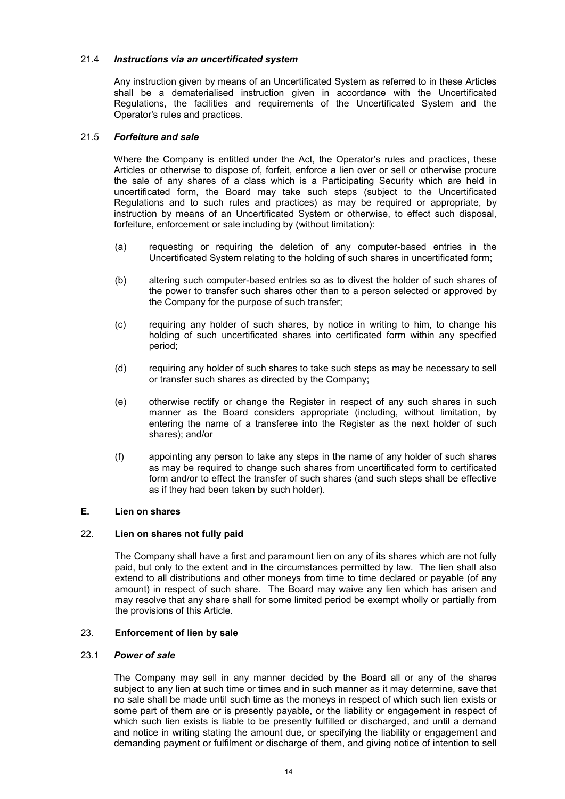# 21.4 *Instructions via an uncertificated system*

Any instruction given by means of an Uncertificated System as referred to in these Articles shall be a dematerialised instruction given in accordance with the Uncertificated Regulations, the facilities and requirements of the Uncertificated System and the Operator's rules and practices.

# 21.5 *Forfeiture and sale*

Where the Company is entitled under the Act, the Operator's rules and practices, these Articles or otherwise to dispose of, forfeit, enforce a lien over or sell or otherwise procure the sale of any shares of a class which is a Participating Security which are held in uncertificated form, the Board may take such steps (subject to the Uncertificated Regulations and to such rules and practices) as may be required or appropriate, by instruction by means of an Uncertificated System or otherwise, to effect such disposal, forfeiture, enforcement or sale including by (without limitation):

- (a) requesting or requiring the deletion of any computer-based entries in the Uncertificated System relating to the holding of such shares in uncertificated form;
- (b) altering such computer-based entries so as to divest the holder of such shares of the power to transfer such shares other than to a person selected or approved by the Company for the purpose of such transfer;
- (c) requiring any holder of such shares, by notice in writing to him, to change his holding of such uncertificated shares into certificated form within any specified period;
- (d) requiring any holder of such shares to take such steps as may be necessary to sell or transfer such shares as directed by the Company;
- (e) otherwise rectify or change the Register in respect of any such shares in such manner as the Board considers appropriate (including, without limitation, by entering the name of a transferee into the Register as the next holder of such shares); and/or
- (f) appointing any person to take any steps in the name of any holder of such shares as may be required to change such shares from uncertificated form to certificated form and/or to effect the transfer of such shares (and such steps shall be effective as if they had been taken by such holder).

### **E. Lien on shares**

# 22. **Lien on shares not fully paid**

The Company shall have a first and paramount lien on any of its shares which are not fully paid, but only to the extent and in the circumstances permitted by law. The lien shall also extend to all distributions and other moneys from time to time declared or payable (of any amount) in respect of such share. The Board may waive any lien which has arisen and may resolve that any share shall for some limited period be exempt wholly or partially from the provisions of this Article.

# 23. **Enforcement of lien by sale**

### 23.1 *Power of sale*

The Company may sell in any manner decided by the Board all or any of the shares subject to any lien at such time or times and in such manner as it may determine, save that no sale shall be made until such time as the moneys in respect of which such lien exists or some part of them are or is presently payable, or the liability or engagement in respect of which such lien exists is liable to be presently fulfilled or discharged, and until a demand and notice in writing stating the amount due, or specifying the liability or engagement and demanding payment or fulfilment or discharge of them, and giving notice of intention to sell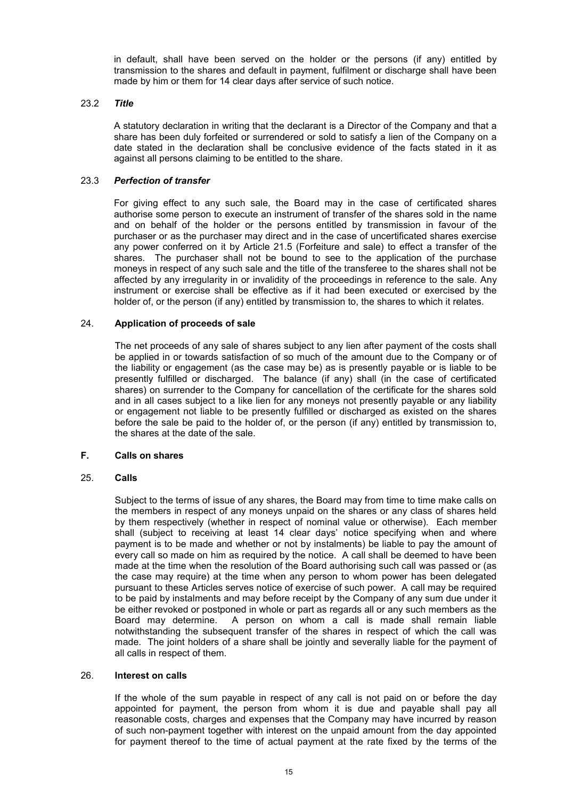in default, shall have been served on the holder or the persons (if any) entitled by transmission to the shares and default in payment, fulfilment or discharge shall have been made by him or them for 14 clear days after service of such notice.

# 23.2 *Title*

A statutory declaration in writing that the declarant is a Director of the Company and that a share has been duly forfeited or surrendered or sold to satisfy a lien of the Company on a date stated in the declaration shall be conclusive evidence of the facts stated in it as against all persons claiming to be entitled to the share.

# 23.3 *Perfection of transfer*

For giving effect to any such sale, the Board may in the case of certificated shares authorise some person to execute an instrument of transfer of the shares sold in the name and on behalf of the holder or the persons entitled by transmission in favour of the purchaser or as the purchaser may direct and in the case of uncertificated shares exercise any power conferred on it by Article 21.5 (Forfeiture and sale) to effect a transfer of the shares. The purchaser shall not be bound to see to the application of the purchase moneys in respect of any such sale and the title of the transferee to the shares shall not be affected by any irregularity in or invalidity of the proceedings in reference to the sale. Any instrument or exercise shall be effective as if it had been executed or exercised by the holder of, or the person (if any) entitled by transmission to, the shares to which it relates.

# 24. **Application of proceeds of sale**

The net proceeds of any sale of shares subject to any lien after payment of the costs shall be applied in or towards satisfaction of so much of the amount due to the Company or of the liability or engagement (as the case may be) as is presently payable or is liable to be presently fulfilled or discharged. The balance (if any) shall (in the case of certificated shares) on surrender to the Company for cancellation of the certificate for the shares sold and in all cases subject to a like lien for any moneys not presently payable or any liability or engagement not liable to be presently fulfilled or discharged as existed on the shares before the sale be paid to the holder of, or the person (if any) entitled by transmission to, the shares at the date of the sale.

# **F. Calls on shares**

### 25. **Calls**

Subject to the terms of issue of any shares, the Board may from time to time make calls on the members in respect of any moneys unpaid on the shares or any class of shares held by them respectively (whether in respect of nominal value or otherwise). Each member shall (subject to receiving at least 14 clear days' notice specifying when and where payment is to be made and whether or not by instalments) be liable to pay the amount of every call so made on him as required by the notice. A call shall be deemed to have been made at the time when the resolution of the Board authorising such call was passed or (as the case may require) at the time when any person to whom power has been delegated pursuant to these Articles serves notice of exercise of such power. A call may be required to be paid by instalments and may before receipt by the Company of any sum due under it be either revoked or postponed in whole or part as regards all or any such members as the Board may determine. A person on whom a call is made shall remain liable notwithstanding the subsequent transfer of the shares in respect of which the call was made. The joint holders of a share shall be jointly and severally liable for the payment of all calls in respect of them.

# 26. **Interest on calls**

If the whole of the sum payable in respect of any call is not paid on or before the day appointed for payment, the person from whom it is due and payable shall pay all reasonable costs, charges and expenses that the Company may have incurred by reason of such non-payment together with interest on the unpaid amount from the day appointed for payment thereof to the time of actual payment at the rate fixed by the terms of the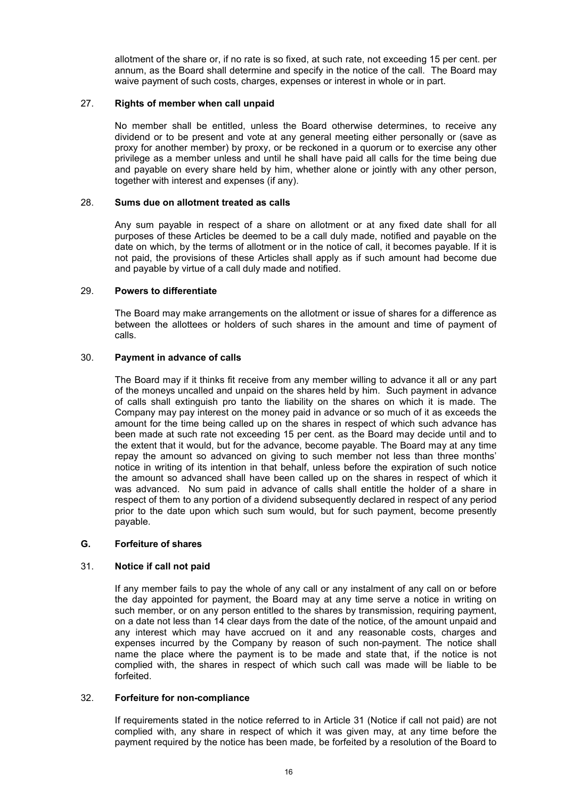allotment of the share or, if no rate is so fixed, at such rate, not exceeding 15 per cent. per annum, as the Board shall determine and specify in the notice of the call. The Board may waive payment of such costs, charges, expenses or interest in whole or in part.

# 27. **Rights of member when call unpaid**

No member shall be entitled, unless the Board otherwise determines, to receive any dividend or to be present and vote at any general meeting either personally or (save as proxy for another member) by proxy, or be reckoned in a quorum or to exercise any other privilege as a member unless and until he shall have paid all calls for the time being due and payable on every share held by him, whether alone or jointly with any other person, together with interest and expenses (if any).

# 28. **Sums due on allotment treated as calls**

Any sum payable in respect of a share on allotment or at any fixed date shall for all purposes of these Articles be deemed to be a call duly made, notified and payable on the date on which, by the terms of allotment or in the notice of call, it becomes payable. If it is not paid, the provisions of these Articles shall apply as if such amount had become due and payable by virtue of a call duly made and notified.

# 29. **Powers to differentiate**

The Board may make arrangements on the allotment or issue of shares for a difference as between the allottees or holders of such shares in the amount and time of payment of calls.

# 30. **Payment in advance of calls**

The Board may if it thinks fit receive from any member willing to advance it all or any part of the moneys uncalled and unpaid on the shares held by him. Such payment in advance of calls shall extinguish pro tanto the liability on the shares on which it is made. The Company may pay interest on the money paid in advance or so much of it as exceeds the amount for the time being called up on the shares in respect of which such advance has been made at such rate not exceeding 15 per cent. as the Board may decide until and to the extent that it would, but for the advance, become payable. The Board may at any time repay the amount so advanced on giving to such member not less than three months' notice in writing of its intention in that behalf, unless before the expiration of such notice the amount so advanced shall have been called up on the shares in respect of which it was advanced. No sum paid in advance of calls shall entitle the holder of a share in respect of them to any portion of a dividend subsequently declared in respect of any period prior to the date upon which such sum would, but for such payment, become presently payable.

### **G. Forfeiture of shares**

# 31. **Notice if call not paid**

If any member fails to pay the whole of any call or any instalment of any call on or before the day appointed for payment, the Board may at any time serve a notice in writing on such member, or on any person entitled to the shares by transmission, requiring payment, on a date not less than 14 clear days from the date of the notice, of the amount unpaid and any interest which may have accrued on it and any reasonable costs, charges and expenses incurred by the Company by reason of such non-payment. The notice shall name the place where the payment is to be made and state that, if the notice is not complied with, the shares in respect of which such call was made will be liable to be forfeited.

### 32. **Forfeiture for non-compliance**

If requirements stated in the notice referred to in Article 31 (Notice if call not paid) are not complied with, any share in respect of which it was given may, at any time before the payment required by the notice has been made, be forfeited by a resolution of the Board to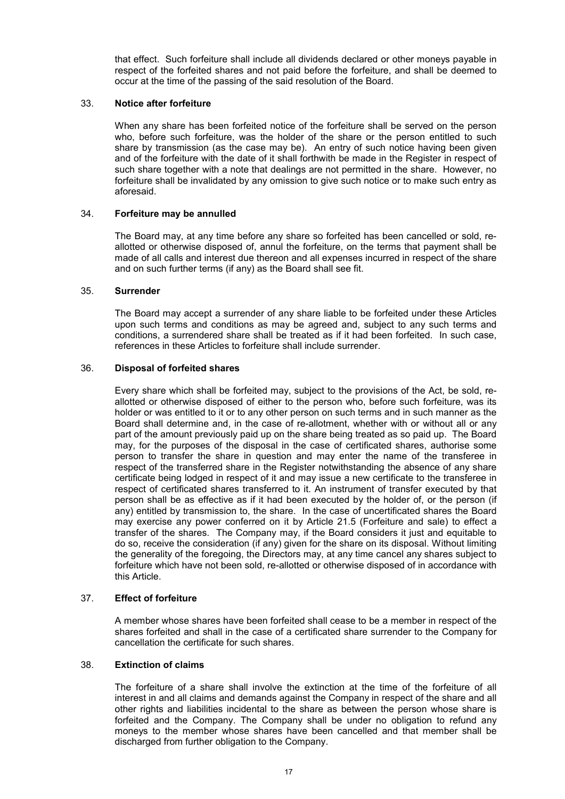that effect. Such forfeiture shall include all dividends declared or other moneys payable in respect of the forfeited shares and not paid before the forfeiture, and shall be deemed to occur at the time of the passing of the said resolution of the Board.

# 33. **Notice after forfeiture**

When any share has been forfeited notice of the forfeiture shall be served on the person who, before such forfeiture, was the holder of the share or the person entitled to such share by transmission (as the case may be). An entry of such notice having been given and of the forfeiture with the date of it shall forthwith be made in the Register in respect of such share together with a note that dealings are not permitted in the share. However, no forfeiture shall be invalidated by any omission to give such notice or to make such entry as aforesaid.

# 34. **Forfeiture may be annulled**

The Board may, at any time before any share so forfeited has been cancelled or sold, reallotted or otherwise disposed of, annul the forfeiture, on the terms that payment shall be made of all calls and interest due thereon and all expenses incurred in respect of the share and on such further terms (if any) as the Board shall see fit.

# 35. **Surrender**

The Board may accept a surrender of any share liable to be forfeited under these Articles upon such terms and conditions as may be agreed and, subject to any such terms and conditions, a surrendered share shall be treated as if it had been forfeited. In such case, references in these Articles to forfeiture shall include surrender.

# 36. **Disposal of forfeited shares**

Every share which shall be forfeited may, subject to the provisions of the Act, be sold, reallotted or otherwise disposed of either to the person who, before such forfeiture, was its holder or was entitled to it or to any other person on such terms and in such manner as the Board shall determine and, in the case of re-allotment, whether with or without all or any part of the amount previously paid up on the share being treated as so paid up. The Board may, for the purposes of the disposal in the case of certificated shares, authorise some person to transfer the share in question and may enter the name of the transferee in respect of the transferred share in the Register notwithstanding the absence of any share certificate being lodged in respect of it and may issue a new certificate to the transferee in respect of certificated shares transferred to it. An instrument of transfer executed by that person shall be as effective as if it had been executed by the holder of, or the person (if any) entitled by transmission to, the share. In the case of uncertificated shares the Board may exercise any power conferred on it by Article 21.5 (Forfeiture and sale) to effect a transfer of the shares. The Company may, if the Board considers it just and equitable to do so, receive the consideration (if any) given for the share on its disposal. Without limiting the generality of the foregoing, the Directors may, at any time cancel any shares subject to forfeiture which have not been sold, re-allotted or otherwise disposed of in accordance with this Article.

# 37. **Effect of forfeiture**

A member whose shares have been forfeited shall cease to be a member in respect of the shares forfeited and shall in the case of a certificated share surrender to the Company for cancellation the certificate for such shares.

# 38. **Extinction of claims**

The forfeiture of a share shall involve the extinction at the time of the forfeiture of all interest in and all claims and demands against the Company in respect of the share and all other rights and liabilities incidental to the share as between the person whose share is forfeited and the Company. The Company shall be under no obligation to refund any moneys to the member whose shares have been cancelled and that member shall be discharged from further obligation to the Company.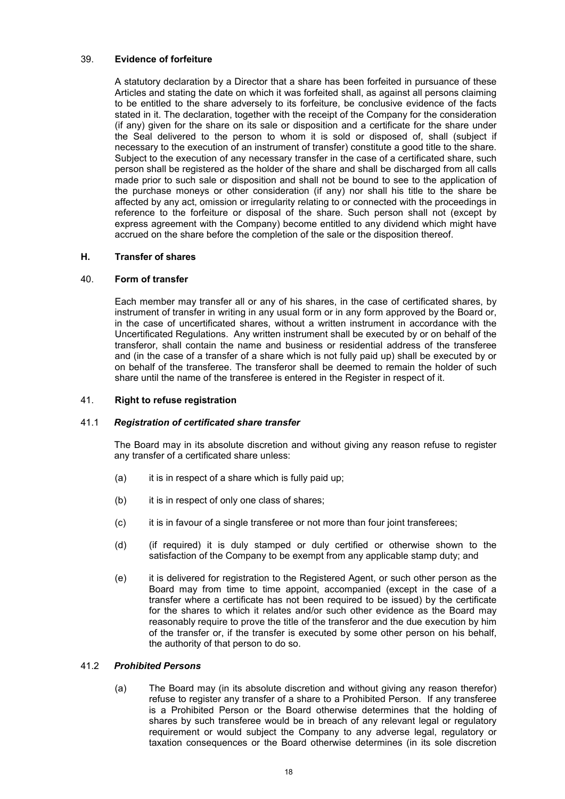# 39. **Evidence of forfeiture**

A statutory declaration by a Director that a share has been forfeited in pursuance of these Articles and stating the date on which it was forfeited shall, as against all persons claiming to be entitled to the share adversely to its forfeiture, be conclusive evidence of the facts stated in it. The declaration, together with the receipt of the Company for the consideration (if any) given for the share on its sale or disposition and a certificate for the share under the Seal delivered to the person to whom it is sold or disposed of, shall (subject if necessary to the execution of an instrument of transfer) constitute a good title to the share. Subject to the execution of any necessary transfer in the case of a certificated share, such person shall be registered as the holder of the share and shall be discharged from all calls made prior to such sale or disposition and shall not be bound to see to the application of the purchase moneys or other consideration (if any) nor shall his title to the share be affected by any act, omission or irregularity relating to or connected with the proceedings in reference to the forfeiture or disposal of the share. Such person shall not (except by express agreement with the Company) become entitled to any dividend which might have accrued on the share before the completion of the sale or the disposition thereof.

# **H. Transfer of shares**

# 40. **Form of transfer**

Each member may transfer all or any of his shares, in the case of certificated shares, by instrument of transfer in writing in any usual form or in any form approved by the Board or, in the case of uncertificated shares, without a written instrument in accordance with the Uncertificated Regulations. Any written instrument shall be executed by or on behalf of the transferor, shall contain the name and business or residential address of the transferee and (in the case of a transfer of a share which is not fully paid up) shall be executed by or on behalf of the transferee. The transferor shall be deemed to remain the holder of such share until the name of the transferee is entered in the Register in respect of it.

# 41. **Right to refuse registration**

### 41.1 *Registration of certificated share transfer*

The Board may in its absolute discretion and without giving any reason refuse to register any transfer of a certificated share unless:

- (a) it is in respect of a share which is fully paid up;
- (b) it is in respect of only one class of shares;
- (c) it is in favour of a single transferee or not more than four joint transferees;
- (d) (if required) it is duly stamped or duly certified or otherwise shown to the satisfaction of the Company to be exempt from any applicable stamp duty; and
- (e) it is delivered for registration to the Registered Agent, or such other person as the Board may from time to time appoint, accompanied (except in the case of a transfer where a certificate has not been required to be issued) by the certificate for the shares to which it relates and/or such other evidence as the Board may reasonably require to prove the title of the transferor and the due execution by him of the transfer or, if the transfer is executed by some other person on his behalf, the authority of that person to do so.

### 41.2 *Prohibited Persons*

(a) The Board may (in its absolute discretion and without giving any reason therefor) refuse to register any transfer of a share to a Prohibited Person. If any transferee is a Prohibited Person or the Board otherwise determines that the holding of shares by such transferee would be in breach of any relevant legal or regulatory requirement or would subject the Company to any adverse legal, regulatory or taxation consequences or the Board otherwise determines (in its sole discretion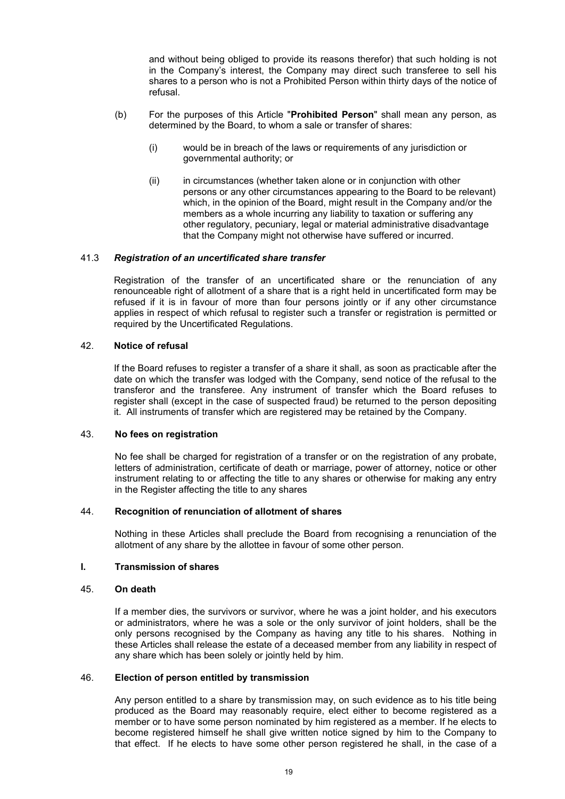and without being obliged to provide its reasons therefor) that such holding is not in the Company's interest, the Company may direct such transferee to sell his shares to a person who is not a Prohibited Person within thirty days of the notice of refusal.

- (b) For the purposes of this Article "**Prohibited Person**" shall mean any person, as determined by the Board, to whom a sale or transfer of shares:
	- (i) would be in breach of the laws or requirements of any jurisdiction or governmental authority; or
	- (ii) in circumstances (whether taken alone or in conjunction with other persons or any other circumstances appearing to the Board to be relevant) which, in the opinion of the Board, might result in the Company and/or the members as a whole incurring any liability to taxation or suffering any other regulatory, pecuniary, legal or material administrative disadvantage that the Company might not otherwise have suffered or incurred.

### 41.3 *Registration of an uncertificated share transfer*

Registration of the transfer of an uncertificated share or the renunciation of any renounceable right of allotment of a share that is a right held in uncertificated form may be refused if it is in favour of more than four persons jointly or if any other circumstance applies in respect of which refusal to register such a transfer or registration is permitted or required by the Uncertificated Regulations.

### 42. **Notice of refusal**

If the Board refuses to register a transfer of a share it shall, as soon as practicable after the date on which the transfer was lodged with the Company, send notice of the refusal to the transferor and the transferee. Any instrument of transfer which the Board refuses to register shall (except in the case of suspected fraud) be returned to the person depositing it. All instruments of transfer which are registered may be retained by the Company.

### 43. **No fees on registration**

No fee shall be charged for registration of a transfer or on the registration of any probate, letters of administration, certificate of death or marriage, power of attorney, notice or other instrument relating to or affecting the title to any shares or otherwise for making any entry in the Register affecting the title to any shares

### 44. **Recognition of renunciation of allotment of shares**

Nothing in these Articles shall preclude the Board from recognising a renunciation of the allotment of any share by the allottee in favour of some other person.

### **I. Transmission of shares**

# 45. **On death**

If a member dies, the survivors or survivor, where he was a joint holder, and his executors or administrators, where he was a sole or the only survivor of joint holders, shall be the only persons recognised by the Company as having any title to his shares. Nothing in these Articles shall release the estate of a deceased member from any liability in respect of any share which has been solely or jointly held by him.

### 46. **Election of person entitled by transmission**

Any person entitled to a share by transmission may, on such evidence as to his title being produced as the Board may reasonably require, elect either to become registered as a member or to have some person nominated by him registered as a member. If he elects to become registered himself he shall give written notice signed by him to the Company to that effect. If he elects to have some other person registered he shall, in the case of a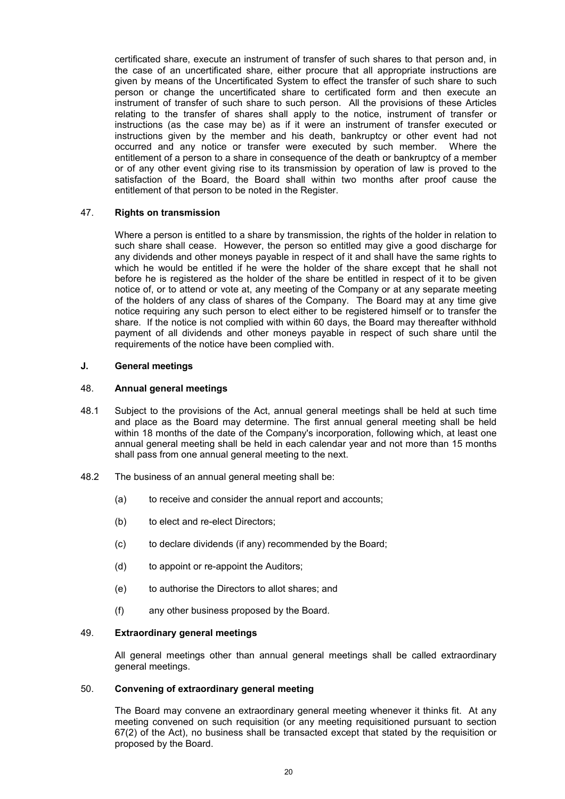certificated share, execute an instrument of transfer of such shares to that person and, in the case of an uncertificated share, either procure that all appropriate instructions are given by means of the Uncertificated System to effect the transfer of such share to such person or change the uncertificated share to certificated form and then execute an instrument of transfer of such share to such person. All the provisions of these Articles relating to the transfer of shares shall apply to the notice, instrument of transfer or instructions (as the case may be) as if it were an instrument of transfer executed or instructions given by the member and his death, bankruptcy or other event had not occurred and any notice or transfer were executed by such member. Where the entitlement of a person to a share in consequence of the death or bankruptcy of a member or of any other event giving rise to its transmission by operation of law is proved to the satisfaction of the Board, the Board shall within two months after proof cause the entitlement of that person to be noted in the Register.

# 47. **Rights on transmission**

Where a person is entitled to a share by transmission, the rights of the holder in relation to such share shall cease. However, the person so entitled may give a good discharge for any dividends and other moneys payable in respect of it and shall have the same rights to which he would be entitled if he were the holder of the share except that he shall not before he is registered as the holder of the share be entitled in respect of it to be given notice of, or to attend or vote at, any meeting of the Company or at any separate meeting of the holders of any class of shares of the Company. The Board may at any time give notice requiring any such person to elect either to be registered himself or to transfer the share. If the notice is not complied with within 60 days, the Board may thereafter withhold payment of all dividends and other moneys payable in respect of such share until the requirements of the notice have been complied with.

### **J. General meetings**

### 48. **Annual general meetings**

- 48.1 Subject to the provisions of the Act, annual general meetings shall be held at such time and place as the Board may determine. The first annual general meeting shall be held within 18 months of the date of the Company's incorporation, following which, at least one annual general meeting shall be held in each calendar year and not more than 15 months shall pass from one annual general meeting to the next.
- 48.2 The business of an annual general meeting shall be:
	- (a) to receive and consider the annual report and accounts;
	- (b) to elect and re-elect Directors;
	- (c) to declare dividends (if any) recommended by the Board;
	- (d) to appoint or re-appoint the Auditors;
	- (e) to authorise the Directors to allot shares; and
	- (f) any other business proposed by the Board.

# 49. **Extraordinary general meetings**

All general meetings other than annual general meetings shall be called extraordinary general meetings.

# 50. **Convening of extraordinary general meeting**

The Board may convene an extraordinary general meeting whenever it thinks fit. At any meeting convened on such requisition (or any meeting requisitioned pursuant to section 67(2) of the Act), no business shall be transacted except that stated by the requisition or proposed by the Board.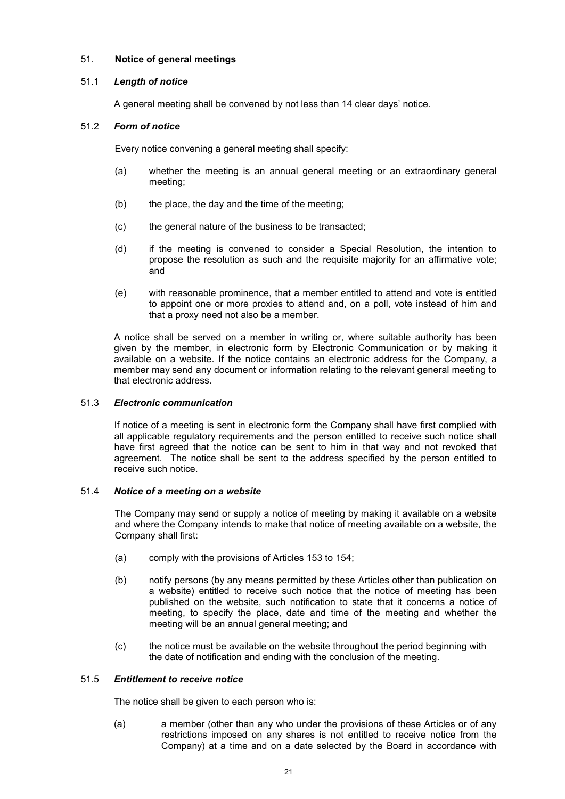# 51. **Notice of general meetings**

# 51.1 *Length of notice*

A general meeting shall be convened by not less than 14 clear days' notice.

# 51.2 *Form of notice*

Every notice convening a general meeting shall specify:

- (a) whether the meeting is an annual general meeting or an extraordinary general meeting;
- (b) the place, the day and the time of the meeting;
- (c) the general nature of the business to be transacted;
- (d) if the meeting is convened to consider a Special Resolution, the intention to propose the resolution as such and the requisite majority for an affirmative vote; and
- (e) with reasonable prominence, that a member entitled to attend and vote is entitled to appoint one or more proxies to attend and, on a poll, vote instead of him and that a proxy need not also be a member.

A notice shall be served on a member in writing or, where suitable authority has been given by the member, in electronic form by Electronic Communication or by making it available on a website. If the notice contains an electronic address for the Company, a member may send any document or information relating to the relevant general meeting to that electronic address.

# 51.3 *Electronic communication*

If notice of a meeting is sent in electronic form the Company shall have first complied with all applicable regulatory requirements and the person entitled to receive such notice shall have first agreed that the notice can be sent to him in that way and not revoked that agreement. The notice shall be sent to the address specified by the person entitled to receive such notice.

### 51.4 *Notice of a meeting on a website*

The Company may send or supply a notice of meeting by making it available on a website and where the Company intends to make that notice of meeting available on a website, the Company shall first:

- (a) comply with the provisions of Articles 153 to 154;
- (b) notify persons (by any means permitted by these Articles other than publication on a website) entitled to receive such notice that the notice of meeting has been published on the website, such notification to state that it concerns a notice of meeting, to specify the place, date and time of the meeting and whether the meeting will be an annual general meeting; and
- (c) the notice must be available on the website throughout the period beginning with the date of notification and ending with the conclusion of the meeting.

### 51.5 *Entitlement to receive notice*

The notice shall be given to each person who is:

(a) a member (other than any who under the provisions of these Articles or of any restrictions imposed on any shares is not entitled to receive notice from the Company) at a time and on a date selected by the Board in accordance with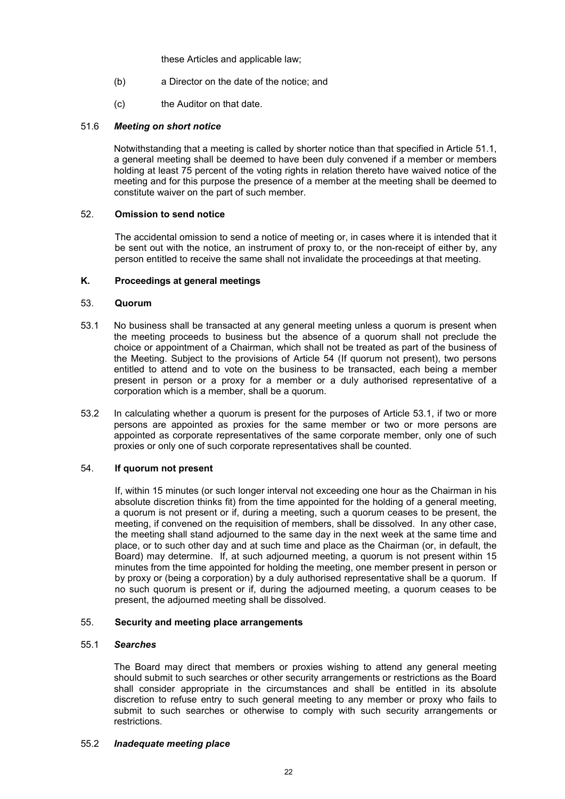these Articles and applicable law;

- (b) a Director on the date of the notice; and
- (c) the Auditor on that date.

# 51.6 *Meeting on short notice*

Notwithstanding that a meeting is called by shorter notice than that specified in Article 51.1, a general meeting shall be deemed to have been duly convened if a member or members holding at least 75 percent of the voting rights in relation thereto have waived notice of the meeting and for this purpose the presence of a member at the meeting shall be deemed to constitute waiver on the part of such member.

# 52. **Omission to send notice**

The accidental omission to send a notice of meeting or, in cases where it is intended that it be sent out with the notice, an instrument of proxy to, or the non-receipt of either by, any person entitled to receive the same shall not invalidate the proceedings at that meeting.

# **K. Proceedings at general meetings**

# 53. **Quorum**

- 53.1 No business shall be transacted at any general meeting unless a quorum is present when the meeting proceeds to business but the absence of a quorum shall not preclude the choice or appointment of a Chairman, which shall not be treated as part of the business of the Meeting. Subject to the provisions of Article 54 (If quorum not present), two persons entitled to attend and to vote on the business to be transacted, each being a member present in person or a proxy for a member or a duly authorised representative of a corporation which is a member, shall be a quorum.
- 53.2 In calculating whether a quorum is present for the purposes of Article 53.1, if two or more persons are appointed as proxies for the same member or two or more persons are appointed as corporate representatives of the same corporate member, only one of such proxies or only one of such corporate representatives shall be counted.

# 54. **If quorum not present**

If, within 15 minutes (or such longer interval not exceeding one hour as the Chairman in his absolute discretion thinks fit) from the time appointed for the holding of a general meeting, a quorum is not present or if, during a meeting, such a quorum ceases to be present, the meeting, if convened on the requisition of members, shall be dissolved. In any other case, the meeting shall stand adjourned to the same day in the next week at the same time and place, or to such other day and at such time and place as the Chairman (or, in default, the Board) may determine. If, at such adjourned meeting, a quorum is not present within 15 minutes from the time appointed for holding the meeting, one member present in person or by proxy or (being a corporation) by a duly authorised representative shall be a quorum. If no such quorum is present or if, during the adjourned meeting, a quorum ceases to be present, the adjourned meeting shall be dissolved.

# 55. **Security and meeting place arrangements**

### 55.1 *Searches*

The Board may direct that members or proxies wishing to attend any general meeting should submit to such searches or other security arrangements or restrictions as the Board shall consider appropriate in the circumstances and shall be entitled in its absolute discretion to refuse entry to such general meeting to any member or proxy who fails to submit to such searches or otherwise to comply with such security arrangements or restrictions.

### 55.2 *Inadequate meeting place*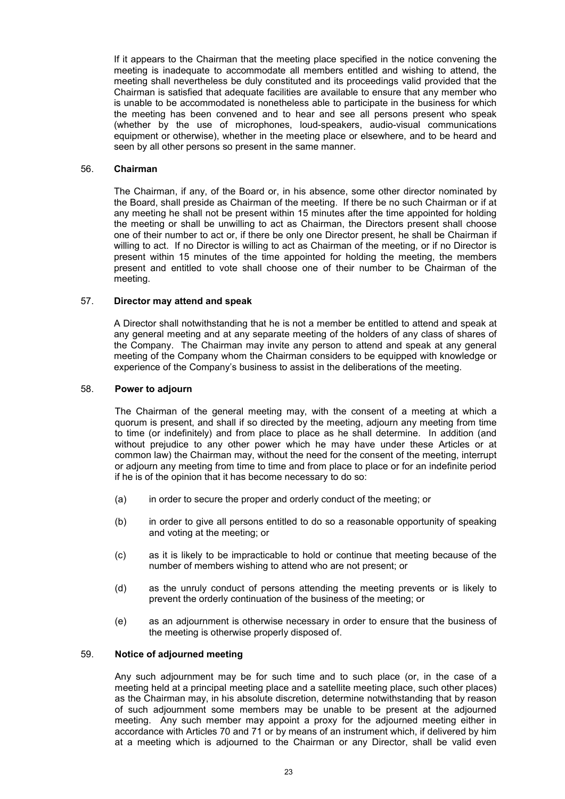If it appears to the Chairman that the meeting place specified in the notice convening the meeting is inadequate to accommodate all members entitled and wishing to attend, the meeting shall nevertheless be duly constituted and its proceedings valid provided that the Chairman is satisfied that adequate facilities are available to ensure that any member who is unable to be accommodated is nonetheless able to participate in the business for which the meeting has been convened and to hear and see all persons present who speak (whether by the use of microphones, loud-speakers, audio-visual communications equipment or otherwise), whether in the meeting place or elsewhere, and to be heard and seen by all other persons so present in the same manner.

### 56. **Chairman**

The Chairman, if any, of the Board or, in his absence, some other director nominated by the Board, shall preside as Chairman of the meeting. If there be no such Chairman or if at any meeting he shall not be present within 15 minutes after the time appointed for holding the meeting or shall be unwilling to act as Chairman, the Directors present shall choose one of their number to act or, if there be only one Director present, he shall be Chairman if willing to act. If no Director is willing to act as Chairman of the meeting, or if no Director is present within 15 minutes of the time appointed for holding the meeting, the members present and entitled to vote shall choose one of their number to be Chairman of the meeting.

# 57. **Director may attend and speak**

A Director shall notwithstanding that he is not a member be entitled to attend and speak at any general meeting and at any separate meeting of the holders of any class of shares of the Company. The Chairman may invite any person to attend and speak at any general meeting of the Company whom the Chairman considers to be equipped with knowledge or experience of the Company's business to assist in the deliberations of the meeting.

# 58. **Power to adjourn**

The Chairman of the general meeting may, with the consent of a meeting at which a quorum is present, and shall if so directed by the meeting, adjourn any meeting from time to time (or indefinitely) and from place to place as he shall determine. In addition (and without prejudice to any other power which he may have under these Articles or at common law) the Chairman may, without the need for the consent of the meeting, interrupt or adjourn any meeting from time to time and from place to place or for an indefinite period if he is of the opinion that it has become necessary to do so:

- (a) in order to secure the proper and orderly conduct of the meeting; or
- (b) in order to give all persons entitled to do so a reasonable opportunity of speaking and voting at the meeting; or
- (c) as it is likely to be impracticable to hold or continue that meeting because of the number of members wishing to attend who are not present; or
- (d) as the unruly conduct of persons attending the meeting prevents or is likely to prevent the orderly continuation of the business of the meeting; or
- (e) as an adjournment is otherwise necessary in order to ensure that the business of the meeting is otherwise properly disposed of.

### 59. **Notice of adjourned meeting**

Any such adjournment may be for such time and to such place (or, in the case of a meeting held at a principal meeting place and a satellite meeting place, such other places) as the Chairman may, in his absolute discretion, determine notwithstanding that by reason of such adjournment some members may be unable to be present at the adjourned meeting. Any such member may appoint a proxy for the adjourned meeting either in accordance with Articles 70 and 71 or by means of an instrument which, if delivered by him at a meeting which is adjourned to the Chairman or any Director, shall be valid even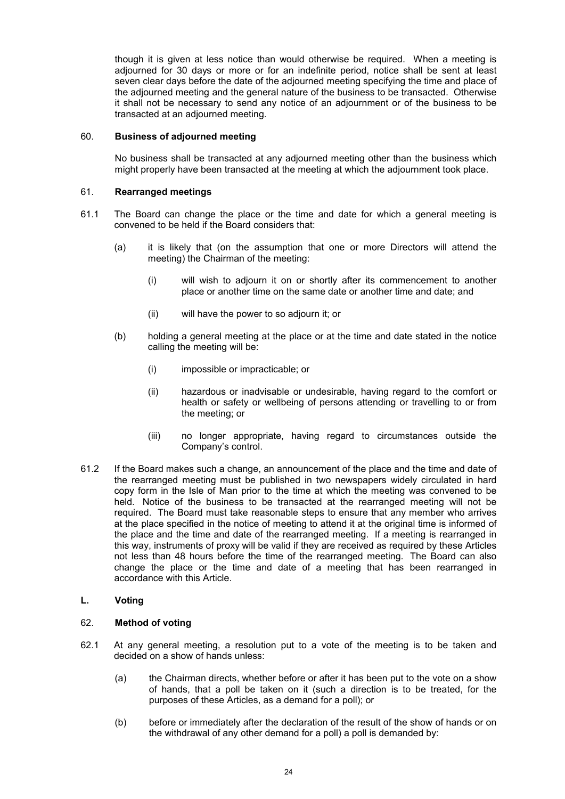though it is given at less notice than would otherwise be required. When a meeting is adjourned for 30 days or more or for an indefinite period, notice shall be sent at least seven clear days before the date of the adjourned meeting specifying the time and place of the adjourned meeting and the general nature of the business to be transacted. Otherwise it shall not be necessary to send any notice of an adjournment or of the business to be transacted at an adjourned meeting.

# 60. **Business of adjourned meeting**

No business shall be transacted at any adjourned meeting other than the business which might properly have been transacted at the meeting at which the adjournment took place.

# 61. **Rearranged meetings**

- 61.1 The Board can change the place or the time and date for which a general meeting is convened to be held if the Board considers that:
	- (a) it is likely that (on the assumption that one or more Directors will attend the meeting) the Chairman of the meeting:
		- (i) will wish to adjourn it on or shortly after its commencement to another place or another time on the same date or another time and date; and
		- (ii) will have the power to so adjourn it; or
	- (b) holding a general meeting at the place or at the time and date stated in the notice calling the meeting will be:
		- (i) impossible or impracticable; or
		- (ii) hazardous or inadvisable or undesirable, having regard to the comfort or health or safety or wellbeing of persons attending or travelling to or from the meeting; or
		- (iii) no longer appropriate, having regard to circumstances outside the Company's control.
- 61.2 If the Board makes such a change, an announcement of the place and the time and date of the rearranged meeting must be published in two newspapers widely circulated in hard copy form in the Isle of Man prior to the time at which the meeting was convened to be held. Notice of the business to be transacted at the rearranged meeting will not be required. The Board must take reasonable steps to ensure that any member who arrives at the place specified in the notice of meeting to attend it at the original time is informed of the place and the time and date of the rearranged meeting. If a meeting is rearranged in this way, instruments of proxy will be valid if they are received as required by these Articles not less than 48 hours before the time of the rearranged meeting. The Board can also change the place or the time and date of a meeting that has been rearranged in accordance with this Article.

# **L. Voting**

### 62. **Method of voting**

- 62.1 At any general meeting, a resolution put to a vote of the meeting is to be taken and decided on a show of hands unless:
	- (a) the Chairman directs, whether before or after it has been put to the vote on a show of hands, that a poll be taken on it (such a direction is to be treated, for the purposes of these Articles, as a demand for a poll); or
	- (b) before or immediately after the declaration of the result of the show of hands or on the withdrawal of any other demand for a poll) a poll is demanded by: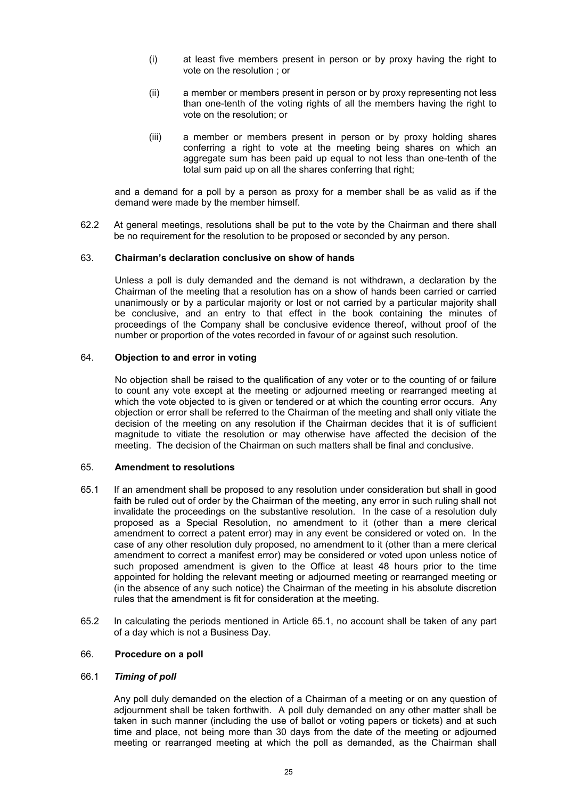- (i) at least five members present in person or by proxy having the right to vote on the resolution ; or
- (ii) a member or members present in person or by proxy representing not less than one-tenth of the voting rights of all the members having the right to vote on the resolution; or
- (iii) a member or members present in person or by proxy holding shares conferring a right to vote at the meeting being shares on which an aggregate sum has been paid up equal to not less than one-tenth of the total sum paid up on all the shares conferring that right;

and a demand for a poll by a person as proxy for a member shall be as valid as if the demand were made by the member himself.

62.2 At general meetings, resolutions shall be put to the vote by the Chairman and there shall be no requirement for the resolution to be proposed or seconded by any person.

### 63. **Chairman's declaration conclusive on show of hands**

Unless a poll is duly demanded and the demand is not withdrawn, a declaration by the Chairman of the meeting that a resolution has on a show of hands been carried or carried unanimously or by a particular majority or lost or not carried by a particular majority shall be conclusive, and an entry to that effect in the book containing the minutes of proceedings of the Company shall be conclusive evidence thereof, without proof of the number or proportion of the votes recorded in favour of or against such resolution.

# 64. **Objection to and error in voting**

No objection shall be raised to the qualification of any voter or to the counting of or failure to count any vote except at the meeting or adjourned meeting or rearranged meeting at which the vote objected to is given or tendered or at which the counting error occurs. Any objection or error shall be referred to the Chairman of the meeting and shall only vitiate the decision of the meeting on any resolution if the Chairman decides that it is of sufficient magnitude to vitiate the resolution or may otherwise have affected the decision of the meeting. The decision of the Chairman on such matters shall be final and conclusive.

### 65. **Amendment to resolutions**

- 65.1 If an amendment shall be proposed to any resolution under consideration but shall in good faith be ruled out of order by the Chairman of the meeting, any error in such ruling shall not invalidate the proceedings on the substantive resolution. In the case of a resolution duly proposed as a Special Resolution, no amendment to it (other than a mere clerical amendment to correct a patent error) may in any event be considered or voted on. In the case of any other resolution duly proposed, no amendment to it (other than a mere clerical amendment to correct a manifest error) may be considered or voted upon unless notice of such proposed amendment is given to the Office at least 48 hours prior to the time appointed for holding the relevant meeting or adjourned meeting or rearranged meeting or (in the absence of any such notice) the Chairman of the meeting in his absolute discretion rules that the amendment is fit for consideration at the meeting.
- 65.2 In calculating the periods mentioned in Article 65.1, no account shall be taken of any part of a day which is not a Business Day.

### 66. **Procedure on a poll**

### 66.1 *Timing of poll*

Any poll duly demanded on the election of a Chairman of a meeting or on any question of adjournment shall be taken forthwith. A poll duly demanded on any other matter shall be taken in such manner (including the use of ballot or voting papers or tickets) and at such time and place, not being more than 30 days from the date of the meeting or adjourned meeting or rearranged meeting at which the poll as demanded, as the Chairman shall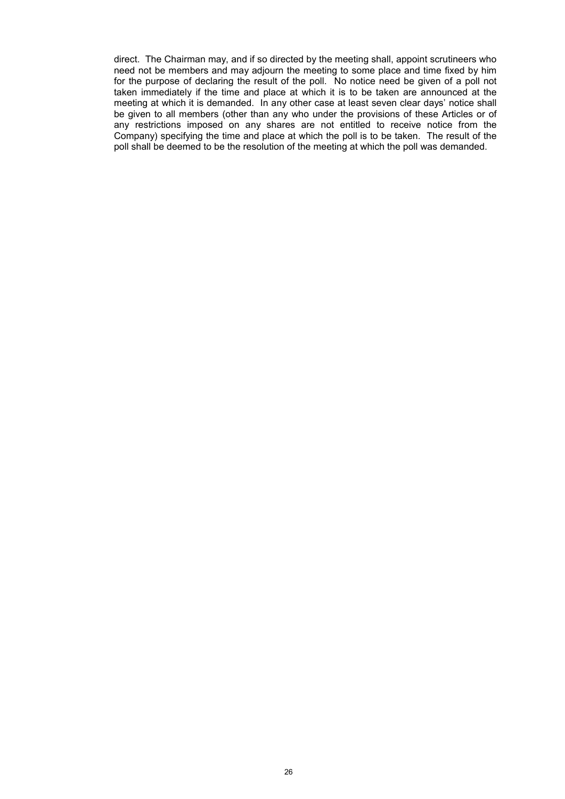direct. The Chairman may, and if so directed by the meeting shall, appoint scrutineers who need not be members and may adjourn the meeting to some place and time fixed by him for the purpose of declaring the result of the poll. No notice need be given of a poll not taken immediately if the time and place at which it is to be taken are announced at the meeting at which it is demanded. In any other case at least seven clear days' notice shall be given to all members (other than any who under the provisions of these Articles or of any restrictions imposed on any shares are not entitled to receive notice from the Company) specifying the time and place at which the poll is to be taken. The result of the poll shall be deemed to be the resolution of the meeting at which the poll was demanded.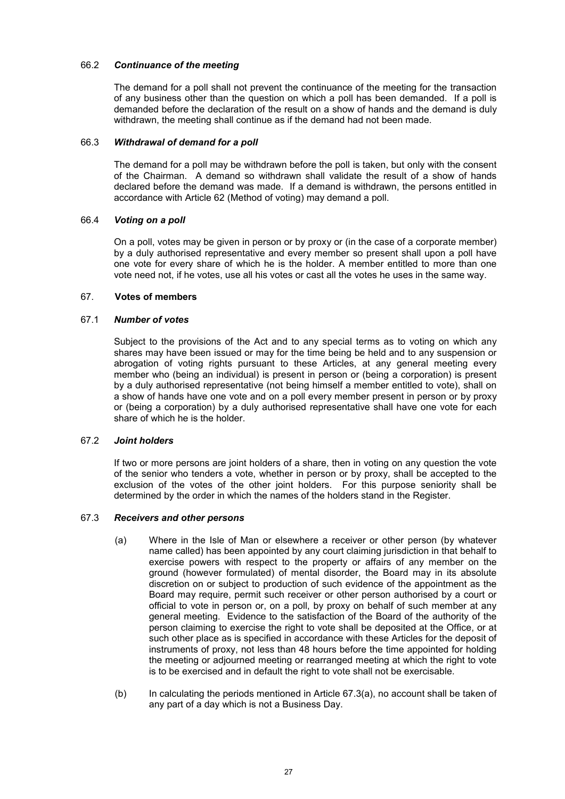# 66.2 *Continuance of the meeting*

The demand for a poll shall not prevent the continuance of the meeting for the transaction of any business other than the question on which a poll has been demanded. If a poll is demanded before the declaration of the result on a show of hands and the demand is duly withdrawn, the meeting shall continue as if the demand had not been made.

# 66.3 *Withdrawal of demand for a poll*

The demand for a poll may be withdrawn before the poll is taken, but only with the consent of the Chairman. A demand so withdrawn shall validate the result of a show of hands declared before the demand was made. If a demand is withdrawn, the persons entitled in accordance with Article 62 (Method of voting) may demand a poll.

# 66.4 *Voting on a poll*

On a poll, votes may be given in person or by proxy or (in the case of a corporate member) by a duly authorised representative and every member so present shall upon a poll have one vote for every share of which he is the holder. A member entitled to more than one vote need not, if he votes, use all his votes or cast all the votes he uses in the same way.

# 67. **Votes of members**

# 67.1 *Number of votes*

Subject to the provisions of the Act and to any special terms as to voting on which any shares may have been issued or may for the time being be held and to any suspension or abrogation of voting rights pursuant to these Articles, at any general meeting every member who (being an individual) is present in person or (being a corporation) is present by a duly authorised representative (not being himself a member entitled to vote), shall on a show of hands have one vote and on a poll every member present in person or by proxy or (being a corporation) by a duly authorised representative shall have one vote for each share of which he is the holder.

# 67.2 *Joint holders*

If two or more persons are joint holders of a share, then in voting on any question the vote of the senior who tenders a vote, whether in person or by proxy, shall be accepted to the exclusion of the votes of the other joint holders. For this purpose seniority shall be determined by the order in which the names of the holders stand in the Register.

### 67.3 *Receivers and other persons*

- (a) Where in the Isle of Man or elsewhere a receiver or other person (by whatever name called) has been appointed by any court claiming jurisdiction in that behalf to exercise powers with respect to the property or affairs of any member on the ground (however formulated) of mental disorder, the Board may in its absolute discretion on or subject to production of such evidence of the appointment as the Board may require, permit such receiver or other person authorised by a court or official to vote in person or, on a poll, by proxy on behalf of such member at any general meeting. Evidence to the satisfaction of the Board of the authority of the person claiming to exercise the right to vote shall be deposited at the Office, or at such other place as is specified in accordance with these Articles for the deposit of instruments of proxy, not less than 48 hours before the time appointed for holding the meeting or adjourned meeting or rearranged meeting at which the right to vote is to be exercised and in default the right to vote shall not be exercisable.
- (b) In calculating the periods mentioned in Article 67.3(a), no account shall be taken of any part of a day which is not a Business Day.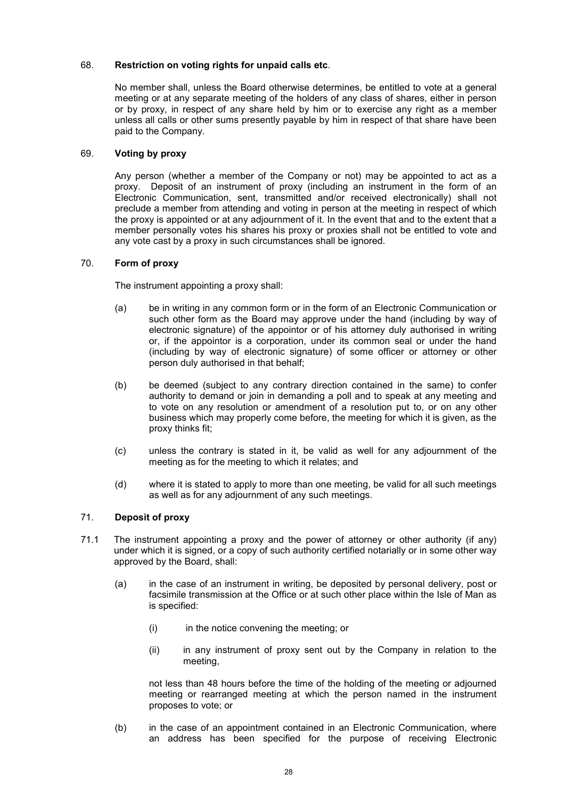# 68. **Restriction on voting rights for unpaid calls etc**.

No member shall, unless the Board otherwise determines, be entitled to vote at a general meeting or at any separate meeting of the holders of any class of shares, either in person or by proxy, in respect of any share held by him or to exercise any right as a member unless all calls or other sums presently payable by him in respect of that share have been paid to the Company.

# 69. **Voting by proxy**

Any person (whether a member of the Company or not) may be appointed to act as a proxy. Deposit of an instrument of proxy (including an instrument in the form of an Electronic Communication, sent, transmitted and/or received electronically) shall not preclude a member from attending and voting in person at the meeting in respect of which the proxy is appointed or at any adjournment of it. In the event that and to the extent that a member personally votes his shares his proxy or proxies shall not be entitled to vote and any vote cast by a proxy in such circumstances shall be ignored.

# 70. **Form of proxy**

The instrument appointing a proxy shall:

- (a) be in writing in any common form or in the form of an Electronic Communication or such other form as the Board may approve under the hand (including by way of electronic signature) of the appointor or of his attorney duly authorised in writing or, if the appointor is a corporation, under its common seal or under the hand (including by way of electronic signature) of some officer or attorney or other person duly authorised in that behalf;
- (b) be deemed (subject to any contrary direction contained in the same) to confer authority to demand or join in demanding a poll and to speak at any meeting and to vote on any resolution or amendment of a resolution put to, or on any other business which may properly come before, the meeting for which it is given, as the proxy thinks fit;
- (c) unless the contrary is stated in it, be valid as well for any adjournment of the meeting as for the meeting to which it relates; and
- (d) where it is stated to apply to more than one meeting, be valid for all such meetings as well as for any adjournment of any such meetings.

# 71. **Deposit of proxy**

- 71.1 The instrument appointing a proxy and the power of attorney or other authority (if any) under which it is signed, or a copy of such authority certified notarially or in some other way approved by the Board, shall:
	- (a) in the case of an instrument in writing, be deposited by personal delivery, post or facsimile transmission at the Office or at such other place within the Isle of Man as is specified:
		- (i) in the notice convening the meeting; or
		- (ii) in any instrument of proxy sent out by the Company in relation to the meeting,

not less than 48 hours before the time of the holding of the meeting or adjourned meeting or rearranged meeting at which the person named in the instrument proposes to vote; or

(b) in the case of an appointment contained in an Electronic Communication, where an address has been specified for the purpose of receiving Electronic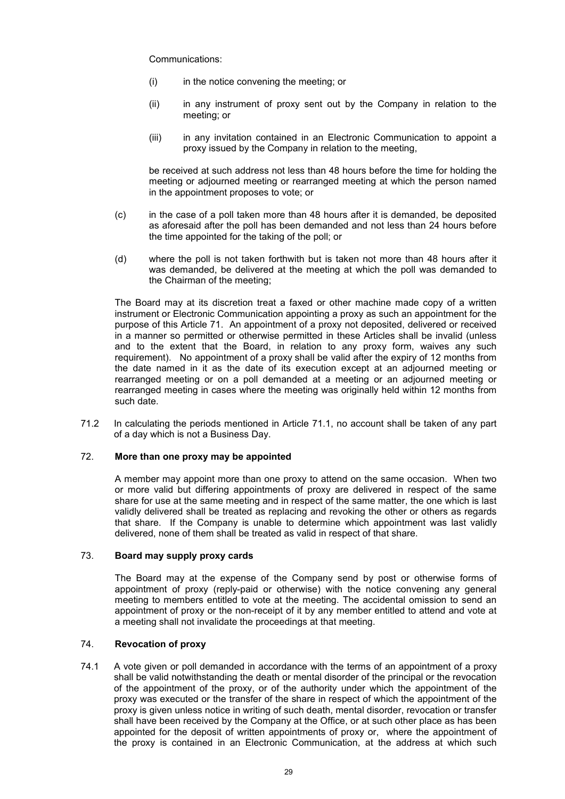Communications:

- (i) in the notice convening the meeting; or
- (ii) in any instrument of proxy sent out by the Company in relation to the meeting; or
- (iii) in any invitation contained in an Electronic Communication to appoint a proxy issued by the Company in relation to the meeting,

be received at such address not less than 48 hours before the time for holding the meeting or adjourned meeting or rearranged meeting at which the person named in the appointment proposes to vote; or

- (c) in the case of a poll taken more than 48 hours after it is demanded, be deposited as aforesaid after the poll has been demanded and not less than 24 hours before the time appointed for the taking of the poll; or
- (d) where the poll is not taken forthwith but is taken not more than 48 hours after it was demanded, be delivered at the meeting at which the poll was demanded to the Chairman of the meeting;

The Board may at its discretion treat a faxed or other machine made copy of a written instrument or Electronic Communication appointing a proxy as such an appointment for the purpose of this Article 71. An appointment of a proxy not deposited, delivered or received in a manner so permitted or otherwise permitted in these Articles shall be invalid (unless and to the extent that the Board, in relation to any proxy form, waives any such requirement). No appointment of a proxy shall be valid after the expiry of 12 months from the date named in it as the date of its execution except at an adjourned meeting or rearranged meeting or on a poll demanded at a meeting or an adjourned meeting or rearranged meeting in cases where the meeting was originally held within 12 months from such date.

71.2 In calculating the periods mentioned in Article 71.1, no account shall be taken of any part of a day which is not a Business Day.

### 72. **More than one proxy may be appointed**

A member may appoint more than one proxy to attend on the same occasion. When two or more valid but differing appointments of proxy are delivered in respect of the same share for use at the same meeting and in respect of the same matter, the one which is last validly delivered shall be treated as replacing and revoking the other or others as regards that share. If the Company is unable to determine which appointment was last validly delivered, none of them shall be treated as valid in respect of that share.

# 73. **Board may supply proxy cards**

The Board may at the expense of the Company send by post or otherwise forms of appointment of proxy (reply-paid or otherwise) with the notice convening any general meeting to members entitled to vote at the meeting. The accidental omission to send an appointment of proxy or the non-receipt of it by any member entitled to attend and vote at a meeting shall not invalidate the proceedings at that meeting.

### 74. **Revocation of proxy**

74.1 A vote given or poll demanded in accordance with the terms of an appointment of a proxy shall be valid notwithstanding the death or mental disorder of the principal or the revocation of the appointment of the proxy, or of the authority under which the appointment of the proxy was executed or the transfer of the share in respect of which the appointment of the proxy is given unless notice in writing of such death, mental disorder, revocation or transfer shall have been received by the Company at the Office, or at such other place as has been appointed for the deposit of written appointments of proxy or, where the appointment of the proxy is contained in an Electronic Communication, at the address at which such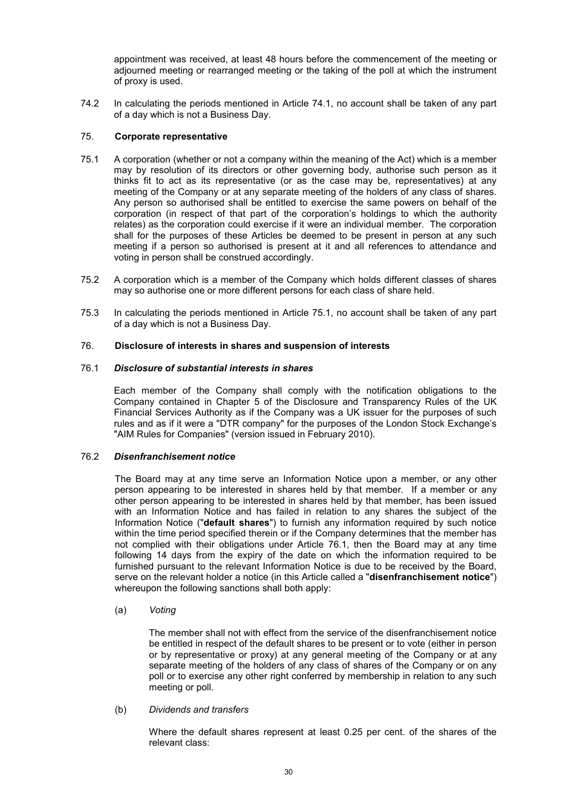appointment was received, at least 48 hours before the commencement of the meeting or adjourned meeting or rearranged meeting or the taking of the poll at which the instrument of proxy is used.

74.2 In calculating the periods mentioned in Article 74.1, no account shall be taken of any part of a day which is not a Business Day.

# 75. **Corporate representative**

- 75.1 A corporation (whether or not a company within the meaning of the Act) which is a member may by resolution of its directors or other governing body, authorise such person as it thinks fit to act as its representative (or as the case may be, representatives) at any meeting of the Company or at any separate meeting of the holders of any class of shares. Any person so authorised shall be entitled to exercise the same powers on behalf of the corporation (in respect of that part of the corporation's holdings to which the authority relates) as the corporation could exercise if it were an individual member. The corporation shall for the purposes of these Articles be deemed to be present in person at any such meeting if a person so authorised is present at it and all references to attendance and voting in person shall be construed accordingly.
- 75.2 A corporation which is a member of the Company which holds different classes of shares may so authorise one or more different persons for each class of share held.
- 75.3 In calculating the periods mentioned in Article 75.1, no account shall be taken of any part of a day which is not a Business Day.

# 76. **Disclosure of interests in shares and suspension of interests**

# 76.1 *Disclosure of substantial interests in shares*

Each member of the Company shall comply with the notification obligations to the Company contained in Chapter 5 of the Disclosure and Transparency Rules of the UK Financial Services Authority as if the Company was a UK issuer for the purposes of such rules and as if it were a "DTR company" for the purposes of the London Stock Exchange's "AIM Rules for Companies" (version issued in February 2010).

### 76.2 *Disenfranchisement notice*

The Board may at any time serve an Information Notice upon a member, or any other person appearing to be interested in shares held by that member. If a member or any other person appearing to be interested in shares held by that member, has been issued with an Information Notice and has failed in relation to any shares the subject of the Information Notice ("**default shares**") to furnish any information required by such notice within the time period specified therein or if the Company determines that the member has not complied with their obligations under Article 76.1, then the Board may at any time following 14 days from the expiry of the date on which the information required to be furnished pursuant to the relevant Information Notice is due to be received by the Board, serve on the relevant holder a notice (in this Article called a "**disenfranchisement notice**") whereupon the following sanctions shall both apply:

### (a) *Voting*

The member shall not with effect from the service of the disenfranchisement notice be entitled in respect of the default shares to be present or to vote (either in person or by representative or proxy) at any general meeting of the Company or at any separate meeting of the holders of any class of shares of the Company or on any poll or to exercise any other right conferred by membership in relation to any such meeting or poll.

### (b) *Dividends and transfers*

Where the default shares represent at least 0.25 per cent. of the shares of the relevant class: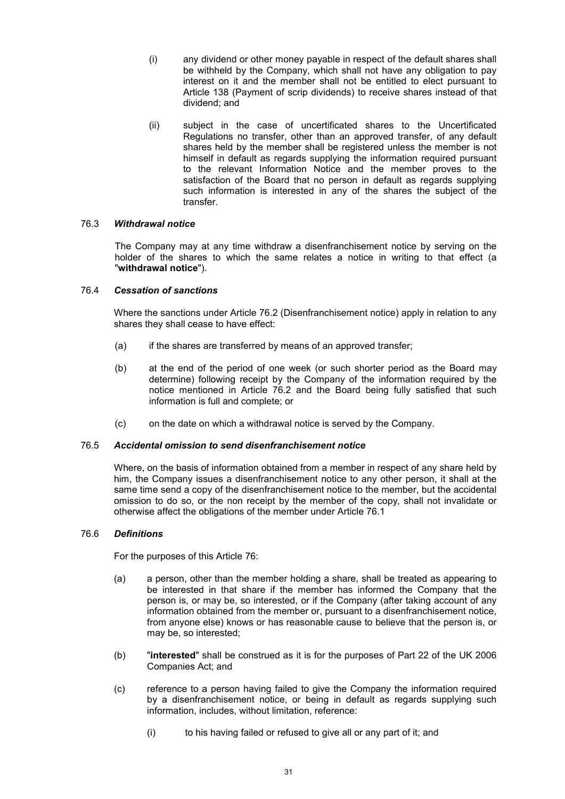- (i) any dividend or other money payable in respect of the default shares shall be withheld by the Company, which shall not have any obligation to pay interest on it and the member shall not be entitled to elect pursuant to Article 138 (Payment of scrip dividends) to receive shares instead of that dividend; and
- (ii) subject in the case of uncertificated shares to the Uncertificated Regulations no transfer, other than an approved transfer, of any default shares held by the member shall be registered unless the member is not himself in default as regards supplying the information required pursuant to the relevant Information Notice and the member proves to the satisfaction of the Board that no person in default as regards supplying such information is interested in any of the shares the subject of the transfer.

# 76.3 *Withdrawal notice*

The Company may at any time withdraw a disenfranchisement notice by serving on the holder of the shares to which the same relates a notice in writing to that effect (a "**withdrawal notice**").

# 76.4 *Cessation of sanctions*

Where the sanctions under Article 76.2 (Disenfranchisement notice) apply in relation to any shares they shall cease to have effect:

- (a) if the shares are transferred by means of an approved transfer;
- (b) at the end of the period of one week (or such shorter period as the Board may determine) following receipt by the Company of the information required by the notice mentioned in Article 76.2 and the Board being fully satisfied that such information is full and complete; or
- (c) on the date on which a withdrawal notice is served by the Company.

### 76.5 *Accidental omission to send disenfranchisement notice*

Where, on the basis of information obtained from a member in respect of any share held by him, the Company issues a disenfranchisement notice to any other person, it shall at the same time send a copy of the disenfranchisement notice to the member, but the accidental omission to do so, or the non receipt by the member of the copy, shall not invalidate or otherwise affect the obligations of the member under Article 76.1

### 76.6 *Definitions*

For the purposes of this Article 76:

- (a) a person, other than the member holding a share, shall be treated as appearing to be interested in that share if the member has informed the Company that the person is, or may be, so interested, or if the Company (after taking account of any information obtained from the member or, pursuant to a disenfranchisement notice, from anyone else) knows or has reasonable cause to believe that the person is, or may be, so interested;
- (b) "**interested**" shall be construed as it is for the purposes of Part 22 of the UK 2006 Companies Act; and
- (c) reference to a person having failed to give the Company the information required by a disenfranchisement notice, or being in default as regards supplying such information, includes, without limitation, reference:
	- (i) to his having failed or refused to give all or any part of it; and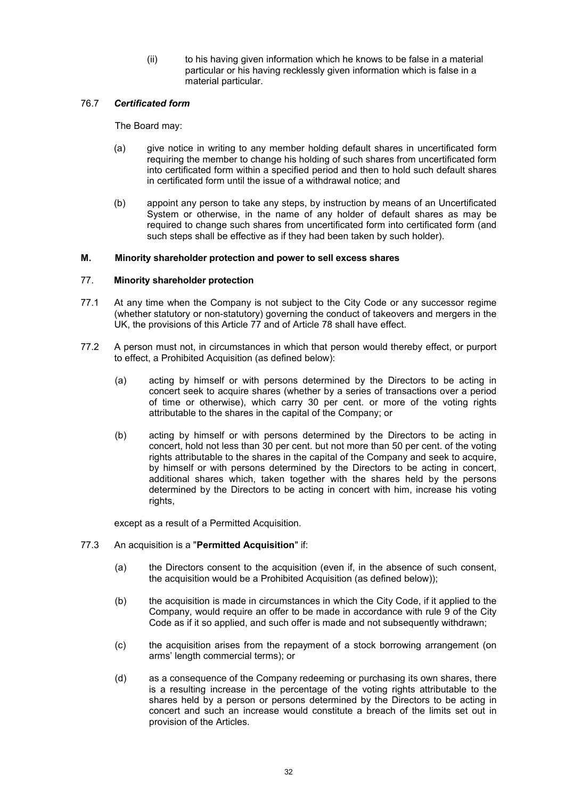(ii) to his having given information which he knows to be false in a material particular or his having recklessly given information which is false in a material particular.

# 76.7 *Certificated form*

The Board may:

- (a) give notice in writing to any member holding default shares in uncertificated form requiring the member to change his holding of such shares from uncertificated form into certificated form within a specified period and then to hold such default shares in certificated form until the issue of a withdrawal notice; and
- (b) appoint any person to take any steps, by instruction by means of an Uncertificated System or otherwise, in the name of any holder of default shares as may be required to change such shares from uncertificated form into certificated form (and such steps shall be effective as if they had been taken by such holder).

# **M. Minority shareholder protection and power to sell excess shares**

### 77. **Minority shareholder protection**

- 77.1 At any time when the Company is not subject to the City Code or any successor regime (whether statutory or non-statutory) governing the conduct of takeovers and mergers in the UK, the provisions of this Article 77 and of Article 78 shall have effect.
- 77.2 A person must not, in circumstances in which that person would thereby effect, or purport to effect, a Prohibited Acquisition (as defined below):
	- (a) acting by himself or with persons determined by the Directors to be acting in concert seek to acquire shares (whether by a series of transactions over a period of time or otherwise), which carry 30 per cent. or more of the voting rights attributable to the shares in the capital of the Company; or
	- (b) acting by himself or with persons determined by the Directors to be acting in concert, hold not less than 30 per cent. but not more than 50 per cent. of the voting rights attributable to the shares in the capital of the Company and seek to acquire, by himself or with persons determined by the Directors to be acting in concert, additional shares which, taken together with the shares held by the persons determined by the Directors to be acting in concert with him, increase his voting rights,

except as a result of a Permitted Acquisition.

- 77.3 An acquisition is a "**Permitted Acquisition**" if:
	- (a) the Directors consent to the acquisition (even if, in the absence of such consent, the acquisition would be a Prohibited Acquisition (as defined below));
	- (b) the acquisition is made in circumstances in which the City Code, if it applied to the Company, would require an offer to be made in accordance with rule 9 of the City Code as if it so applied, and such offer is made and not subsequently withdrawn;
	- (c) the acquisition arises from the repayment of a stock borrowing arrangement (on arms' length commercial terms); or
	- (d) as a consequence of the Company redeeming or purchasing its own shares, there is a resulting increase in the percentage of the voting rights attributable to the shares held by a person or persons determined by the Directors to be acting in concert and such an increase would constitute a breach of the limits set out in provision of the Articles.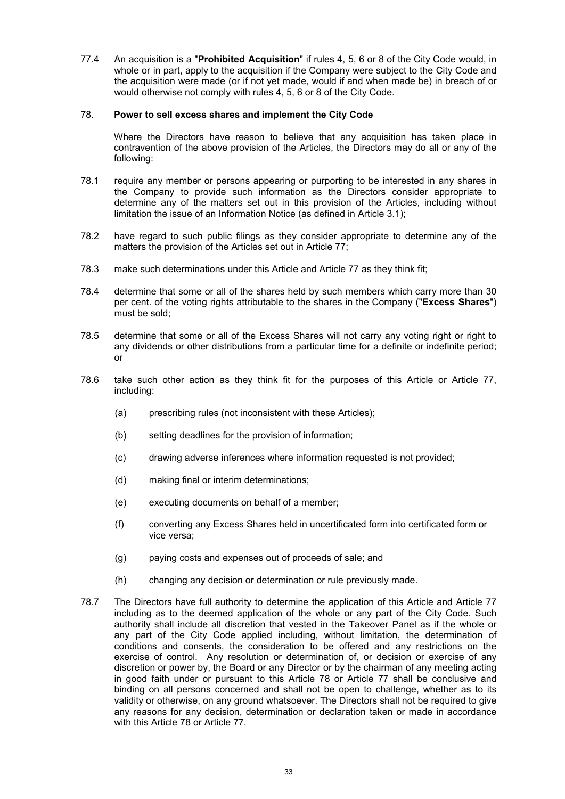77.4 An acquisition is a "**Prohibited Acquisition**" if rules 4, 5, 6 or 8 of the City Code would, in whole or in part, apply to the acquisition if the Company were subject to the City Code and the acquisition were made (or if not yet made, would if and when made be) in breach of or would otherwise not comply with rules 4, 5, 6 or 8 of the City Code.

# 78. **Power to sell excess shares and implement the City Code**

Where the Directors have reason to believe that any acquisition has taken place in contravention of the above provision of the Articles, the Directors may do all or any of the following:

- 78.1 require any member or persons appearing or purporting to be interested in any shares in the Company to provide such information as the Directors consider appropriate to determine any of the matters set out in this provision of the Articles, including without limitation the issue of an Information Notice (as defined in Article 3.1);
- 78.2 have regard to such public filings as they consider appropriate to determine any of the matters the provision of the Articles set out in Article 77;
- 78.3 make such determinations under this Article and Article 77 as they think fit;
- 78.4 determine that some or all of the shares held by such members which carry more than 30 per cent. of the voting rights attributable to the shares in the Company ("**Excess Shares**") must be sold;
- 78.5 determine that some or all of the Excess Shares will not carry any voting right or right to any dividends or other distributions from a particular time for a definite or indefinite period; or
- 78.6 take such other action as they think fit for the purposes of this Article or Article 77, including:
	- (a) prescribing rules (not inconsistent with these Articles):
	- (b) setting deadlines for the provision of information;
	- (c) drawing adverse inferences where information requested is not provided;
	- (d) making final or interim determinations;
	- (e) executing documents on behalf of a member;
	- (f) converting any Excess Shares held in uncertificated form into certificated form or vice versa;
	- (g) paying costs and expenses out of proceeds of sale; and
	- (h) changing any decision or determination or rule previously made.
- 78.7 The Directors have full authority to determine the application of this Article and Article 77 including as to the deemed application of the whole or any part of the City Code. Such authority shall include all discretion that vested in the Takeover Panel as if the whole or any part of the City Code applied including, without limitation, the determination of conditions and consents, the consideration to be offered and any restrictions on the exercise of control. Any resolution or determination of, or decision or exercise of any discretion or power by, the Board or any Director or by the chairman of any meeting acting in good faith under or pursuant to this Article 78 or Article 77 shall be conclusive and binding on all persons concerned and shall not be open to challenge, whether as to its validity or otherwise, on any ground whatsoever. The Directors shall not be required to give any reasons for any decision, determination or declaration taken or made in accordance with this Article 78 or Article 77.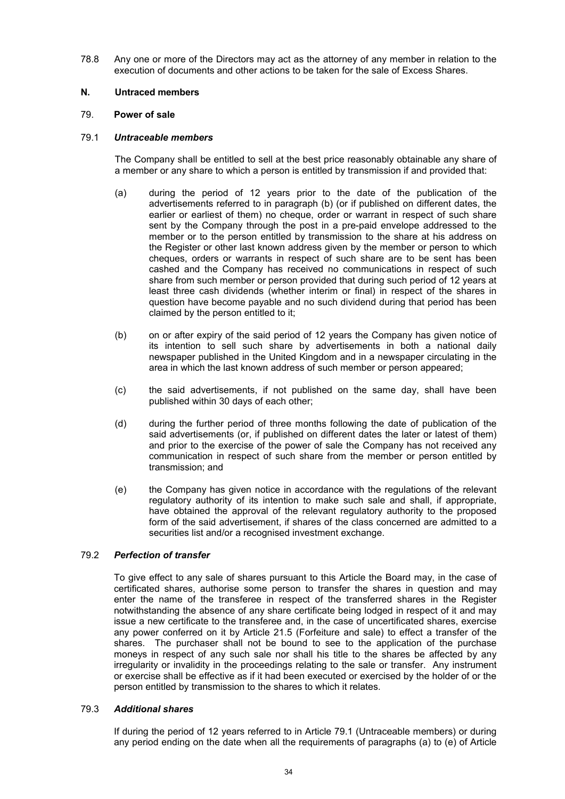78.8 Any one or more of the Directors may act as the attorney of any member in relation to the execution of documents and other actions to be taken for the sale of Excess Shares.

# **N. Untraced members**

# 79. **Power of sale**

# 79.1 *Untraceable members*

The Company shall be entitled to sell at the best price reasonably obtainable any share of a member or any share to which a person is entitled by transmission if and provided that:

- (a) during the period of 12 years prior to the date of the publication of the advertisements referred to in paragraph (b) (or if published on different dates, the earlier or earliest of them) no cheque, order or warrant in respect of such share sent by the Company through the post in a pre-paid envelope addressed to the member or to the person entitled by transmission to the share at his address on the Register or other last known address given by the member or person to which cheques, orders or warrants in respect of such share are to be sent has been cashed and the Company has received no communications in respect of such share from such member or person provided that during such period of 12 years at least three cash dividends (whether interim or final) in respect of the shares in question have become payable and no such dividend during that period has been claimed by the person entitled to it;
- (b) on or after expiry of the said period of 12 years the Company has given notice of its intention to sell such share by advertisements in both a national daily newspaper published in the United Kingdom and in a newspaper circulating in the area in which the last known address of such member or person appeared;
- (c) the said advertisements, if not published on the same day, shall have been published within 30 days of each other;
- (d) during the further period of three months following the date of publication of the said advertisements (or, if published on different dates the later or latest of them) and prior to the exercise of the power of sale the Company has not received any communication in respect of such share from the member or person entitled by transmission; and
- (e) the Company has given notice in accordance with the regulations of the relevant regulatory authority of its intention to make such sale and shall, if appropriate, have obtained the approval of the relevant regulatory authority to the proposed form of the said advertisement, if shares of the class concerned are admitted to a securities list and/or a recognised investment exchange.

# 79.2 *Perfection of transfer*

To give effect to any sale of shares pursuant to this Article the Board may, in the case of certificated shares, authorise some person to transfer the shares in question and may enter the name of the transferee in respect of the transferred shares in the Register notwithstanding the absence of any share certificate being lodged in respect of it and may issue a new certificate to the transferee and, in the case of uncertificated shares, exercise any power conferred on it by Article 21.5 (Forfeiture and sale) to effect a transfer of the shares. The purchaser shall not be bound to see to the application of the purchase moneys in respect of any such sale nor shall his title to the shares be affected by any irregularity or invalidity in the proceedings relating to the sale or transfer. Any instrument or exercise shall be effective as if it had been executed or exercised by the holder of or the person entitled by transmission to the shares to which it relates.

### 79.3 *Additional shares*

If during the period of 12 years referred to in Article 79.1 (Untraceable members) or during any period ending on the date when all the requirements of paragraphs (a) to (e) of Article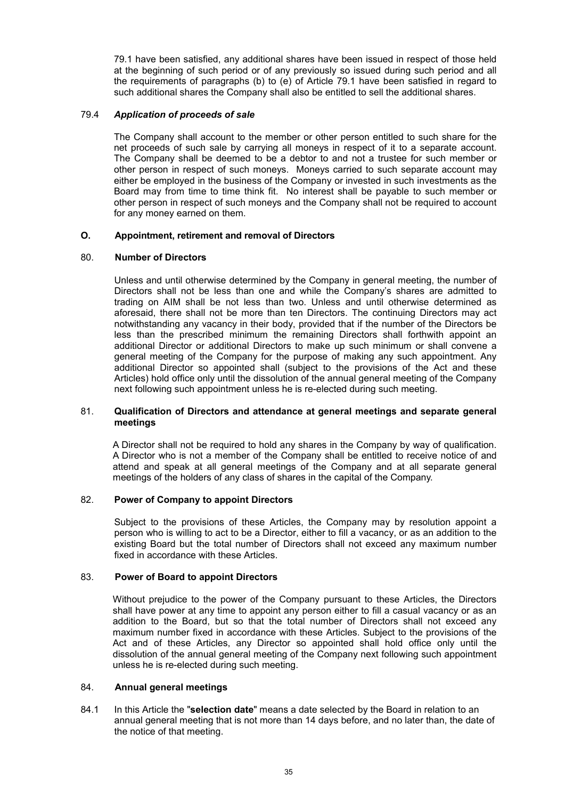79.1 have been satisfied, any additional shares have been issued in respect of those held at the beginning of such period or of any previously so issued during such period and all the requirements of paragraphs (b) to (e) of Article 79.1 have been satisfied in regard to such additional shares the Company shall also be entitled to sell the additional shares.

# 79.4 *Application of proceeds of sale*

The Company shall account to the member or other person entitled to such share for the net proceeds of such sale by carrying all moneys in respect of it to a separate account. The Company shall be deemed to be a debtor to and not a trustee for such member or other person in respect of such moneys. Moneys carried to such separate account may either be employed in the business of the Company or invested in such investments as the Board may from time to time think fit. No interest shall be payable to such member or other person in respect of such moneys and the Company shall not be required to account for any money earned on them.

# **O. Appointment, retirement and removal of Directors**

# 80. **Number of Directors**

Unless and until otherwise determined by the Company in general meeting, the number of Directors shall not be less than one and while the Company's shares are admitted to trading on AIM shall be not less than two. Unless and until otherwise determined as aforesaid, there shall not be more than ten Directors. The continuing Directors may act notwithstanding any vacancy in their body, provided that if the number of the Directors be less than the prescribed minimum the remaining Directors shall forthwith appoint an additional Director or additional Directors to make up such minimum or shall convene a general meeting of the Company for the purpose of making any such appointment. Any additional Director so appointed shall (subject to the provisions of the Act and these Articles) hold office only until the dissolution of the annual general meeting of the Company next following such appointment unless he is re-elected during such meeting.

# 81. **Qualification of Directors and attendance at general meetings and separate general meetings**

A Director shall not be required to hold any shares in the Company by way of qualification. A Director who is not a member of the Company shall be entitled to receive notice of and attend and speak at all general meetings of the Company and at all separate general meetings of the holders of any class of shares in the capital of the Company.

# 82. **Power of Company to appoint Directors**

Subject to the provisions of these Articles, the Company may by resolution appoint a person who is willing to act to be a Director, either to fill a vacancy, or as an addition to the existing Board but the total number of Directors shall not exceed any maximum number fixed in accordance with these Articles.

### 83. **Power of Board to appoint Directors**

Without prejudice to the power of the Company pursuant to these Articles, the Directors shall have power at any time to appoint any person either to fill a casual vacancy or as an addition to the Board, but so that the total number of Directors shall not exceed any maximum number fixed in accordance with these Articles. Subject to the provisions of the Act and of these Articles, any Director so appointed shall hold office only until the dissolution of the annual general meeting of the Company next following such appointment unless he is re-elected during such meeting.

### 84. **Annual general meetings**

84.1 In this Article the "**selection date**" means a date selected by the Board in relation to an annual general meeting that is not more than 14 days before, and no later than, the date of the notice of that meeting.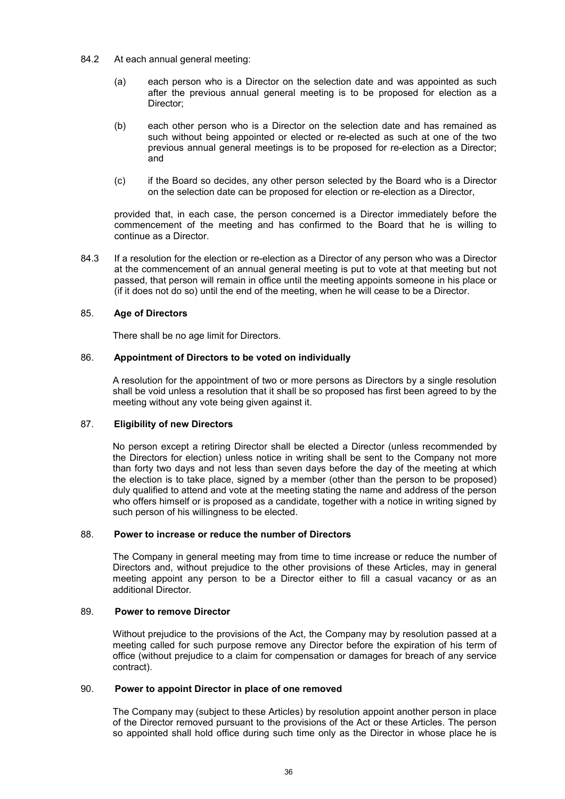- 84.2 At each annual general meeting:
	- (a) each person who is a Director on the selection date and was appointed as such after the previous annual general meeting is to be proposed for election as a Director;
	- (b) each other person who is a Director on the selection date and has remained as such without being appointed or elected or re-elected as such at one of the two previous annual general meetings is to be proposed for re-election as a Director; and
	- (c) if the Board so decides, any other person selected by the Board who is a Director on the selection date can be proposed for election or re-election as a Director,

provided that, in each case, the person concerned is a Director immediately before the commencement of the meeting and has confirmed to the Board that he is willing to continue as a Director.

84.3 If a resolution for the election or re-election as a Director of any person who was a Director at the commencement of an annual general meeting is put to vote at that meeting but not passed, that person will remain in office until the meeting appoints someone in his place or (if it does not do so) until the end of the meeting, when he will cease to be a Director.

# 85. **Age of Directors**

There shall be no age limit for Directors.

# 86. **Appointment of Directors to be voted on individually**

A resolution for the appointment of two or more persons as Directors by a single resolution shall be void unless a resolution that it shall be so proposed has first been agreed to by the meeting without any vote being given against it.

# 87. **Eligibility of new Directors**

No person except a retiring Director shall be elected a Director (unless recommended by the Directors for election) unless notice in writing shall be sent to the Company not more than forty two days and not less than seven days before the day of the meeting at which the election is to take place, signed by a member (other than the person to be proposed) duly qualified to attend and vote at the meeting stating the name and address of the person who offers himself or is proposed as a candidate, together with a notice in writing signed by such person of his willingness to be elected.

# 88. **Power to increase or reduce the number of Directors**

The Company in general meeting may from time to time increase or reduce the number of Directors and, without prejudice to the other provisions of these Articles, may in general meeting appoint any person to be a Director either to fill a casual vacancy or as an additional Director.

# 89. **Power to remove Director**

Without prejudice to the provisions of the Act, the Company may by resolution passed at a meeting called for such purpose remove any Director before the expiration of his term of office (without prejudice to a claim for compensation or damages for breach of any service contract).

### 90. **Power to appoint Director in place of one removed**

The Company may (subject to these Articles) by resolution appoint another person in place of the Director removed pursuant to the provisions of the Act or these Articles. The person so appointed shall hold office during such time only as the Director in whose place he is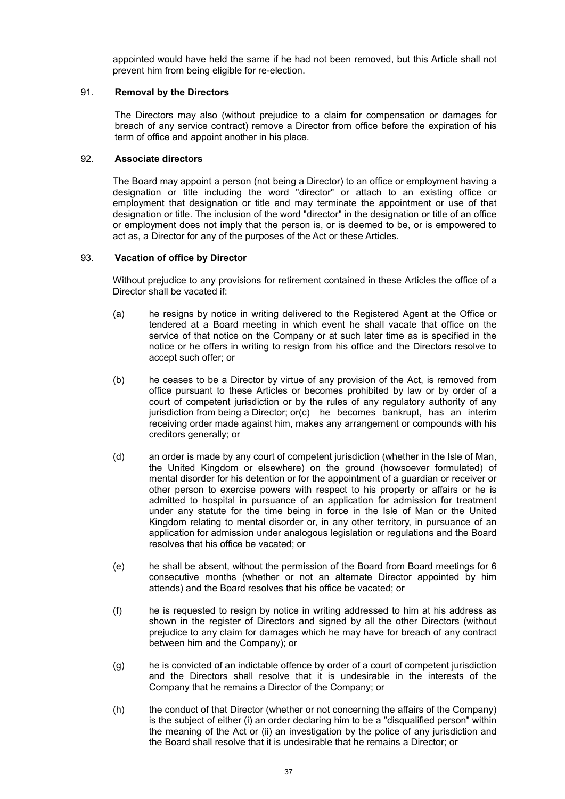appointed would have held the same if he had not been removed, but this Article shall not prevent him from being eligible for re-election.

# 91. **Removal by the Directors**

The Directors may also (without prejudice to a claim for compensation or damages for breach of any service contract) remove a Director from office before the expiration of his term of office and appoint another in his place.

# 92. **Associate directors**

The Board may appoint a person (not being a Director) to an office or employment having a designation or title including the word "director" or attach to an existing office or employment that designation or title and may terminate the appointment or use of that designation or title. The inclusion of the word "director" in the designation or title of an office or employment does not imply that the person is, or is deemed to be, or is empowered to act as, a Director for any of the purposes of the Act or these Articles.

# 93. **Vacation of office by Director**

Without prejudice to any provisions for retirement contained in these Articles the office of a Director shall be vacated if:

- (a) he resigns by notice in writing delivered to the Registered Agent at the Office or tendered at a Board meeting in which event he shall vacate that office on the service of that notice on the Company or at such later time as is specified in the notice or he offers in writing to resign from his office and the Directors resolve to accept such offer; or
- (b) he ceases to be a Director by virtue of any provision of the Act, is removed from office pursuant to these Articles or becomes prohibited by law or by order of a court of competent jurisdiction or by the rules of any regulatory authority of any jurisdiction from being a Director; or(c) he becomes bankrupt, has an interim receiving order made against him, makes any arrangement or compounds with his creditors generally; or
- (d) an order is made by any court of competent jurisdiction (whether in the Isle of Man, the United Kingdom or elsewhere) on the ground (howsoever formulated) of mental disorder for his detention or for the appointment of a guardian or receiver or other person to exercise powers with respect to his property or affairs or he is admitted to hospital in pursuance of an application for admission for treatment under any statute for the time being in force in the Isle of Man or the United Kingdom relating to mental disorder or, in any other territory, in pursuance of an application for admission under analogous legislation or regulations and the Board resolves that his office be vacated; or
- (e) he shall be absent, without the permission of the Board from Board meetings for 6 consecutive months (whether or not an alternate Director appointed by him attends) and the Board resolves that his office be vacated; or
- (f) he is requested to resign by notice in writing addressed to him at his address as shown in the register of Directors and signed by all the other Directors (without prejudice to any claim for damages which he may have for breach of any contract between him and the Company); or
- (g) he is convicted of an indictable offence by order of a court of competent jurisdiction and the Directors shall resolve that it is undesirable in the interests of the Company that he remains a Director of the Company; or
- (h) the conduct of that Director (whether or not concerning the affairs of the Company) is the subject of either (i) an order declaring him to be a "disqualified person" within the meaning of the Act or (ii) an investigation by the police of any jurisdiction and the Board shall resolve that it is undesirable that he remains a Director; or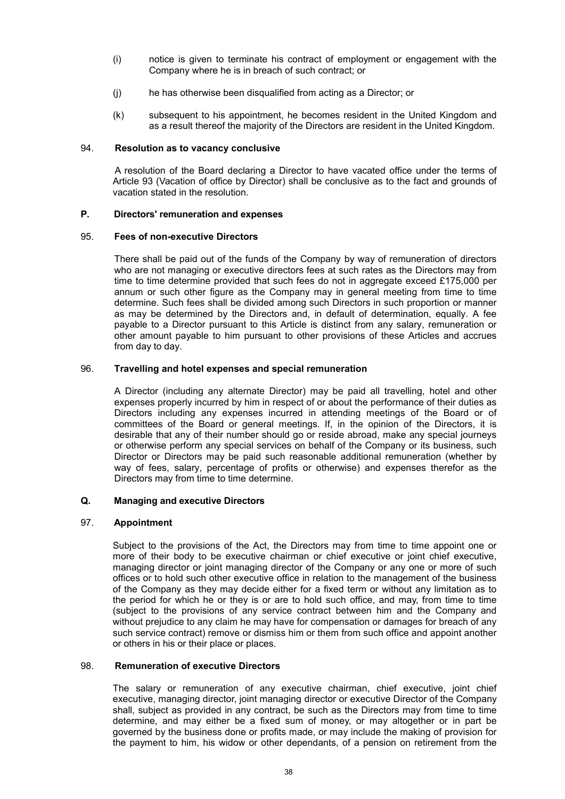- (i) notice is given to terminate his contract of employment or engagement with the Company where he is in breach of such contract; or
- (j) he has otherwise been disqualified from acting as a Director; or
- (k) subsequent to his appointment, he becomes resident in the United Kingdom and as a result thereof the majority of the Directors are resident in the United Kingdom.

# 94. **Resolution as to vacancy conclusive**

A resolution of the Board declaring a Director to have vacated office under the terms of Article 93 (Vacation of office by Director) shall be conclusive as to the fact and grounds of vacation stated in the resolution.

# **P. Directors' remuneration and expenses**

# 95. **Fees of non-executive Directors**

There shall be paid out of the funds of the Company by way of remuneration of directors who are not managing or executive directors fees at such rates as the Directors may from time to time determine provided that such fees do not in aggregate exceed £175,000 per annum or such other figure as the Company may in general meeting from time to time determine. Such fees shall be divided among such Directors in such proportion or manner as may be determined by the Directors and, in default of determination, equally. A fee payable to a Director pursuant to this Article is distinct from any salary, remuneration or other amount payable to him pursuant to other provisions of these Articles and accrues from day to day.

# 96. **Travelling and hotel expenses and special remuneration**

A Director (including any alternate Director) may be paid all travelling, hotel and other expenses properly incurred by him in respect of or about the performance of their duties as Directors including any expenses incurred in attending meetings of the Board or of committees of the Board or general meetings. If, in the opinion of the Directors, it is desirable that any of their number should go or reside abroad, make any special journeys or otherwise perform any special services on behalf of the Company or its business, such Director or Directors may be paid such reasonable additional remuneration (whether by way of fees, salary, percentage of profits or otherwise) and expenses therefor as the Directors may from time to time determine.

# **Q. Managing and executive Directors**

# 97. **Appointment**

Subject to the provisions of the Act, the Directors may from time to time appoint one or more of their body to be executive chairman or chief executive or joint chief executive, managing director or joint managing director of the Company or any one or more of such offices or to hold such other executive office in relation to the management of the business of the Company as they may decide either for a fixed term or without any limitation as to the period for which he or they is or are to hold such office, and may, from time to time (subject to the provisions of any service contract between him and the Company and without prejudice to any claim he may have for compensation or damages for breach of any such service contract) remove or dismiss him or them from such office and appoint another or others in his or their place or places.

### 98. **Remuneration of executive Directors**

The salary or remuneration of any executive chairman, chief executive, joint chief executive, managing director, joint managing director or executive Director of the Company shall, subject as provided in any contract, be such as the Directors may from time to time determine, and may either be a fixed sum of money, or may altogether or in part be governed by the business done or profits made, or may include the making of provision for the payment to him, his widow or other dependants, of a pension on retirement from the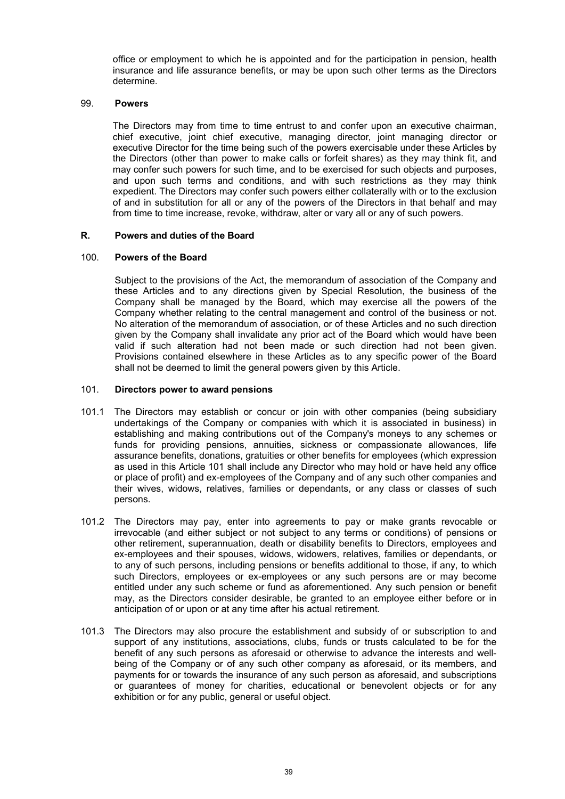office or employment to which he is appointed and for the participation in pension, health insurance and life assurance benefits, or may be upon such other terms as the Directors determine.

# 99. **Powers**

The Directors may from time to time entrust to and confer upon an executive chairman, chief executive, joint chief executive, managing director, joint managing director or executive Director for the time being such of the powers exercisable under these Articles by the Directors (other than power to make calls or forfeit shares) as they may think fit, and may confer such powers for such time, and to be exercised for such objects and purposes, and upon such terms and conditions, and with such restrictions as they may think expedient. The Directors may confer such powers either collaterally with or to the exclusion of and in substitution for all or any of the powers of the Directors in that behalf and may from time to time increase, revoke, withdraw, alter or vary all or any of such powers.

# **R. Powers and duties of the Board**

# 100. **Powers of the Board**

Subject to the provisions of the Act, the memorandum of association of the Company and these Articles and to any directions given by Special Resolution, the business of the Company shall be managed by the Board, which may exercise all the powers of the Company whether relating to the central management and control of the business or not. No alteration of the memorandum of association, or of these Articles and no such direction given by the Company shall invalidate any prior act of the Board which would have been valid if such alteration had not been made or such direction had not been given. Provisions contained elsewhere in these Articles as to any specific power of the Board shall not be deemed to limit the general powers given by this Article.

# 101. **Directors power to award pensions**

- 101.1 The Directors may establish or concur or join with other companies (being subsidiary undertakings of the Company or companies with which it is associated in business) in establishing and making contributions out of the Company's moneys to any schemes or funds for providing pensions, annuities, sickness or compassionate allowances, life assurance benefits, donations, gratuities or other benefits for employees (which expression as used in this Article 101 shall include any Director who may hold or have held any office or place of profit) and ex-employees of the Company and of any such other companies and their wives, widows, relatives, families or dependants, or any class or classes of such persons.
- 101.2 The Directors may pay, enter into agreements to pay or make grants revocable or irrevocable (and either subject or not subject to any terms or conditions) of pensions or other retirement, superannuation, death or disability benefits to Directors, employees and ex-employees and their spouses, widows, widowers, relatives, families or dependants, or to any of such persons, including pensions or benefits additional to those, if any, to which such Directors, employees or ex-employees or any such persons are or may become entitled under any such scheme or fund as aforementioned. Any such pension or benefit may, as the Directors consider desirable, be granted to an employee either before or in anticipation of or upon or at any time after his actual retirement.
- 101.3 The Directors may also procure the establishment and subsidy of or subscription to and support of any institutions, associations, clubs, funds or trusts calculated to be for the benefit of any such persons as aforesaid or otherwise to advance the interests and wellbeing of the Company or of any such other company as aforesaid, or its members, and payments for or towards the insurance of any such person as aforesaid, and subscriptions or guarantees of money for charities, educational or benevolent objects or for any exhibition or for any public, general or useful object.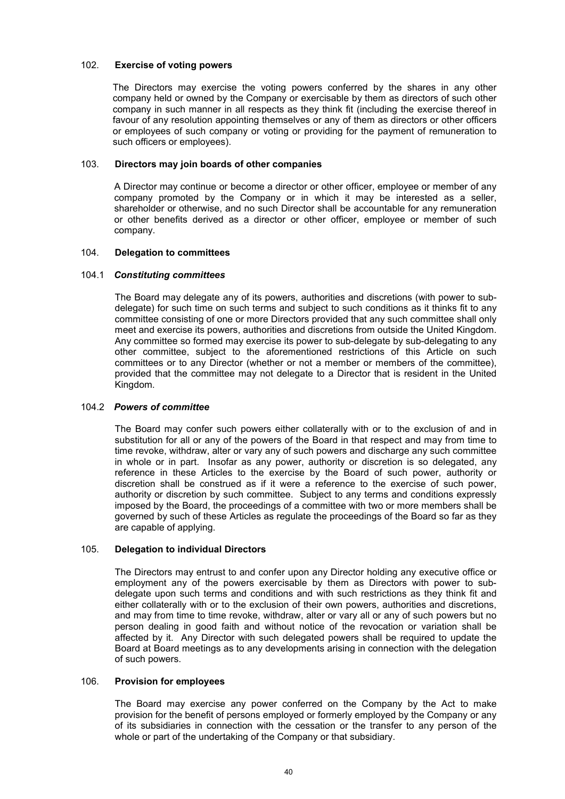# 102. **Exercise of voting powers**

The Directors may exercise the voting powers conferred by the shares in any other company held or owned by the Company or exercisable by them as directors of such other company in such manner in all respects as they think fit (including the exercise thereof in favour of any resolution appointing themselves or any of them as directors or other officers or employees of such company or voting or providing for the payment of remuneration to such officers or employees).

# 103. **Directors may join boards of other companies**

A Director may continue or become a director or other officer, employee or member of any company promoted by the Company or in which it may be interested as a seller, shareholder or otherwise, and no such Director shall be accountable for any remuneration or other benefits derived as a director or other officer, employee or member of such company.

# 104. **Delegation to committees**

# 104.1 *Constituting committees*

The Board may delegate any of its powers, authorities and discretions (with power to subdelegate) for such time on such terms and subject to such conditions as it thinks fit to any committee consisting of one or more Directors provided that any such committee shall only meet and exercise its powers, authorities and discretions from outside the United Kingdom. Any committee so formed may exercise its power to sub-delegate by sub-delegating to any other committee, subject to the aforementioned restrictions of this Article on such committees or to any Director (whether or not a member or members of the committee), provided that the committee may not delegate to a Director that is resident in the United Kingdom.

# 104.2 *Powers of committee*

The Board may confer such powers either collaterally with or to the exclusion of and in substitution for all or any of the powers of the Board in that respect and may from time to time revoke, withdraw, alter or vary any of such powers and discharge any such committee in whole or in part. Insofar as any power, authority or discretion is so delegated, any reference in these Articles to the exercise by the Board of such power, authority or discretion shall be construed as if it were a reference to the exercise of such power, authority or discretion by such committee. Subject to any terms and conditions expressly imposed by the Board, the proceedings of a committee with two or more members shall be governed by such of these Articles as regulate the proceedings of the Board so far as they are capable of applying.

# 105. **Delegation to individual Directors**

The Directors may entrust to and confer upon any Director holding any executive office or employment any of the powers exercisable by them as Directors with power to subdelegate upon such terms and conditions and with such restrictions as they think fit and either collaterally with or to the exclusion of their own powers, authorities and discretions, and may from time to time revoke, withdraw, alter or vary all or any of such powers but no person dealing in good faith and without notice of the revocation or variation shall be affected by it. Any Director with such delegated powers shall be required to update the Board at Board meetings as to any developments arising in connection with the delegation of such powers.

# 106. **Provision for employees**

The Board may exercise any power conferred on the Company by the Act to make provision for the benefit of persons employed or formerly employed by the Company or any of its subsidiaries in connection with the cessation or the transfer to any person of the whole or part of the undertaking of the Company or that subsidiary.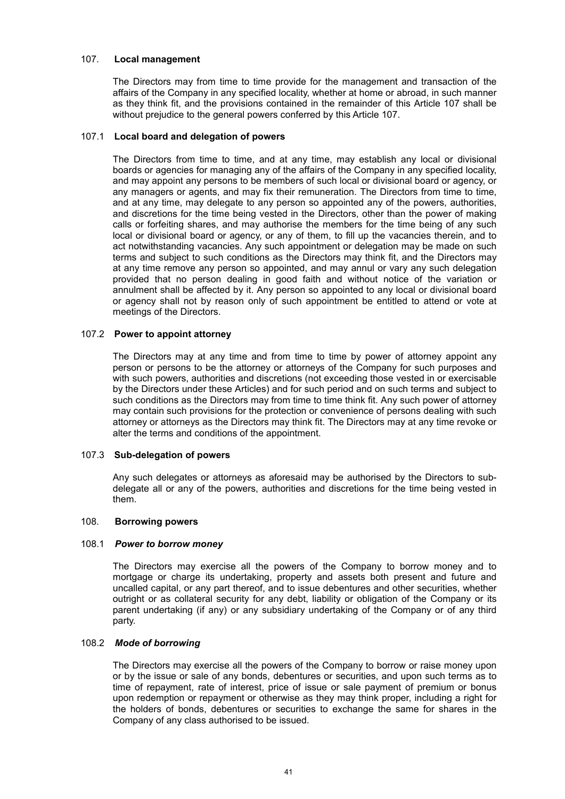# 107. **Local management**

The Directors may from time to time provide for the management and transaction of the affairs of the Company in any specified locality, whether at home or abroad, in such manner as they think fit, and the provisions contained in the remainder of this Article 107 shall be without prejudice to the general powers conferred by this Article 107.

# 107.1 **Local board and delegation of powers**

The Directors from time to time, and at any time, may establish any local or divisional boards or agencies for managing any of the affairs of the Company in any specified locality, and may appoint any persons to be members of such local or divisional board or agency, or any managers or agents, and may fix their remuneration. The Directors from time to time, and at any time, may delegate to any person so appointed any of the powers, authorities, and discretions for the time being vested in the Directors, other than the power of making calls or forfeiting shares, and may authorise the members for the time being of any such local or divisional board or agency, or any of them, to fill up the vacancies therein, and to act notwithstanding vacancies. Any such appointment or delegation may be made on such terms and subject to such conditions as the Directors may think fit, and the Directors may at any time remove any person so appointed, and may annul or vary any such delegation provided that no person dealing in good faith and without notice of the variation or annulment shall be affected by it. Any person so appointed to any local or divisional board or agency shall not by reason only of such appointment be entitled to attend or vote at meetings of the Directors.

# 107.2 **Power to appoint attorney**

The Directors may at any time and from time to time by power of attorney appoint any person or persons to be the attorney or attorneys of the Company for such purposes and with such powers, authorities and discretions (not exceeding those vested in or exercisable by the Directors under these Articles) and for such period and on such terms and subject to such conditions as the Directors may from time to time think fit. Any such power of attorney may contain such provisions for the protection or convenience of persons dealing with such attorney or attorneys as the Directors may think fit. The Directors may at any time revoke or alter the terms and conditions of the appointment.

# 107.3 **Sub-delegation of powers**

Any such delegates or attorneys as aforesaid may be authorised by the Directors to subdelegate all or any of the powers, authorities and discretions for the time being vested in them.

### 108. **Borrowing powers**

### 108.1 *Power to borrow money*

The Directors may exercise all the powers of the Company to borrow money and to mortgage or charge its undertaking, property and assets both present and future and uncalled capital, or any part thereof, and to issue debentures and other securities, whether outright or as collateral security for any debt, liability or obligation of the Company or its parent undertaking (if any) or any subsidiary undertaking of the Company or of any third party.

# 108.2 *Mode of borrowing*

The Directors may exercise all the powers of the Company to borrow or raise money upon or by the issue or sale of any bonds, debentures or securities, and upon such terms as to time of repayment, rate of interest, price of issue or sale payment of premium or bonus upon redemption or repayment or otherwise as they may think proper, including a right for the holders of bonds, debentures or securities to exchange the same for shares in the Company of any class authorised to be issued.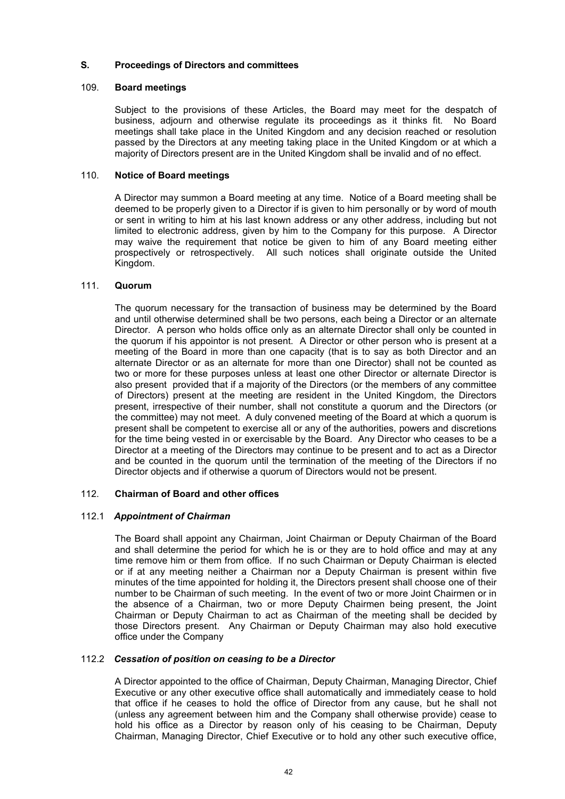# **S. Proceedings of Directors and committees**

# 109. **Board meetings**

Subject to the provisions of these Articles, the Board may meet for the despatch of business, adjourn and otherwise regulate its proceedings as it thinks fit. No Board meetings shall take place in the United Kingdom and any decision reached or resolution passed by the Directors at any meeting taking place in the United Kingdom or at which a majority of Directors present are in the United Kingdom shall be invalid and of no effect.

# 110. **Notice of Board meetings**

A Director may summon a Board meeting at any time. Notice of a Board meeting shall be deemed to be properly given to a Director if is given to him personally or by word of mouth or sent in writing to him at his last known address or any other address, including but not limited to electronic address, given by him to the Company for this purpose. A Director may waive the requirement that notice be given to him of any Board meeting either prospectively or retrospectively. All such notices shall originate outside the United Kingdom.

# 111. **Quorum**

The quorum necessary for the transaction of business may be determined by the Board and until otherwise determined shall be two persons, each being a Director or an alternate Director. A person who holds office only as an alternate Director shall only be counted in the quorum if his appointor is not present. A Director or other person who is present at a meeting of the Board in more than one capacity (that is to say as both Director and an alternate Director or as an alternate for more than one Director) shall not be counted as two or more for these purposes unless at least one other Director or alternate Director is also present provided that if a majority of the Directors (or the members of any committee of Directors) present at the meeting are resident in the United Kingdom, the Directors present, irrespective of their number, shall not constitute a quorum and the Directors (or the committee) may not meet. A duly convened meeting of the Board at which a quorum is present shall be competent to exercise all or any of the authorities, powers and discretions for the time being vested in or exercisable by the Board. Any Director who ceases to be a Director at a meeting of the Directors may continue to be present and to act as a Director and be counted in the quorum until the termination of the meeting of the Directors if no Director objects and if otherwise a quorum of Directors would not be present.

### 112. **Chairman of Board and other offices**

### 112.1 *Appointment of Chairman*

The Board shall appoint any Chairman, Joint Chairman or Deputy Chairman of the Board and shall determine the period for which he is or they are to hold office and may at any time remove him or them from office. If no such Chairman or Deputy Chairman is elected or if at any meeting neither a Chairman nor a Deputy Chairman is present within five minutes of the time appointed for holding it, the Directors present shall choose one of their number to be Chairman of such meeting. In the event of two or more Joint Chairmen or in the absence of a Chairman, two or more Deputy Chairmen being present, the Joint Chairman or Deputy Chairman to act as Chairman of the meeting shall be decided by those Directors present. Any Chairman or Deputy Chairman may also hold executive office under the Company

# 112.2 *Cessation of position on ceasing to be a Director*

A Director appointed to the office of Chairman, Deputy Chairman, Managing Director, Chief Executive or any other executive office shall automatically and immediately cease to hold that office if he ceases to hold the office of Director from any cause, but he shall not (unless any agreement between him and the Company shall otherwise provide) cease to hold his office as a Director by reason only of his ceasing to be Chairman, Deputy Chairman, Managing Director, Chief Executive or to hold any other such executive office,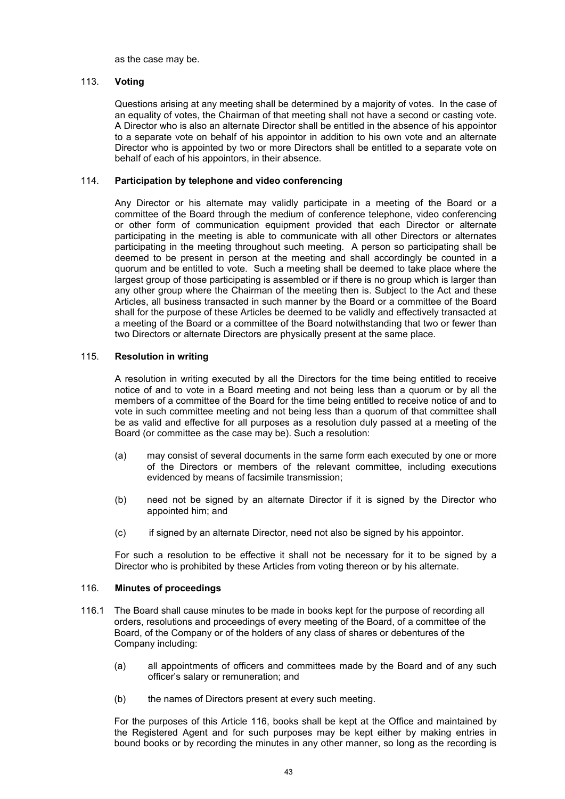as the case may be.

# 113. **Voting**

Questions arising at any meeting shall be determined by a majority of votes. In the case of an equality of votes, the Chairman of that meeting shall not have a second or casting vote. A Director who is also an alternate Director shall be entitled in the absence of his appointor to a separate vote on behalf of his appointor in addition to his own vote and an alternate Director who is appointed by two or more Directors shall be entitled to a separate vote on behalf of each of his appointors, in their absence.

# 114. **Participation by telephone and video conferencing**

Any Director or his alternate may validly participate in a meeting of the Board or a committee of the Board through the medium of conference telephone, video conferencing or other form of communication equipment provided that each Director or alternate participating in the meeting is able to communicate with all other Directors or alternates participating in the meeting throughout such meeting. A person so participating shall be deemed to be present in person at the meeting and shall accordingly be counted in a quorum and be entitled to vote. Such a meeting shall be deemed to take place where the largest group of those participating is assembled or if there is no group which is larger than any other group where the Chairman of the meeting then is. Subject to the Act and these Articles, all business transacted in such manner by the Board or a committee of the Board shall for the purpose of these Articles be deemed to be validly and effectively transacted at a meeting of the Board or a committee of the Board notwithstanding that two or fewer than two Directors or alternate Directors are physically present at the same place.

# 115. **Resolution in writing**

A resolution in writing executed by all the Directors for the time being entitled to receive notice of and to vote in a Board meeting and not being less than a quorum or by all the members of a committee of the Board for the time being entitled to receive notice of and to vote in such committee meeting and not being less than a quorum of that committee shall be as valid and effective for all purposes as a resolution duly passed at a meeting of the Board (or committee as the case may be). Such a resolution:

- (a) may consist of several documents in the same form each executed by one or more of the Directors or members of the relevant committee, including executions evidenced by means of facsimile transmission;
- (b) need not be signed by an alternate Director if it is signed by the Director who appointed him; and
- (c) if signed by an alternate Director, need not also be signed by his appointor.

For such a resolution to be effective it shall not be necessary for it to be signed by a Director who is prohibited by these Articles from voting thereon or by his alternate.

### 116. **Minutes of proceedings**

- 116.1 The Board shall cause minutes to be made in books kept for the purpose of recording all orders, resolutions and proceedings of every meeting of the Board, of a committee of the Board, of the Company or of the holders of any class of shares or debentures of the Company including:
	- (a) all appointments of officers and committees made by the Board and of any such officer's salary or remuneration; and
	- (b) the names of Directors present at every such meeting.

For the purposes of this Article 116, books shall be kept at the Office and maintained by the Registered Agent and for such purposes may be kept either by making entries in bound books or by recording the minutes in any other manner, so long as the recording is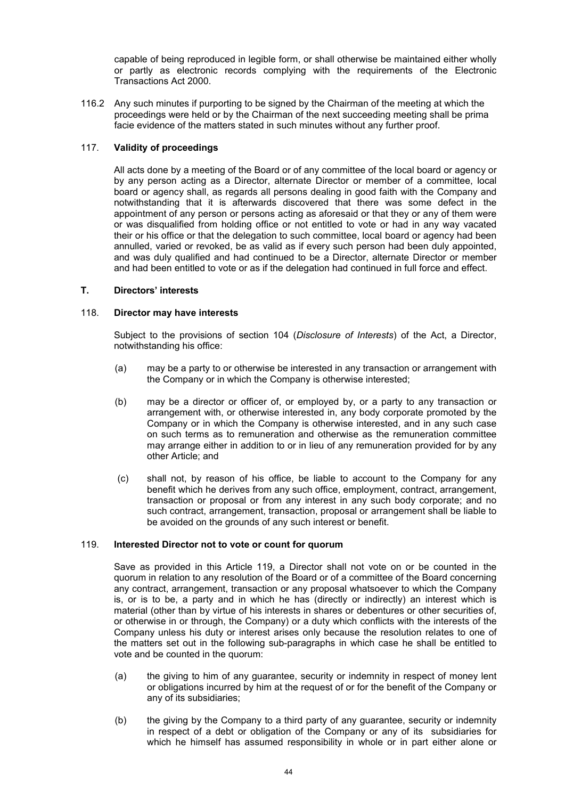capable of being reproduced in legible form, or shall otherwise be maintained either wholly or partly as electronic records complying with the requirements of the Electronic Transactions Act 2000.

116.2 Any such minutes if purporting to be signed by the Chairman of the meeting at which the proceedings were held or by the Chairman of the next succeeding meeting shall be prima facie evidence of the matters stated in such minutes without any further proof.

# 117. **Validity of proceedings**

All acts done by a meeting of the Board or of any committee of the local board or agency or by any person acting as a Director, alternate Director or member of a committee, local board or agency shall, as regards all persons dealing in good faith with the Company and notwithstanding that it is afterwards discovered that there was some defect in the appointment of any person or persons acting as aforesaid or that they or any of them were or was disqualified from holding office or not entitled to vote or had in any way vacated their or his office or that the delegation to such committee, local board or agency had been annulled, varied or revoked, be as valid as if every such person had been duly appointed, and was duly qualified and had continued to be a Director, alternate Director or member and had been entitled to vote or as if the delegation had continued in full force and effect.

# **T. Directors' interests**

# 118. **Director may have interests**

Subject to the provisions of section 104 (*Disclosure of Interests*) of the Act, a Director, notwithstanding his office:

- (a) may be a party to or otherwise be interested in any transaction or arrangement with the Company or in which the Company is otherwise interested;
- (b) may be a director or officer of, or employed by, or a party to any transaction or arrangement with, or otherwise interested in, any body corporate promoted by the Company or in which the Company is otherwise interested, and in any such case on such terms as to remuneration and otherwise as the remuneration committee may arrange either in addition to or in lieu of any remuneration provided for by any other Article; and
- (c) shall not, by reason of his office, be liable to account to the Company for any benefit which he derives from any such office, employment, contract, arrangement, transaction or proposal or from any interest in any such body corporate; and no such contract, arrangement, transaction, proposal or arrangement shall be liable to be avoided on the grounds of any such interest or benefit.

# 119. **Interested Director not to vote or count for quorum**

Save as provided in this Article 119, a Director shall not vote on or be counted in the quorum in relation to any resolution of the Board or of a committee of the Board concerning any contract, arrangement, transaction or any proposal whatsoever to which the Company is, or is to be, a party and in which he has (directly or indirectly) an interest which is material (other than by virtue of his interests in shares or debentures or other securities of, or otherwise in or through, the Company) or a duty which conflicts with the interests of the Company unless his duty or interest arises only because the resolution relates to one of the matters set out in the following sub-paragraphs in which case he shall be entitled to vote and be counted in the quorum:

- (a) the giving to him of any guarantee, security or indemnity in respect of money lent or obligations incurred by him at the request of or for the benefit of the Company or any of its subsidiaries;
- (b) the giving by the Company to a third party of any guarantee, security or indemnity in respect of a debt or obligation of the Company or any of its subsidiaries for which he himself has assumed responsibility in whole or in part either alone or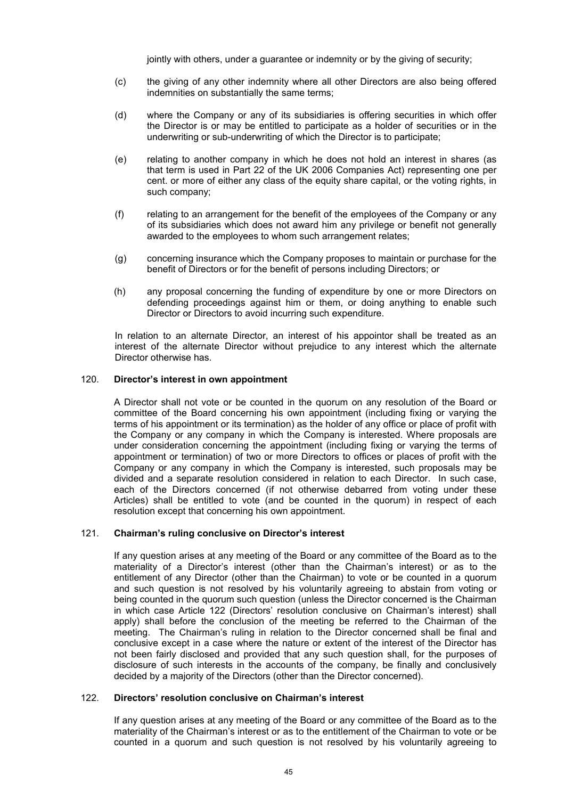jointly with others, under a quarantee or indemnity or by the giving of security;

- (c) the giving of any other indemnity where all other Directors are also being offered indemnities on substantially the same terms;
- (d) where the Company or any of its subsidiaries is offering securities in which offer the Director is or may be entitled to participate as a holder of securities or in the underwriting or sub-underwriting of which the Director is to participate;
- (e) relating to another company in which he does not hold an interest in shares (as that term is used in Part 22 of the UK 2006 Companies Act) representing one per cent. or more of either any class of the equity share capital, or the voting rights, in such company;
- (f) relating to an arrangement for the benefit of the employees of the Company or any of its subsidiaries which does not award him any privilege or benefit not generally awarded to the employees to whom such arrangement relates;
- (g) concerning insurance which the Company proposes to maintain or purchase for the benefit of Directors or for the benefit of persons including Directors; or
- (h) any proposal concerning the funding of expenditure by one or more Directors on defending proceedings against him or them, or doing anything to enable such Director or Directors to avoid incurring such expenditure.

In relation to an alternate Director, an interest of his appointor shall be treated as an interest of the alternate Director without prejudice to any interest which the alternate Director otherwise has.

# 120. **Director's interest in own appointment**

A Director shall not vote or be counted in the quorum on any resolution of the Board or committee of the Board concerning his own appointment (including fixing or varying the terms of his appointment or its termination) as the holder of any office or place of profit with the Company or any company in which the Company is interested. Where proposals are under consideration concerning the appointment (including fixing or varying the terms of appointment or termination) of two or more Directors to offices or places of profit with the Company or any company in which the Company is interested, such proposals may be divided and a separate resolution considered in relation to each Director. In such case, each of the Directors concerned (if not otherwise debarred from voting under these Articles) shall be entitled to vote (and be counted in the quorum) in respect of each resolution except that concerning his own appointment.

### 121. **Chairman's ruling conclusive on Director's interest**

If any question arises at any meeting of the Board or any committee of the Board as to the materiality of a Director's interest (other than the Chairman's interest) or as to the entitlement of any Director (other than the Chairman) to vote or be counted in a quorum and such question is not resolved by his voluntarily agreeing to abstain from voting or being counted in the quorum such question (unless the Director concerned is the Chairman in which case Article 122 (Directors' resolution conclusive on Chairman's interest) shall apply) shall before the conclusion of the meeting be referred to the Chairman of the meeting. The Chairman's ruling in relation to the Director concerned shall be final and conclusive except in a case where the nature or extent of the interest of the Director has not been fairly disclosed and provided that any such question shall, for the purposes of disclosure of such interests in the accounts of the company, be finally and conclusively decided by a majority of the Directors (other than the Director concerned).

### 122. **Directors' resolution conclusive on Chairman's interest**

If any question arises at any meeting of the Board or any committee of the Board as to the materiality of the Chairman's interest or as to the entitlement of the Chairman to vote or be counted in a quorum and such question is not resolved by his voluntarily agreeing to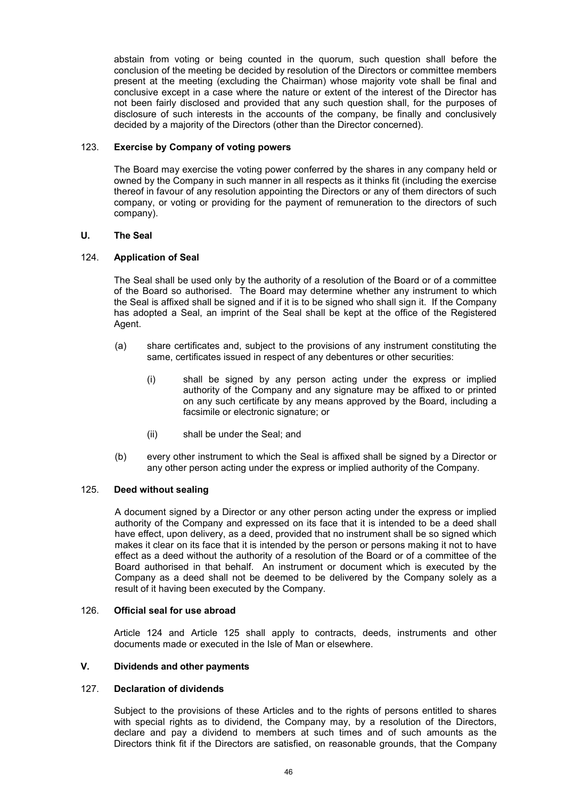abstain from voting or being counted in the quorum, such question shall before the conclusion of the meeting be decided by resolution of the Directors or committee members present at the meeting (excluding the Chairman) whose majority vote shall be final and conclusive except in a case where the nature or extent of the interest of the Director has not been fairly disclosed and provided that any such question shall, for the purposes of disclosure of such interests in the accounts of the company, be finally and conclusively decided by a majority of the Directors (other than the Director concerned).

# 123. **Exercise by Company of voting powers**

The Board may exercise the voting power conferred by the shares in any company held or owned by the Company in such manner in all respects as it thinks fit (including the exercise thereof in favour of any resolution appointing the Directors or any of them directors of such company, or voting or providing for the payment of remuneration to the directors of such company).

# **U. The Seal**

# 124. **Application of Seal**

The Seal shall be used only by the authority of a resolution of the Board or of a committee of the Board so authorised. The Board may determine whether any instrument to which the Seal is affixed shall be signed and if it is to be signed who shall sign it. If the Company has adopted a Seal, an imprint of the Seal shall be kept at the office of the Registered Agent.

- (a) share certificates and, subject to the provisions of any instrument constituting the same, certificates issued in respect of any debentures or other securities:
	- (i) shall be signed by any person acting under the express or implied authority of the Company and any signature may be affixed to or printed on any such certificate by any means approved by the Board, including a facsimile or electronic signature; or
	- (ii) shall be under the Seal; and
- (b) every other instrument to which the Seal is affixed shall be signed by a Director or any other person acting under the express or implied authority of the Company.

# 125. **Deed without sealing**

A document signed by a Director or any other person acting under the express or implied authority of the Company and expressed on its face that it is intended to be a deed shall have effect, upon delivery, as a deed, provided that no instrument shall be so signed which makes it clear on its face that it is intended by the person or persons making it not to have effect as a deed without the authority of a resolution of the Board or of a committee of the Board authorised in that behalf. An instrument or document which is executed by the Company as a deed shall not be deemed to be delivered by the Company solely as a result of it having been executed by the Company.

# 126. **Official seal for use abroad**

Article 124 and Article 125 shall apply to contracts, deeds, instruments and other documents made or executed in the Isle of Man or elsewhere.

# **V. Dividends and other payments**

### 127. **Declaration of dividends**

Subject to the provisions of these Articles and to the rights of persons entitled to shares with special rights as to dividend, the Company may, by a resolution of the Directors, declare and pay a dividend to members at such times and of such amounts as the Directors think fit if the Directors are satisfied, on reasonable grounds, that the Company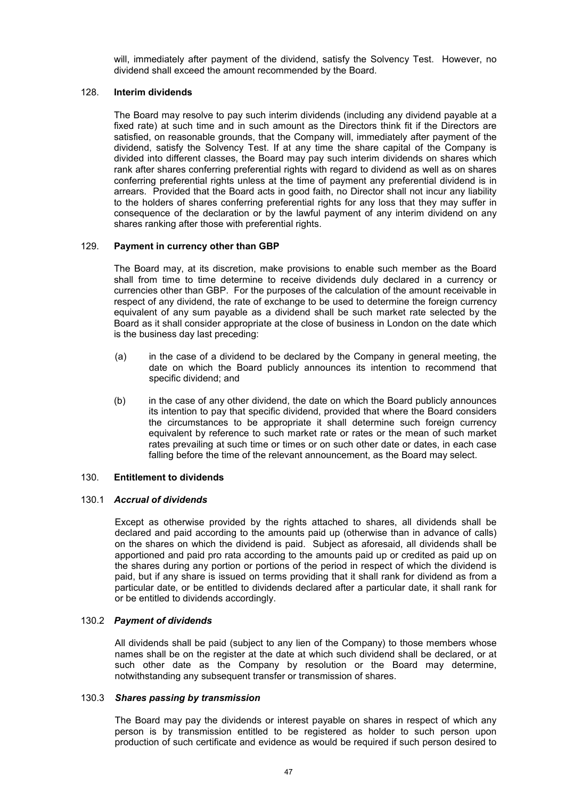will, immediately after payment of the dividend, satisfy the Solvency Test. However, no dividend shall exceed the amount recommended by the Board.

# 128. **Interim dividends**

The Board may resolve to pay such interim dividends (including any dividend payable at a fixed rate) at such time and in such amount as the Directors think fit if the Directors are satisfied, on reasonable grounds, that the Company will, immediately after payment of the dividend, satisfy the Solvency Test. If at any time the share capital of the Company is divided into different classes, the Board may pay such interim dividends on shares which rank after shares conferring preferential rights with regard to dividend as well as on shares conferring preferential rights unless at the time of payment any preferential dividend is in arrears. Provided that the Board acts in good faith, no Director shall not incur any liability to the holders of shares conferring preferential rights for any loss that they may suffer in consequence of the declaration or by the lawful payment of any interim dividend on any shares ranking after those with preferential rights.

# 129. **Payment in currency other than GBP**

The Board may, at its discretion, make provisions to enable such member as the Board shall from time to time determine to receive dividends duly declared in a currency or currencies other than GBP. For the purposes of the calculation of the amount receivable in respect of any dividend, the rate of exchange to be used to determine the foreign currency equivalent of any sum payable as a dividend shall be such market rate selected by the Board as it shall consider appropriate at the close of business in London on the date which is the business day last preceding:

- (a) in the case of a dividend to be declared by the Company in general meeting, the date on which the Board publicly announces its intention to recommend that specific dividend; and
- (b) in the case of any other dividend, the date on which the Board publicly announces its intention to pay that specific dividend, provided that where the Board considers the circumstances to be appropriate it shall determine such foreign currency equivalent by reference to such market rate or rates or the mean of such market rates prevailing at such time or times or on such other date or dates, in each case falling before the time of the relevant announcement, as the Board may select.

### 130. **Entitlement to dividends**

### 130.1 *Accrual of dividends*

Except as otherwise provided by the rights attached to shares, all dividends shall be declared and paid according to the amounts paid up (otherwise than in advance of calls) on the shares on which the dividend is paid. Subject as aforesaid, all dividends shall be apportioned and paid pro rata according to the amounts paid up or credited as paid up on the shares during any portion or portions of the period in respect of which the dividend is paid, but if any share is issued on terms providing that it shall rank for dividend as from a particular date, or be entitled to dividends declared after a particular date, it shall rank for or be entitled to dividends accordingly.

### 130.2 *Payment of dividends*

All dividends shall be paid (subject to any lien of the Company) to those members whose names shall be on the register at the date at which such dividend shall be declared, or at such other date as the Company by resolution or the Board may determine, notwithstanding any subsequent transfer or transmission of shares.

### 130.3 *Shares passing by transmission*

The Board may pay the dividends or interest payable on shares in respect of which any person is by transmission entitled to be registered as holder to such person upon production of such certificate and evidence as would be required if such person desired to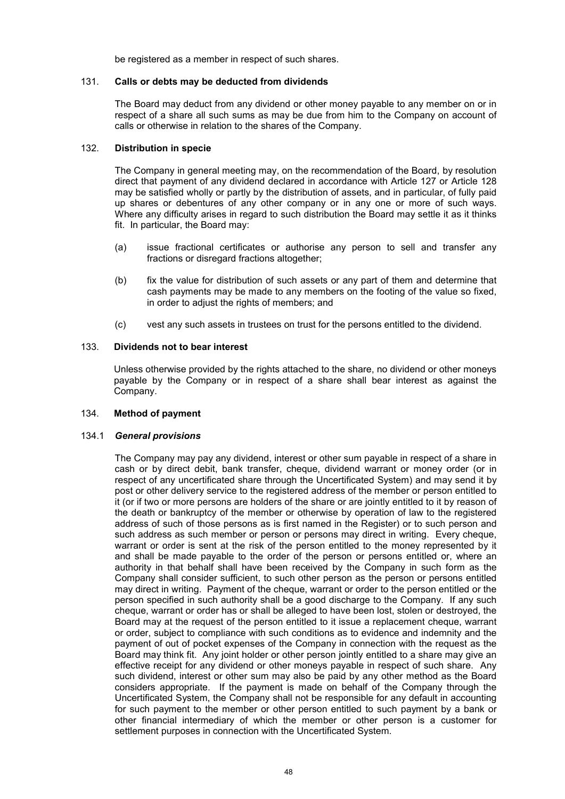be registered as a member in respect of such shares.

# 131. **Calls or debts may be deducted from dividends**

The Board may deduct from any dividend or other money payable to any member on or in respect of a share all such sums as may be due from him to the Company on account of calls or otherwise in relation to the shares of the Company.

# 132. **Distribution in specie**

The Company in general meeting may, on the recommendation of the Board, by resolution direct that payment of any dividend declared in accordance with Article 127 or Article 128 may be satisfied wholly or partly by the distribution of assets, and in particular, of fully paid up shares or debentures of any other company or in any one or more of such ways. Where any difficulty arises in regard to such distribution the Board may settle it as it thinks fit. In particular, the Board may:

- (a) issue fractional certificates or authorise any person to sell and transfer any fractions or disregard fractions altogether;
- (b) fix the value for distribution of such assets or any part of them and determine that cash payments may be made to any members on the footing of the value so fixed, in order to adjust the rights of members; and
- (c) vest any such assets in trustees on trust for the persons entitled to the dividend.

# 133. **Dividends not to bear interest**

Unless otherwise provided by the rights attached to the share, no dividend or other moneys payable by the Company or in respect of a share shall bear interest as against the Company.

# 134. **Method of payment**

### 134.1 *General provisions*

The Company may pay any dividend, interest or other sum payable in respect of a share in cash or by direct debit, bank transfer, cheque, dividend warrant or money order (or in respect of any uncertificated share through the Uncertificated System) and may send it by post or other delivery service to the registered address of the member or person entitled to it (or if two or more persons are holders of the share or are jointly entitled to it by reason of the death or bankruptcy of the member or otherwise by operation of law to the registered address of such of those persons as is first named in the Register) or to such person and such address as such member or person or persons may direct in writing. Every cheque, warrant or order is sent at the risk of the person entitled to the money represented by it and shall be made payable to the order of the person or persons entitled or, where an authority in that behalf shall have been received by the Company in such form as the Company shall consider sufficient, to such other person as the person or persons entitled may direct in writing. Payment of the cheque, warrant or order to the person entitled or the person specified in such authority shall be a good discharge to the Company. If any such cheque, warrant or order has or shall be alleged to have been lost, stolen or destroyed, the Board may at the request of the person entitled to it issue a replacement cheque, warrant or order, subject to compliance with such conditions as to evidence and indemnity and the payment of out of pocket expenses of the Company in connection with the request as the Board may think fit. Any joint holder or other person jointly entitled to a share may give an effective receipt for any dividend or other moneys payable in respect of such share. Any such dividend, interest or other sum may also be paid by any other method as the Board considers appropriate. If the payment is made on behalf of the Company through the Uncertificated System, the Company shall not be responsible for any default in accounting for such payment to the member or other person entitled to such payment by a bank or other financial intermediary of which the member or other person is a customer for settlement purposes in connection with the Uncertificated System.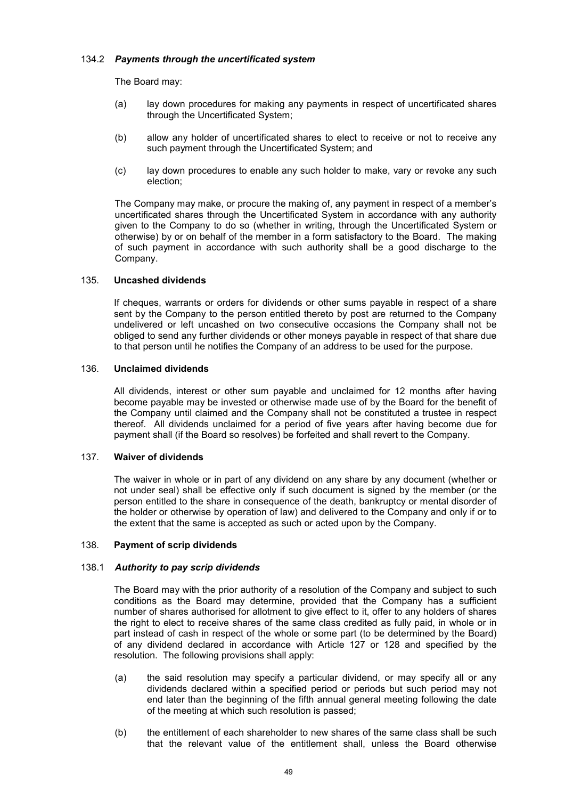# 134.2 *Payments through the uncertificated system*

The Board may:

- (a) lay down procedures for making any payments in respect of uncertificated shares through the Uncertificated System;
- (b) allow any holder of uncertificated shares to elect to receive or not to receive any such payment through the Uncertificated System; and
- (c) lay down procedures to enable any such holder to make, vary or revoke any such election;

The Company may make, or procure the making of, any payment in respect of a member's uncertificated shares through the Uncertificated System in accordance with any authority given to the Company to do so (whether in writing, through the Uncertificated System or otherwise) by or on behalf of the member in a form satisfactory to the Board. The making of such payment in accordance with such authority shall be a good discharge to the Company.

# 135. **Uncashed dividends**

If cheques, warrants or orders for dividends or other sums payable in respect of a share sent by the Company to the person entitled thereto by post are returned to the Company undelivered or left uncashed on two consecutive occasions the Company shall not be obliged to send any further dividends or other moneys payable in respect of that share due to that person until he notifies the Company of an address to be used for the purpose.

# 136. **Unclaimed dividends**

All dividends, interest or other sum payable and unclaimed for 12 months after having become payable may be invested or otherwise made use of by the Board for the benefit of the Company until claimed and the Company shall not be constituted a trustee in respect thereof. All dividends unclaimed for a period of five years after having become due for payment shall (if the Board so resolves) be forfeited and shall revert to the Company.

# 137. **Waiver of dividends**

The waiver in whole or in part of any dividend on any share by any document (whether or not under seal) shall be effective only if such document is signed by the member (or the person entitled to the share in consequence of the death, bankruptcy or mental disorder of the holder or otherwise by operation of law) and delivered to the Company and only if or to the extent that the same is accepted as such or acted upon by the Company.

### 138. **Payment of scrip dividends**

### 138.1 *Authority to pay scrip dividends*

The Board may with the prior authority of a resolution of the Company and subject to such conditions as the Board may determine, provided that the Company has a sufficient number of shares authorised for allotment to give effect to it, offer to any holders of shares the right to elect to receive shares of the same class credited as fully paid, in whole or in part instead of cash in respect of the whole or some part (to be determined by the Board) of any dividend declared in accordance with Article 127 or 128 and specified by the resolution. The following provisions shall apply:

- (a) the said resolution may specify a particular dividend, or may specify all or any dividends declared within a specified period or periods but such period may not end later than the beginning of the fifth annual general meeting following the date of the meeting at which such resolution is passed;
- (b) the entitlement of each shareholder to new shares of the same class shall be such that the relevant value of the entitlement shall, unless the Board otherwise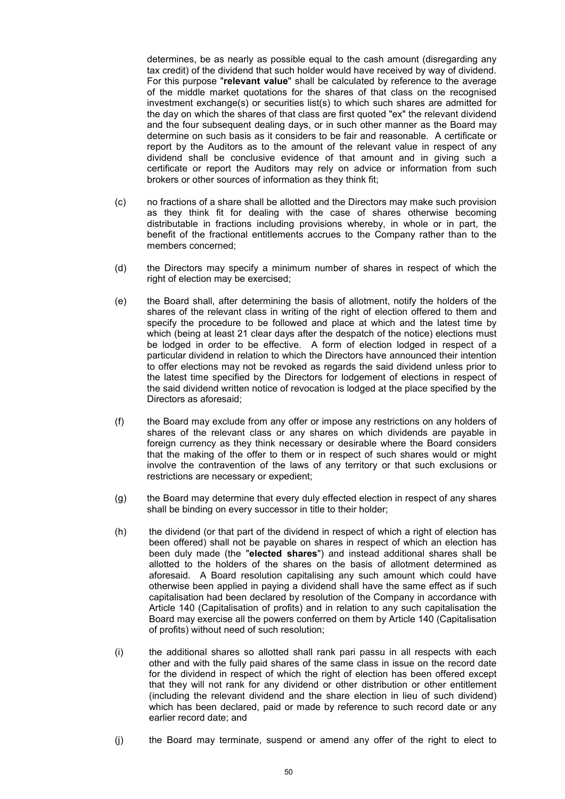determines, be as nearly as possible equal to the cash amount (disregarding any tax credit) of the dividend that such holder would have received by way of dividend. For this purpose "**relevant value**" shall be calculated by reference to the average of the middle market quotations for the shares of that class on the recognised investment exchange(s) or securities list(s) to which such shares are admitted for the day on which the shares of that class are first quoted "ex" the relevant dividend and the four subsequent dealing days, or in such other manner as the Board may determine on such basis as it considers to be fair and reasonable. A certificate or report by the Auditors as to the amount of the relevant value in respect of any dividend shall be conclusive evidence of that amount and in giving such a certificate or report the Auditors may rely on advice or information from such brokers or other sources of information as they think fit;

- (c) no fractions of a share shall be allotted and the Directors may make such provision as they think fit for dealing with the case of shares otherwise becoming distributable in fractions including provisions whereby, in whole or in part, the benefit of the fractional entitlements accrues to the Company rather than to the members concerned;
- (d) the Directors may specify a minimum number of shares in respect of which the right of election may be exercised;
- (e) the Board shall, after determining the basis of allotment, notify the holders of the shares of the relevant class in writing of the right of election offered to them and specify the procedure to be followed and place at which and the latest time by which (being at least 21 clear days after the despatch of the notice) elections must be lodged in order to be effective. A form of election lodged in respect of a particular dividend in relation to which the Directors have announced their intention to offer elections may not be revoked as regards the said dividend unless prior to the latest time specified by the Directors for lodgement of elections in respect of the said dividend written notice of revocation is lodged at the place specified by the Directors as aforesaid;
- (f) the Board may exclude from any offer or impose any restrictions on any holders of shares of the relevant class or any shares on which dividends are payable in foreign currency as they think necessary or desirable where the Board considers that the making of the offer to them or in respect of such shares would or might involve the contravention of the laws of any territory or that such exclusions or restrictions are necessary or expedient;
- (g) the Board may determine that every duly effected election in respect of any shares shall be binding on every successor in title to their holder;
- (h) the dividend (or that part of the dividend in respect of which a right of election has been offered) shall not be payable on shares in respect of which an election has been duly made (the "**elected shares**") and instead additional shares shall be allotted to the holders of the shares on the basis of allotment determined as aforesaid. A Board resolution capitalising any such amount which could have otherwise been applied in paying a dividend shall have the same effect as if such capitalisation had been declared by resolution of the Company in accordance with Article 140 (Capitalisation of profits) and in relation to any such capitalisation the Board may exercise all the powers conferred on them by Article 140 (Capitalisation of profits) without need of such resolution;
- (i) the additional shares so allotted shall rank pari passu in all respects with each other and with the fully paid shares of the same class in issue on the record date for the dividend in respect of which the right of election has been offered except that they will not rank for any dividend or other distribution or other entitlement (including the relevant dividend and the share election in lieu of such dividend) which has been declared, paid or made by reference to such record date or any earlier record date; and
- (j) the Board may terminate, suspend or amend any offer of the right to elect to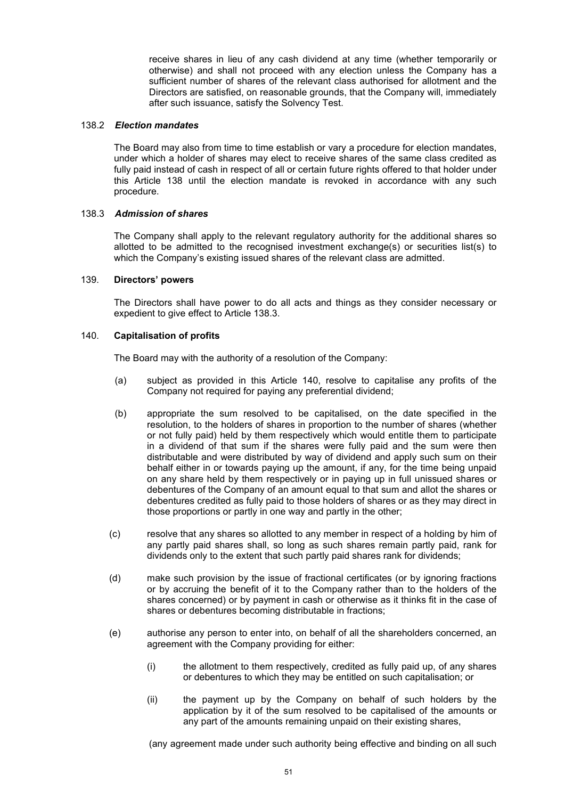receive shares in lieu of any cash dividend at any time (whether temporarily or otherwise) and shall not proceed with any election unless the Company has a sufficient number of shares of the relevant class authorised for allotment and the Directors are satisfied, on reasonable grounds, that the Company will, immediately after such issuance, satisfy the Solvency Test.

# 138.2 *Election mandates*

The Board may also from time to time establish or vary a procedure for election mandates, under which a holder of shares may elect to receive shares of the same class credited as fully paid instead of cash in respect of all or certain future rights offered to that holder under this Article 138 until the election mandate is revoked in accordance with any such procedure.

# 138.3 *Admission of shares*

The Company shall apply to the relevant regulatory authority for the additional shares so allotted to be admitted to the recognised investment exchange(s) or securities list(s) to which the Company's existing issued shares of the relevant class are admitted.

### 139. **Directors' powers**

The Directors shall have power to do all acts and things as they consider necessary or expedient to give effect to Article 138.3.

### 140. **Capitalisation of profits**

The Board may with the authority of a resolution of the Company:

- (a) subject as provided in this Article 140, resolve to capitalise any profits of the Company not required for paying any preferential dividend;
- (b) appropriate the sum resolved to be capitalised, on the date specified in the resolution, to the holders of shares in proportion to the number of shares (whether or not fully paid) held by them respectively which would entitle them to participate in a dividend of that sum if the shares were fully paid and the sum were then distributable and were distributed by way of dividend and apply such sum on their behalf either in or towards paying up the amount, if any, for the time being unpaid on any share held by them respectively or in paying up in full unissued shares or debentures of the Company of an amount equal to that sum and allot the shares or debentures credited as fully paid to those holders of shares or as they may direct in those proportions or partly in one way and partly in the other;
- (c) resolve that any shares so allotted to any member in respect of a holding by him of any partly paid shares shall, so long as such shares remain partly paid, rank for dividends only to the extent that such partly paid shares rank for dividends;
- (d) make such provision by the issue of fractional certificates (or by ignoring fractions or by accruing the benefit of it to the Company rather than to the holders of the shares concerned) or by payment in cash or otherwise as it thinks fit in the case of shares or debentures becoming distributable in fractions;
- (e) authorise any person to enter into, on behalf of all the shareholders concerned, an agreement with the Company providing for either:
	- (i) the allotment to them respectively, credited as fully paid up, of any shares or debentures to which they may be entitled on such capitalisation; or
	- (ii) the payment up by the Company on behalf of such holders by the application by it of the sum resolved to be capitalised of the amounts or any part of the amounts remaining unpaid on their existing shares,

(any agreement made under such authority being effective and binding on all such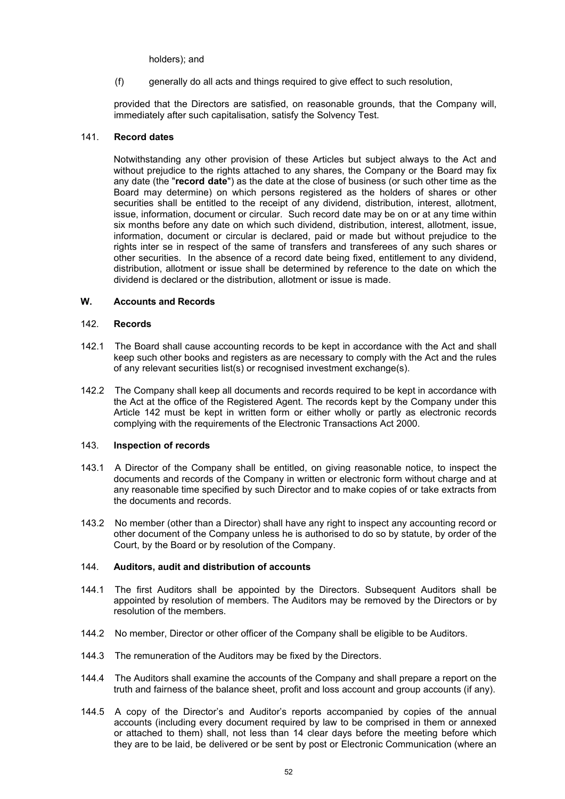holders); and

(f) generally do all acts and things required to give effect to such resolution,

provided that the Directors are satisfied, on reasonable grounds, that the Company will, immediately after such capitalisation, satisfy the Solvency Test.

# 141. **Record dates**

Notwithstanding any other provision of these Articles but subject always to the Act and without prejudice to the rights attached to any shares, the Company or the Board may fix any date (the "**record date**") as the date at the close of business (or such other time as the Board may determine) on which persons registered as the holders of shares or other securities shall be entitled to the receipt of any dividend, distribution, interest, allotment, issue, information, document or circular. Such record date may be on or at any time within six months before any date on which such dividend, distribution, interest, allotment, issue, information, document or circular is declared, paid or made but without prejudice to the rights inter se in respect of the same of transfers and transferees of any such shares or other securities. In the absence of a record date being fixed, entitlement to any dividend, distribution, allotment or issue shall be determined by reference to the date on which the dividend is declared or the distribution, allotment or issue is made.

# **W. Accounts and Records**

### 142. **Records**

- 142.1 The Board shall cause accounting records to be kept in accordance with the Act and shall keep such other books and registers as are necessary to comply with the Act and the rules of any relevant securities list(s) or recognised investment exchange(s).
- 142.2 The Company shall keep all documents and records required to be kept in accordance with the Act at the office of the Registered Agent. The records kept by the Company under this Article 142 must be kept in written form or either wholly or partly as electronic records complying with the requirements of the Electronic Transactions Act 2000.

### 143. **Inspection of records**

- 143.1 A Director of the Company shall be entitled, on giving reasonable notice, to inspect the documents and records of the Company in written or electronic form without charge and at any reasonable time specified by such Director and to make copies of or take extracts from the documents and records.
- 143.2 No member (other than a Director) shall have any right to inspect any accounting record or other document of the Company unless he is authorised to do so by statute, by order of the Court, by the Board or by resolution of the Company.

### 144. **Auditors, audit and distribution of accounts**

- 144.1 The first Auditors shall be appointed by the Directors. Subsequent Auditors shall be appointed by resolution of members. The Auditors may be removed by the Directors or by resolution of the members.
- 144.2 No member, Director or other officer of the Company shall be eligible to be Auditors.
- 144.3 The remuneration of the Auditors may be fixed by the Directors.
- 144.4 The Auditors shall examine the accounts of the Company and shall prepare a report on the truth and fairness of the balance sheet, profit and loss account and group accounts (if any).
- 144.5 A copy of the Director's and Auditor's reports accompanied by copies of the annual accounts (including every document required by law to be comprised in them or annexed or attached to them) shall, not less than 14 clear days before the meeting before which they are to be laid, be delivered or be sent by post or Electronic Communication (where an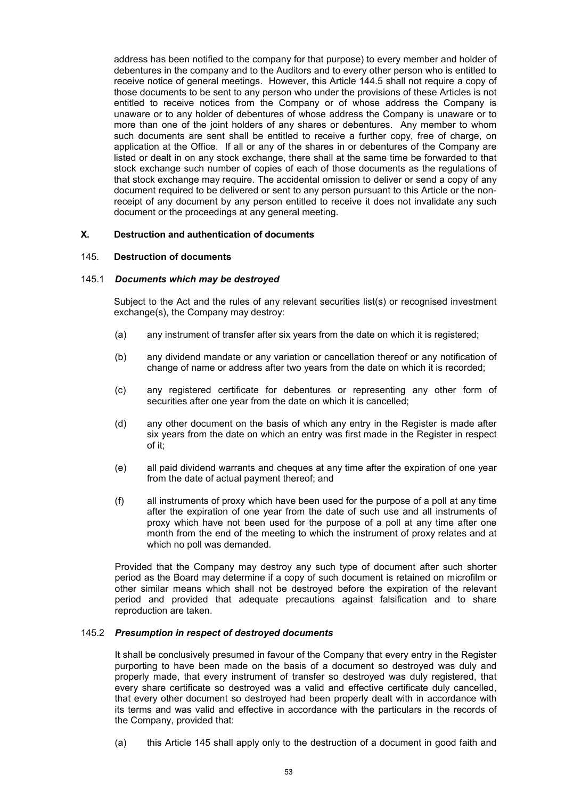address has been notified to the company for that purpose) to every member and holder of debentures in the company and to the Auditors and to every other person who is entitled to receive notice of general meetings. However, this Article 144.5 shall not require a copy of those documents to be sent to any person who under the provisions of these Articles is not entitled to receive notices from the Company or of whose address the Company is unaware or to any holder of debentures of whose address the Company is unaware or to more than one of the joint holders of any shares or debentures. Any member to whom such documents are sent shall be entitled to receive a further copy, free of charge, on application at the Office. If all or any of the shares in or debentures of the Company are listed or dealt in on any stock exchange, there shall at the same time be forwarded to that stock exchange such number of copies of each of those documents as the regulations of that stock exchange may require. The accidental omission to deliver or send a copy of any document required to be delivered or sent to any person pursuant to this Article or the nonreceipt of any document by any person entitled to receive it does not invalidate any such document or the proceedings at any general meeting.

# **X. Destruction and authentication of documents**

# 145. **Destruction of documents**

#### 145.1 *Documents which may be destroyed*

Subject to the Act and the rules of any relevant securities list(s) or recognised investment exchange(s), the Company may destroy:

- (a) any instrument of transfer after six years from the date on which it is registered;
- (b) any dividend mandate or any variation or cancellation thereof or any notification of change of name or address after two years from the date on which it is recorded;
- (c) any registered certificate for debentures or representing any other form of securities after one year from the date on which it is cancelled;
- (d) any other document on the basis of which any entry in the Register is made after six years from the date on which an entry was first made in the Register in respect of it;
- (e) all paid dividend warrants and cheques at any time after the expiration of one year from the date of actual payment thereof; and
- (f) all instruments of proxy which have been used for the purpose of a poll at any time after the expiration of one year from the date of such use and all instruments of proxy which have not been used for the purpose of a poll at any time after one month from the end of the meeting to which the instrument of proxy relates and at which no poll was demanded.

Provided that the Company may destroy any such type of document after such shorter period as the Board may determine if a copy of such document is retained on microfilm or other similar means which shall not be destroyed before the expiration of the relevant period and provided that adequate precautions against falsification and to share reproduction are taken.

#### 145.2 *Presumption in respect of destroyed documents*

It shall be conclusively presumed in favour of the Company that every entry in the Register purporting to have been made on the basis of a document so destroyed was duly and properly made, that every instrument of transfer so destroyed was duly registered, that every share certificate so destroyed was a valid and effective certificate duly cancelled, that every other document so destroyed had been properly dealt with in accordance with its terms and was valid and effective in accordance with the particulars in the records of the Company, provided that:

(a) this Article 145 shall apply only to the destruction of a document in good faith and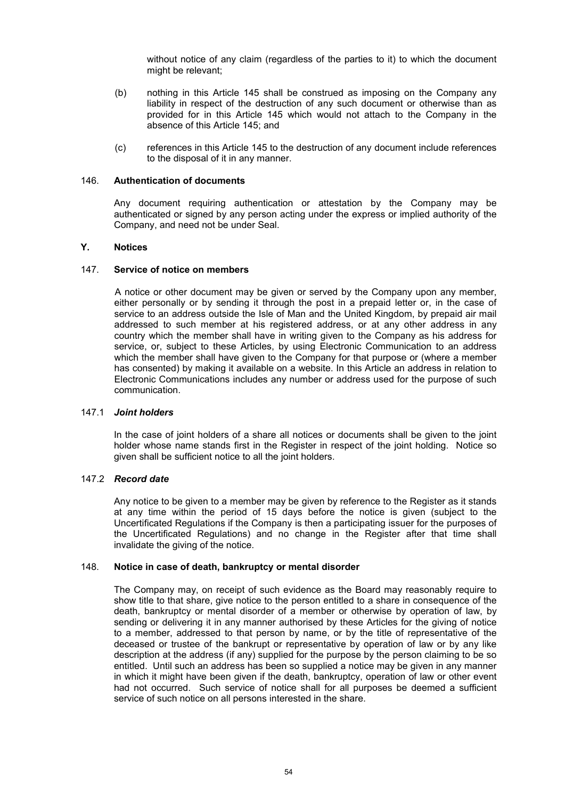without notice of any claim (regardless of the parties to it) to which the document might be relevant;

- (b) nothing in this Article 145 shall be construed as imposing on the Company any liability in respect of the destruction of any such document or otherwise than as provided for in this Article 145 which would not attach to the Company in the absence of this Article 145; and
- (c) references in this Article 145 to the destruction of any document include references to the disposal of it in any manner.

# 146. **Authentication of documents**

Any document requiring authentication or attestation by the Company may be authenticated or signed by any person acting under the express or implied authority of the Company, and need not be under Seal.

# **Y. Notices**

### 147. **Service of notice on members**

A notice or other document may be given or served by the Company upon any member, either personally or by sending it through the post in a prepaid letter or, in the case of service to an address outside the Isle of Man and the United Kingdom, by prepaid air mail addressed to such member at his registered address, or at any other address in any country which the member shall have in writing given to the Company as his address for service, or, subject to these Articles, by using Electronic Communication to an address which the member shall have given to the Company for that purpose or (where a member has consented) by making it available on a website. In this Article an address in relation to Electronic Communications includes any number or address used for the purpose of such communication.

### 147.1 *Joint holders*

In the case of joint holders of a share all notices or documents shall be given to the joint holder whose name stands first in the Register in respect of the joint holding. Notice so given shall be sufficient notice to all the joint holders.

# 147.2 *Record date*

Any notice to be given to a member may be given by reference to the Register as it stands at any time within the period of 15 days before the notice is given (subject to the Uncertificated Regulations if the Company is then a participating issuer for the purposes of the Uncertificated Regulations) and no change in the Register after that time shall invalidate the giving of the notice.

### 148. **Notice in case of death, bankruptcy or mental disorder**

The Company may, on receipt of such evidence as the Board may reasonably require to show title to that share, give notice to the person entitled to a share in consequence of the death, bankruptcy or mental disorder of a member or otherwise by operation of law, by sending or delivering it in any manner authorised by these Articles for the giving of notice to a member, addressed to that person by name, or by the title of representative of the deceased or trustee of the bankrupt or representative by operation of law or by any like description at the address (if any) supplied for the purpose by the person claiming to be so entitled. Until such an address has been so supplied a notice may be given in any manner in which it might have been given if the death, bankruptcy, operation of law or other event had not occurred. Such service of notice shall for all purposes be deemed a sufficient service of such notice on all persons interested in the share.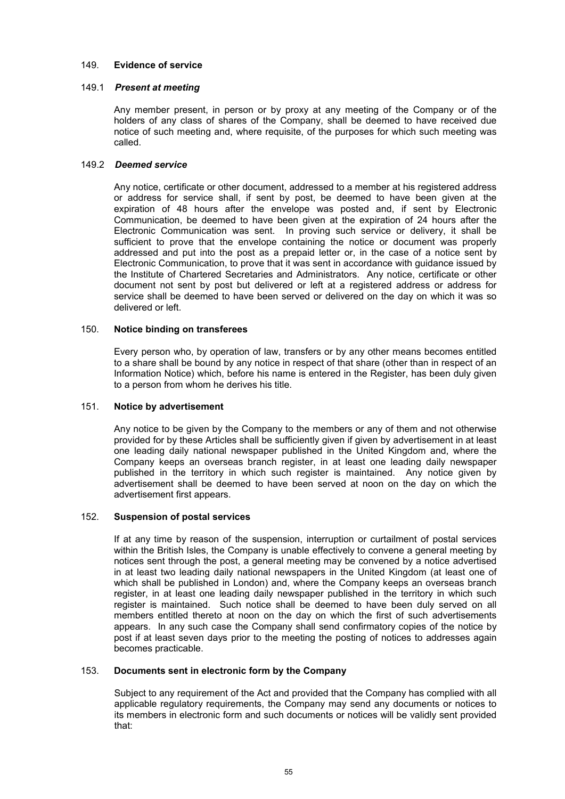# 149. **Evidence of service**

# 149.1 *Present at meeting*

Any member present, in person or by proxy at any meeting of the Company or of the holders of any class of shares of the Company, shall be deemed to have received due notice of such meeting and, where requisite, of the purposes for which such meeting was called.

# 149.2 *Deemed service*

Any notice, certificate or other document, addressed to a member at his registered address or address for service shall, if sent by post, be deemed to have been given at the expiration of 48 hours after the envelope was posted and, if sent by Electronic Communication, be deemed to have been given at the expiration of 24 hours after the Electronic Communication was sent. In proving such service or delivery, it shall be sufficient to prove that the envelope containing the notice or document was properly addressed and put into the post as a prepaid letter or, in the case of a notice sent by Electronic Communication, to prove that it was sent in accordance with guidance issued by the Institute of Chartered Secretaries and Administrators. Any notice, certificate or other document not sent by post but delivered or left at a registered address or address for service shall be deemed to have been served or delivered on the day on which it was so delivered or left.

# 150. **Notice binding on transferees**

Every person who, by operation of law, transfers or by any other means becomes entitled to a share shall be bound by any notice in respect of that share (other than in respect of an Information Notice) which, before his name is entered in the Register, has been duly given to a person from whom he derives his title.

# 151. **Notice by advertisement**

Any notice to be given by the Company to the members or any of them and not otherwise provided for by these Articles shall be sufficiently given if given by advertisement in at least one leading daily national newspaper published in the United Kingdom and, where the Company keeps an overseas branch register, in at least one leading daily newspaper published in the territory in which such register is maintained. Any notice given by advertisement shall be deemed to have been served at noon on the day on which the advertisement first appears.

### 152. **Suspension of postal services**

If at any time by reason of the suspension, interruption or curtailment of postal services within the British Isles, the Company is unable effectively to convene a general meeting by notices sent through the post, a general meeting may be convened by a notice advertised in at least two leading daily national newspapers in the United Kingdom (at least one of which shall be published in London) and, where the Company keeps an overseas branch register, in at least one leading daily newspaper published in the territory in which such register is maintained. Such notice shall be deemed to have been duly served on all members entitled thereto at noon on the day on which the first of such advertisements appears. In any such case the Company shall send confirmatory copies of the notice by post if at least seven days prior to the meeting the posting of notices to addresses again becomes practicable.

### 153. **Documents sent in electronic form by the Company**

Subject to any requirement of the Act and provided that the Company has complied with all applicable regulatory requirements, the Company may send any documents or notices to its members in electronic form and such documents or notices will be validly sent provided that: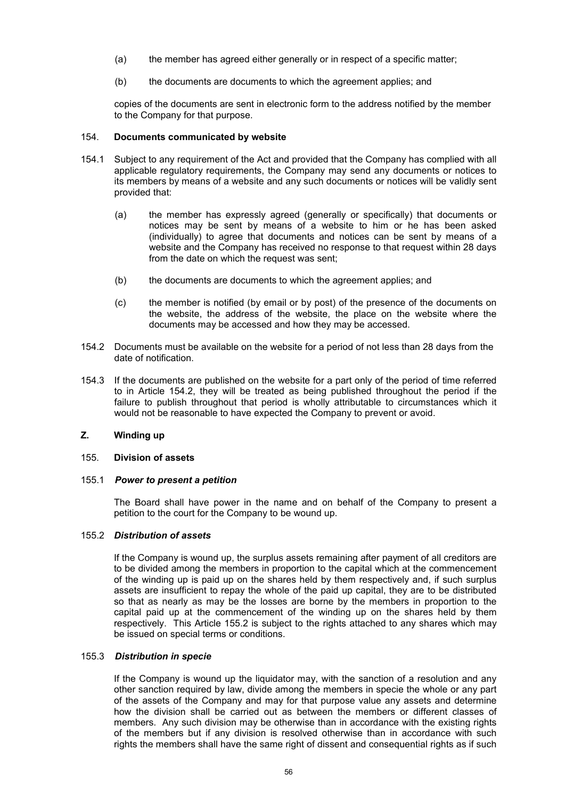- (a) the member has agreed either generally or in respect of a specific matter;
- (b) the documents are documents to which the agreement applies; and

copies of the documents are sent in electronic form to the address notified by the member to the Company for that purpose.

# 154. **Documents communicated by website**

- 154.1 Subject to any requirement of the Act and provided that the Company has complied with all applicable regulatory requirements, the Company may send any documents or notices to its members by means of a website and any such documents or notices will be validly sent provided that:
	- (a) the member has expressly agreed (generally or specifically) that documents or notices may be sent by means of a website to him or he has been asked (individually) to agree that documents and notices can be sent by means of a website and the Company has received no response to that request within 28 days from the date on which the request was sent:
	- (b) the documents are documents to which the agreement applies; and
	- (c) the member is notified (by email or by post) of the presence of the documents on the website, the address of the website, the place on the website where the documents may be accessed and how they may be accessed.
- 154.2 Documents must be available on the website for a period of not less than 28 days from the date of notification.
- 154.3 If the documents are published on the website for a part only of the period of time referred to in Article 154.2, they will be treated as being published throughout the period if the failure to publish throughout that period is wholly attributable to circumstances which it would not be reasonable to have expected the Company to prevent or avoid.

# **Z. Winding up**

### 155. **Division of assets**

### 155.1 *Power to present a petition*

The Board shall have power in the name and on behalf of the Company to present a petition to the court for the Company to be wound up.

# 155.2 *Distribution of assets*

If the Company is wound up, the surplus assets remaining after payment of all creditors are to be divided among the members in proportion to the capital which at the commencement of the winding up is paid up on the shares held by them respectively and, if such surplus assets are insufficient to repay the whole of the paid up capital, they are to be distributed so that as nearly as may be the losses are borne by the members in proportion to the capital paid up at the commencement of the winding up on the shares held by them respectively. This Article 155.2 is subject to the rights attached to any shares which may be issued on special terms or conditions.

# 155.3 *Distribution in specie*

If the Company is wound up the liquidator may, with the sanction of a resolution and any other sanction required by law, divide among the members in specie the whole or any part of the assets of the Company and may for that purpose value any assets and determine how the division shall be carried out as between the members or different classes of members. Any such division may be otherwise than in accordance with the existing rights of the members but if any division is resolved otherwise than in accordance with such rights the members shall have the same right of dissent and consequential rights as if such